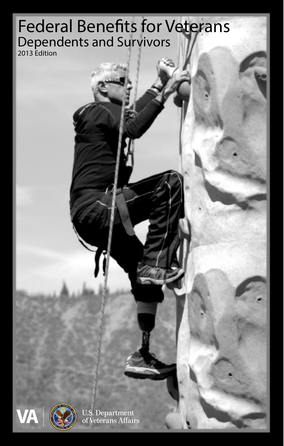# Federal Benefits for Veterans Dependents and Survivors 2013 Edition





U.S. Department<br>of Veterans Affairs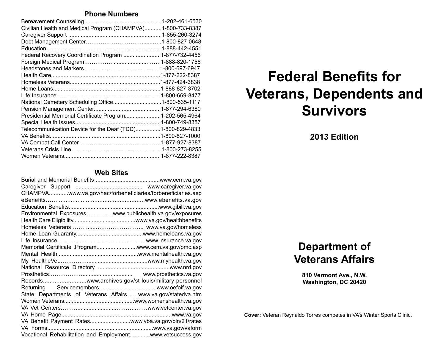#### **Phone Numbers**

| Civilian Health and Medical Program (CHAMPVA)1-800-733-8387 |  |
|-------------------------------------------------------------|--|
|                                                             |  |
|                                                             |  |
|                                                             |  |
| Federal Recovery Coordination Program 1-877-732-4456        |  |
|                                                             |  |
|                                                             |  |
|                                                             |  |
|                                                             |  |
|                                                             |  |
|                                                             |  |
| National Cemetery Scheduling Office1-800-535-1117           |  |
|                                                             |  |
| Presidential Memorial Certificate Program1-202-565-4964     |  |
| Special Health Issues.                                      |  |
| Telecommunication Device for the Deaf (TDD)1-800-829-4833   |  |
| VA Benefits.                                                |  |
|                                                             |  |
|                                                             |  |
|                                                             |  |

# **Federal Benefits for Veterans, Dependents and Survivors**

**2013 Edition**

## **Web Sites**

| CHAMPVAwww.va.gov/hac/forbeneficiaries/forbeneficiaries.asp  |
|--------------------------------------------------------------|
|                                                              |
|                                                              |
| Environmental Exposureswww.publichealth.va.gov/exposures     |
|                                                              |
|                                                              |
|                                                              |
|                                                              |
| Memorial Certificate .Programwww.cem.va.gov/pmc.asp          |
|                                                              |
|                                                              |
|                                                              |
|                                                              |
| Recordswww.archives.gov/st-louis/military-personnel          |
|                                                              |
| State Departments of Veterans Affairswww.va.gov/statedva.htm |
|                                                              |
|                                                              |
|                                                              |
| VA Benefit Payment Rateswww.vba.va.gov/bln/21/rates          |
|                                                              |
| Vocational Rehabilitation and Employmentwww.vetsuccess.gov   |

# **Department of Veterans Affairs**

**810 Vermont Ave., N.W. Washington, DC 20420**

**Cover:** Veteran Reynaldo Torres competes in VA's Winter Sports Clinic.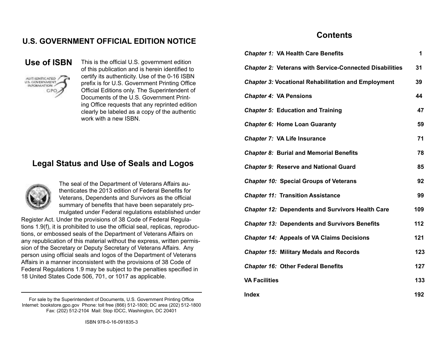# **U.S. GOVERNMENT OFFICIAL EDITION NOTICE**





**Use of ISBN** This is the official U.S. government edition of this publication and is herein identified to certify its authenticity. Use of the 0-16 ISBN prefix is for U.S. Government Printing Office Official Editions only. The Superintendent of Documents of the U.S. Government Printing Office requests that any reprinted edition clearly be labeled as a copy of the authentic work with a new ISBN.

# **Legal Status and Use of Seals and Logos**



The seal of the Department of Veterans Affairs authenticates the 2013 edition of Federal Benefits for Veterans, Dependents and Survivors as the official summary of benefits that have been separately promulgated under Federal regulations established under

Register Act. Under the provisions of 38 Code of Federal Regulations 1.9(f), it is prohibited to use the official seal, replicas, reproductions, or embossed seals of the Department of Veterans Affairs on any republication of this material without the express, written permission of the Secretary or Deputy Secretary of Veterans Affairs. Any person using official seals and logos of the Department of Veterans Affairs in a manner inconsistent with the provisions of 38 Code of Federal Regulations 1.9 may be subject to the penalties specified in 18 United States Code 506, 701, or 1017 as applicable.

For sale by the Superintendent of Documents, U.S. Government Printing Office Internet: bookstore.gpo.gov Phone: toll free (866) 512-1800; DC area (202) 512-1800 Fax: (202) 512-2104 Mail: Stop IDCC, Washington, DC 20401

## **Contents**

| <b>Chapter 1: VA Health Care Benefits</b>                      | 1   |
|----------------------------------------------------------------|-----|
| <b>Chapter 2: Veterans with Service-Connected Disabilities</b> | 31  |
| <b>Chapter 3: Vocational Rehabilitation and Employment</b>     | 39  |
| <b>Chapter 4: VA Pensions</b>                                  | 44  |
| <b>Chapter 5: Education and Training</b>                       | 47  |
| Chapter 6: Home Loan Guaranty                                  | 59  |
| <b>Chapter 7: VA Life Insurance</b>                            | 71  |
| <b>Chapter 8: Burial and Memorial Benefits</b>                 | 78  |
| <b>Chapter 9: Reserve and National Guard</b>                   | 85  |
| <b>Chapter 10: Special Groups of Veterans</b>                  | 92  |
| <b>Chapter 11: Transition Assistance</b>                       | 99  |
| <b>Chapter 12: Dependents and Survivors Health Care</b>        | 109 |
| <b>Chapter 13: Dependents and Survivors Benefits</b>           | 112 |
| <b>Chapter 14: Appeals of VA Claims Decisions</b>              | 121 |
| <b>Chapter 15: Military Medals and Records</b>                 | 123 |
| <b>Chapter 16: Other Federal Benefits</b>                      | 127 |
| <b>VA Facilities</b>                                           | 133 |
| <b>Index</b>                                                   | 192 |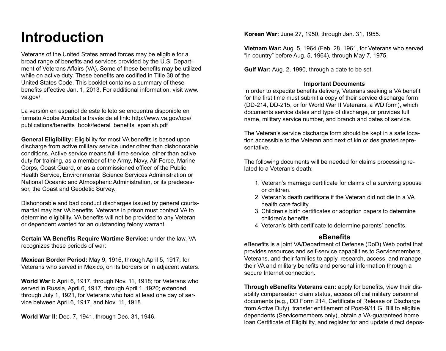# **Introduction**

Veterans of the United States armed forces may be eligible for a broad range of benefits and services provided by the U.S. Department of Veterans Affairs (VA). Some of these benefits may be utilized while on active duty. These benefits are codified in Title 38 of the United States Code. This booklet contains a summary of these benefits effective Jan. 1, 2013. For additional information, visit www. va.gov/.

La versión en español de este folleto se encuentra disponible en formato Adobe Acrobat a través de el link: http://www.va.gov/opa/ publications/benefits\_book/federal\_benefits\_spanish.pdf

**General Eligibility:** Eligibility for most VA benefits is based upon discharge from active military service under other than dishonorable conditions. Active service means full-time service, other than active duty for training, as a member of the Army, Navy, Air Force, Marine Corps, Coast Guard, or as a commissioned officer of the Public Health Service, Environmental Science Services Administration or National Oceanic and Atmospheric Administration, or its predecessor, the Coast and Geodetic Survey.

Dishonorable and bad conduct discharges issued by general courtsmartial may bar VA benefits. Veterans in prison must contact VA to determine eligibility. VA benefits will not be provided to any Veteran or dependent wanted for an outstanding felony warrant.

**Certain VA Benefits Require Wartime Service:** under the law, VA recognizes these periods of war:

**Mexican Border Period:** May 9, 1916, through April 5, 1917, for Veterans who served in Mexico, on its borders or in adjacent waters.

**World War I:** April 6, 1917, through Nov. 11, 1918; for Veterans who served in Russia, April 6, 1917, through April 1, 1920; extended through July 1, 1921, for Veterans who had at least one day of service between April 6, 1917, and Nov. 11, 1918.

**World War II:** Dec. 7, 1941, through Dec. 31, 1946.

**Korean War:** June 27, 1950, through Jan. 31, 1955.

**Vietnam War:** Aug. 5, 1964 (Feb. 28, 1961, for Veterans who served "in country" before Aug. 5, 1964), through May 7, 1975.

**Gulf War:** Aug. 2, 1990, through a date to be set.

#### **Important Documents**

In order to expedite benefits delivery, Veterans seeking a VA benefit for the first time must submit a copy of their service discharge form (DD-214, DD-215, or for World War II Veterans, a WD form), which documents service dates and type of discharge, or provides full name, military service number, and branch and dates of service.

The Veteran's service discharge form should be kept in a safe location accessible to the Veteran and next of kin or designated representative.

The following documents will be needed for claims processing related to a Veteran's death:

- 1. Veteran's marriage certificate for claims of a surviving spouse or children.
- 2. Veteran's death certificate if the Veteran did not die in a VA health care facility.
- 3. Children's birth certificates or adoption papers to determine children's benefits.
- 4. Veteran's birth certificate to determine parents' benefits.

# **eBenefits**

eBenefits is a joint VA/Department of Defense (DoD) Web portal that provides resources and self-service capabilities to Servicemembers, Veterans, and their families to apply, research, access, and manage their VA and military benefits and personal information through a secure Internet connection

**Through eBenefits Veterans can:** apply for benefits, view their disability compensation claim status, access official military personnel documents (e.g., DD Form 214, Certificate of Release or Discharge from Active Duty), transfer entitlement of Post-9/11 GI Bill to eligible dependents (Servicemembers only), obtain a VA-guaranteed home loan Certificate of Eligibility, and register for and update direct depos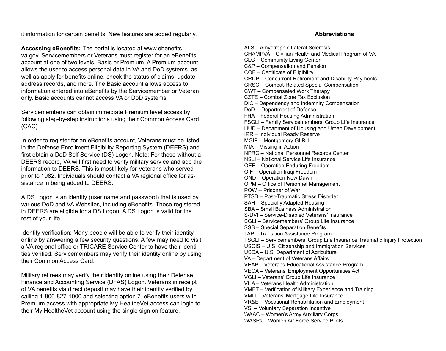it information for certain benefits. New features are added regularly.

**Accessing eBenefits:** The portal is located at www.ebenefits. va.gov. Servicemembers or Veterans must register for an eBenefits account at one of two levels: Basic or Premium. A Premium account allows the user to access personal data in VA and DoD systems, as well as apply for benefits online, check the status of claims, update address records, and more. The Basic account allows access to information entered into eBenefits by the Servicemember or Veteran only. Basic accounts cannot access VA or DoD systems.

Servicemembers can obtain immediate Premium level access by following step-by-step instructions using their Common Access Card (CAC).

In order to register for an eBenefits account, Veterans must be listed in the Defense Enrollment Eligibility Reporting System (DEERS) and first obtain a DoD Self Service (DS) Logon. Note: For those without a DEERS record, VA will first need to verify military service and add the information to DEERS. This is most likely for Veterans who served prior to 1982. Individuals should contact a VA regional office for assistance in being added to DEERS.

A DS Logon is an identity (user name and password) that is used by various DoD and VA Websites, including eBenefits. Those registered in DEERS are eligible for a DS Logon. A DS Logon is valid for the rest of your life.

Identity verification: Many people will be able to verify their identity online by answering a few security questions. A few may need to visit a VA regional office or TRICARE Service Center to have their identities verified. Servicemembers may verify their identity online by using their Common Access Card.

Military retirees may verify their identity online using their Defense Finance and Accounting Service (DFAS) Logon. Veterans in receipt of VA benefits via direct deposit may have their identity verified by calling 1-800-827-1000 and selecting option 7. eBenefits users with Premium access with appropriate My HealtheVet access can login to their My HealtheVet account using the single sign on feature.

#### **Abbreviations**

ALS – Amyotrophic Lateral Sclerosis CHAMPVA – Civilian Health and Medical Program of VA CLC – Community Living Center C&P – Compensation and Pension COE – Certificate of Eligibility CRDP – Concurrent Retirement and Disability Payments CRSC – Combat-Related Special Compensation CWT – Compensated Work Therapy CZTE – Combat Zone Tax Exclusion DIC – Dependency and Indemnity Compensation DoD -- Department of Defense FHA – Federal Housing Administration FSGLI – Family Servicemembers' Group Life Insurance HUD – Department of Housing and Urban Development IRR – Individual Ready Reserve MGIB – Montgomery GI Bill MIA – Missing in Action NPRC – National Personnel Records Center NSLI – National Service Life Insurance OEF – Operation Enduring Freedom OIF – Operation Iraqi Freedom OND – Operation New Dawn OPM – Office of Personnel Management POW -- Prisoner of War PTSD – Post-Traumatic Stress Disorder SAH – Specially Adapted Housing SBA – Small Business Administration S-DVI – Service-Disabled Veterans' Insurance SGLI – Servicemembers' Group Life Insurance SSB – Special Separation Benefits TAP – Transition Assistance Program TSGLI – Servicemembers' Group Life Insurance Traumatic Injury Protection USCIS – U.S. Citizenship and Immigration Services USDA – U.S. Department of Agriculture VA – Department of Veterans Affairs VEAP – Veterans Educational Assistance Program VEOA – Veterans' Employment Opportunities Act VGLI – Veterans' Group Life Insurance VHA – Veterans Health Administration VMET – Verification of Military Experience and Training VMLI – Veterans' Mortgage Life Insurance VR&E – Vocational Rehabilitation and Employment VSI – Voluntary Separation Incentive WAAC – Women's Army Auxiliary Corps WASPs – Women Air Force Service Pilots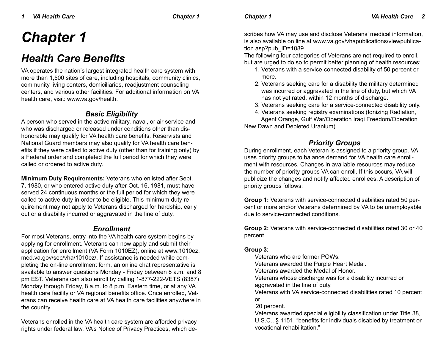# *Chapter 1*

# *Health Care Benefits*

VA operates the nation's largest integrated health care system with more than 1,500 sites of care, including hospitals, community clinics, community living centers, domiciliaries, readjustment counseling centers, and various other facilities. For additional information on VA health care, visit: www.va.gov/health.

# *Basic Eligibility*

A person who served in the active military, naval, or air service and who was discharged or released under conditions other than dishonorable may qualify for VA health care benefits. Reservists and National Guard members may also qualify for VA health care benefits if they were called to active duty (other than for training only) by a Federal order and completed the full period for which they were called or ordered to active duty.

**Minimum Duty Requirements:** Veterans who enlisted after Sept. 7, 1980, or who entered active duty after Oct. 16, 1981, must have served 24 continuous months or the full period for which they were called to active duty in order to be eligible. This minimum duty requirement may not apply to Veterans discharged for hardship, early out or a disability incurred or aggravated in the line of duty.

# *Enrollment*

For most Veterans, entry into the VA health care system begins by applying for enrollment. Veterans can now apply and submit their application for enrollment (VA Form 1010EZ), online at www.1010ez. med.va.gov/sec/vha/1010ez/. If assistance is needed while completing the on-line enrollment form, an online chat representative is available to answer questions Monday - Friday between 8 a.m. and 8 pm EST. Veterans can also enroll by calling 1-877-222-VETS (8387) Monday through Friday, 8 a.m. to 8 p.m. Eastern time, or at any VA health care facility or VA regional benefits office. Once enrolled, Veterans can receive health care at VA health care facilities anywhere in the country.

Veterans enrolled in the VA health care system are afforded privacy rights under federal law. VA's Notice of Privacy Practices, which de-

scribes how VA may use and disclose Veterans' medical information, is also available on line at www.va.gov/vhapublications/viewpublication.asp?pub\_ID=1089

The following four categories of Veterans are not required to enroll, but are urged to do so to permit better planning of health resources:

- 1. Veterans with a service-connected disability of 50 percent or more.
- 2. Veterans seeking care for a disability the military determined was incurred or aggravated in the line of duty, but which VA has not yet rated, within 12 months of discharge.
- 3. Veterans seeking care for a service-connected disability only.
- 4. Veterans seeking registry examinations (Ionizing Radiation,

 Agent Orange, Gulf War/Operation Iraqi Freedom/Operation New Dawn and Depleted Uranium).

# *Priority Groups*

During enrollment, each Veteran is assigned to a priority group. VA uses priority groups to balance demand for VA health care enrollment with resources. Changes in available resources may reduce the number of priority groups VA can enroll. If this occurs, VA will publicize the changes and notify affected enrollees. A description of priority groups follows:

**Group 1:** Veterans with service-connected disabilities rated 50 percent or more and/or Veterans determined by VA to be unemployable due to service-connected conditions.

**Group 2:** Veterans with service-connected disabilities rated 30 or 40 percent.

## **Group 3**:

Veterans who are former POWs.

Veterans awarded the Purple Heart Medal.

Veterans awarded the Medal of Honor.

Veterans whose discharge was for a disability incurred or aggravated in the line of duty.

Veterans with VA service-connected disabilities rated 10 percent or

20 percent.

Veterans awarded special eligibility classification under Title 38, U.S.C., § 1151, "benefits for individuals disabled by treatment or vocational rehabilitation."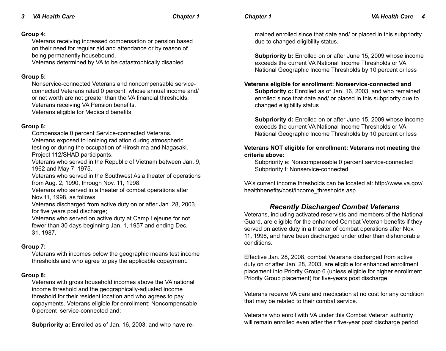#### <span id="page-6-0"></span>**Group 4:**

Veterans receiving increased compensation or pension based on their need for regular aid and attendance or by reason of being permanently housebound.

Veterans determined by VA to be catastrophically disabled.

#### **Group 5:**

Nonservice-connected Veterans and noncompensable serviceconnected Veterans rated 0 percent, whose annual income and/ or net worth are not greater than the VA financial thresholds. Veterans receiving VA Pension benefits. Veterans eligible for Medicaid benefits.

#### **Group 6:**

Compensable 0 percent Service-connected Veterans. Veterans exposed to ionizing radiation during atmospheric testing or during the occupation of Hiroshima and Nagasaki. Project 112/SHAD participants.

Veterans who served in the Republic of Vietnam between Jan. 9, 1962 and May 7, 1975.

Veterans who served in the Southwest Asia theater of operations from Aug. 2, 1990, through Nov. 11, 1998.

Veterans who served in a theater of combat operations after Nov.11, 1998, as follows:

Veterans discharged from active duty on or after Jan. 28, 2003, for five years post discharge;

Veterans who served on active duty at Camp Lejeune for not fewer than 30 days beginning Jan. 1, 1957 and ending Dec. 31, 1987.

#### **Group 7:**

Veterans with incomes below the geographic means test income thresholds and who agree to pay the applicable copayment.

#### **Group 8:**

Veterans with gross household incomes above the VA national income threshold and the geographically-adjusted income threshold for their resident location and who agrees to pay copayments. Veterans eligible for enrollment: Noncompensable 0-percent service-connected and:

**Subpriority a:** Enrolled as of Jan. 16, 2003, and who have re-

mained enrolled since that date and/ or placed in this subpriority due to changed eligibility status.

**Subpriority b:** Enrolled on or after June 15, 2009 whose income exceeds the current VA National Income Thresholds or VA National Geographic Income Thresholds by 10 percent or less

#### **Veterans eligible for enrollment: Nonservice-connected and**

**Subpriority c:** Enrolled as of Jan. 16, 2003, and who remained enrolled since that date and/ or placed in this subpriority due to changed eligibility status

**Subpriority d:** Enrolled on or after June 15, 2009 whose income exceeds the current VA National Income Thresholds or VA National Geographic Income Thresholds by 10 percent or less

#### **Veterans NOT eligible for enrollment: Veterans not meeting the criteria above:**

Subpriority e: Noncompensable 0 percent service-connected Subpriority f: Nonservice-connected

VA's current income thresholds can be located at: http://www.va.gov/ healthbenefits/cost/income\_thresholds.asp

# *Recently Discharged Combat Veterans*

Veterans, including activated reservists and members of the National Guard, are eligible for the enhanced Combat Veteran benefits if they served on active duty in a theater of combat operations after Nov. 11, 1998, and have been discharged under other than dishonorable conditions.

Effective Jan. 28, 2008, combat Veterans discharged from active duty on or after Jan. 28, 2003, are eligible for enhanced enrollment placement into Priority Group 6 (unless eligible for higher enrollment Priority Group placement) for five-years post discharge.

Veterans receive VA care and medication at no cost for any condition that may be related to their combat service.

Veterans who enroll with VA under this Combat Veteran authority will remain enrolled even after their five-year post discharge period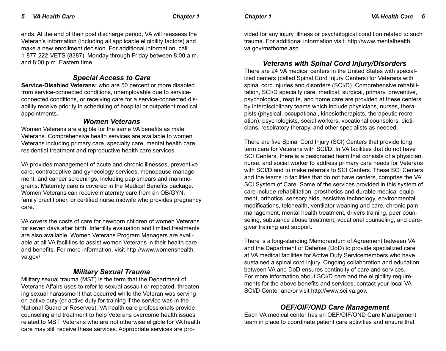ends. At the end of their post discharge period, VA will reassess the Veteran's information (including all applicable eligibility factors) and make a new enrollment decision. For additional information, call 1-877-222-VETS (8387), Monday through Friday between 8:00 a.m. and 8:00 p.m. Eastern time.

## *Special Access to Care*

**Service-Disabled Veterans:** who are 50 percent or more disabled from service-connected conditions, unemployable due to serviceconnected conditions, or receiving care for a service-connected disability receive priority in scheduling of hospital or outpatient medical appointments.

#### *Women Veterans*

Women Veterans are eligible for the same VA benefits as male Veterans. Comprehensive health services are available to women Veterans including primary care, specialty care, mental health care, residential treatment and reproductive health care services

VA provides management of acute and chronic illnesses, preventive care, contraceptive and gynecology services, menopause management, and cancer screenings, including pap smears and mammograms. Maternity care is covered in the Medical Benefits package. Women Veterans can receive maternity care from an OB/GYN, family practitioner, or certified nurse midwife who provides pregnancy care.

VA covers the costs of care for newborn children of women Veterans for seven days after birth. Infertility evaluation and limited treatments are also available. Women Veterans Program Managers are available at all VA facilities to assist women Veterans in their health care and benefits. For more information, visit http://www.womenshealth. va.gov/.

# *Military Sexual Trauma*

Military sexual trauma (MST) is the term that the Department of Veterans Affairs uses to refer to sexual assault or repeated, threatening sexual harassment that occurred while the Veteran was serving on active duty (or active duty for training if the service was in the National Guard or Reserves). VA health care professionals provide counseling and treatment to help Veterans overcome health issues related to MST. Veterans who are not otherwise eligible for VA health care may still receive these services. Appropriate services are provided for any injury, illness or psychological condition related to such trauma. For additional information visit: http://www.mentalhealth. va.gov/msthome.asp

# *Veterans with Spinal Cord Injury/Disorders*

There are 24 VA medical centers in the United States with specialized centers (called Spinal Cord Injury Centers) for Veterans with spinal cord injuries and disorders (SCI/D). Comprehensive rehabilitation, SCI/D specialty care, medical, surgical, primary, preventive, psychological, respite, and home care are provided at these centers by interdisciplinary teams which include physicians, nurses, therapists (physical, occupational, kinesiotherapists, therapeutic recreation), psychologists, social workers, vocational counselors, dieticians, respiratory therapy, and other specialists as needed.

There are five Spinal Cord Injury (SCI) Centers that provide long term care for Veterans with SCI/D. In VA facilities that do not have SCI Centers, there is a designated team that consists of a physician, nurse, and social worker to address primary care needs for Veterans with SCI/D and to make referrals to SCI Centers. These SCI Centers and the teams in facilities that do not have centers, comprise the VA SCI System of Care. Some of the services provided in this system of care include rehabilitation, prosthetics and durable medical equipment, orthotics, sensory aids, assistive technology, environmental modifications, telehealth, ventilator weaning and care, chronic pain management, mental health treatment, drivers training, peer counseling, substance abuse treatment, vocational counseling, and caregiver training and support.

There is a long-standing Memorandum of Agreement between VA and the Department of Defense (DoD) to provide specialized care at VA medical facilities for Active Duty Servicemembers who have sustained a spinal cord injury. Ongoing collaboration and education between VA and DoD ensures continuity of care and services. For more information about SCI/D care and the eligibility requirements for the above benefits and services, contact your local VA SCI/D Center and/or visit http://www.sci.va.gov.

# *OEF/OIF/OND Care Management*

Each VA medical center has an OEF/OIF/OND Care Management team in place to coordinate patient care activities and ensure that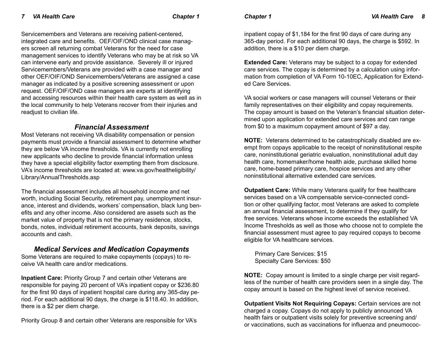Servicemembers and Veterans are receiving patient-centered, integrated care and benefits. OEF/OIF/OND clinical case managers screen all returning combat Veterans for the need for case management services to identify Veterans who may be at risk so VA can intervene early and provide assistance. Severely ill or injured Servicemembers/Veterans are provided with a case manager and other OEF/OIF/OND Servicemembers/Veterans are assigned a case manager as indicated by a positive screening assessment or upon request. OEF/OIF/OND case managers are experts at identifying and accessing resources within their health care system as well as in the local community to help Veterans recover from their injuries and readjust to civilian life.

#### *Financial Assessment*

Most Veterans not receiving VA disability compensation or pension payments must provide a financial assessment to determine whether they are below VA income thresholds. VA is currently not enrolling new applicants who decline to provide financial information unless they have a special eligibility factor exempting them from disclosure. VA's income thresholds are located at: www.va.gov/healtheligibility/ Library/AnnualThresholds.asp

The financial assessment includes all household income and net worth, including Social Security, retirement pay, unemployment insurance, interest and dividends, workers' compensation, black lung benefits and any other income. Also considered are assets such as the market value of property that is not the primary residence, stocks, bonds, notes, individual retirement accounts, bank deposits, savings accounts and cash.

# *Medical Services and Medication Copayments*

Some Veterans are required to make copayments (copays) to receive VA health care and/or medications.

**Inpatient Care:** Priority Group 7 and certain other Veterans are responsible for paying 20 percent of VA's inpatient copay or \$236.80 for the first 90 days of inpatient hospital care during any 365-day period. For each additional 90 days, the charge is \$118.40. In addition, there is a \$2 per diem charge.

Priority Group 8 and certain other Veterans are responsible for VA's

inpatient copay of \$1,184 for the first 90 days of care during any 365-day period. For each additional 90 days, the charge is \$592. In addition, there is a \$10 per diem charge.

**Extended Care:** Veterans may be subject to a copay for extended care services. The copay is determined by a calculation using information from completion of VA Form 10-10EC, Application for Extended Care Services.

VA social workers or case managers will counsel Veterans or their family representatives on their eligibility and copay requirements. The copay amount is based on the Veteran's financial situation determined upon application for extended care services and can range from \$0 to a maximum copayment amount of \$97 a day.

**NOTE:** Veterans determined to be catastrophically disabled are exempt from copays applicable to the receipt of noninstitutional respite care, noninstitutional geriatric evaluation, noninstitutional adult day health care, homemaker/home health aide, purchase skilled home care, home-based primary care, hospice services and any other noninstitutional alternative extended care services.

**Outpatient Care:** While many Veterans qualify for free healthcare services based on a VA compensable service-connected condition or other qualifying factor, most Veterans are asked to complete an annual financial assessment, to determine if they qualify for free services. Veterans whose income exceeds the established VA Income Thresholds as well as those who choose not to complete the financial assessment must agree to pay required copays to become eligible for VA healthcare services.

Primary Care Services: \$15 Specialty Care Services: \$50

**NOTE:** Copay amount is limited to a single charge per visit regardless of the number of health care providers seen in a single day. The copay amount is based on the highest level of service received.

**Outpatient Visits Not Requiring Copays:** Certain services are not charged a copay. Copays do not apply to publicly announced VA health fairs or outpatient visits solely for preventive screening and/ or vaccinations, such as vaccinations for influenza and pneumococ-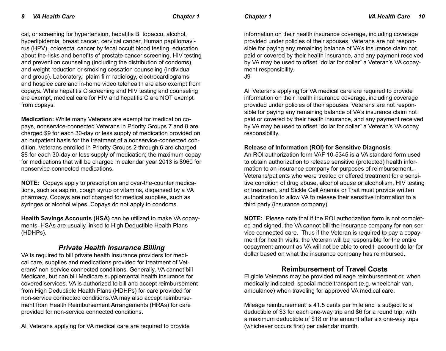cal, or screening for hypertension, hepatitis B, tobacco, alcohol, hyperlipidemia, breast cancer, cervical cancer, Human papillomavirus (HPV), colorectal cancer by fecal occult blood testing, education about the risks and benefits of prostate cancer screening, HIV testing and prevention counseling (including the distribution of condoms), and weight reduction or smoking cessation counseling (individual and group). Laboratory, plaim film radiology, electrocardiograms, and hospice care and in-home video telehealth are also exempt from copays. While hepatitis C screening and HIV testing and counseling are exempt, medical care for HIV and hepatitis C are NOT exempt from copays.

**Medication:** While many Veterans are exempt for medication copays, nonservice-connected Veterans in Priority Groups 7 and 8 are charged \$9 for each 30-day or less supply of medication provided on an outpatient basis for the treatment of a nonservice-connected condition. Veterans enrolled in Priority Groups 2 through 6 are charged \$8 for each 30-day or less supply of medication; the maximum copay for medications that will be charged in calendar year 2013 is \$960 for nonservice-connected medications.

**NOTE:** Copays apply to prescription and over-the-counter medications, such as aspirin, cough syrup or vitamins, dispensed by a VA pharmacy. Copays are not charged for medical supplies, such as syringes or alcohol wipes. Copays do not apply to condoms.

**Health Savings Accounts (HSA)** can be utilized to make VA copayments. HSAs are usually linked to High Deductible Health Plans (HDHPs).

# *Private Health Insurance Billing*

VA is required to bill private health insurance providers for medical care, supplies and medications provided for treatment of Veterans' non-service connected conditions. Generally, VA cannot bill Medicare, but can bill Medicare supplemental health insurance for covered services. VA is authorized to bill and accept reimbursement from High Deductible Health Plans (HDHPs) for care provided for non-service connected conditions.VA may also accept reimbursement from Health Reimbursement Arrangements (HRAs) for care provided for non-service connected conditions.

All Veterans applying for VA medical care are required to provide

information on their health insurance coverage, including coverage provided under policies of their spouses. Veterans are not responsible for paying any remaining balance of VA's insurance claim not paid or covered by their health insurance, and any payment received by VA may be used to offset "dollar for dollar" a Veteran's VA copayment responsibility.

J9

All Veterans applying for VA medical care are required to provide information on their health insurance coverage, including coverage provided under policies of their spouses. Veterans are not responsible for paying any remaining balance of VA's insurance claim not paid or covered by their health insurance, and any payment received by VA may be used to offset "dollar for dollar" a Veteran's VA copay responsibility.

#### **Release of Information (ROI) for Sensitive Diagnosis**

An ROI authorization form VAF 10-5345 is a VA standard form used to obtain authorization to release sensitive (protected) health information to an insurance company for purposes of reimbursement.. Veterans/patients who were treated or offered treatment for a sensitive condition of drug abuse, alcohol abuse or alcoholism, HIV testing or treatment, and Sickle Cell Anemia or Trait must provide written authorization to allow VA to release their sensitive information to a third party (insurance company).

**NOTE:** Please note that if the ROI authorization form is not completed and signed, the VA cannot bill the insurance company for non-service connected care. Thus if the Veteran is required to pay a copayment for health visits, the Veteran will be responsible for the entire copayment amount as VA will not be able to credit account dollar for dollar based on what the insurance company has reimbursed.

# **Reimbursement of Travel Costs**

Eligible Veterans may be provided mileage reimbursement or, when medically indicated, special mode transport (e.g. wheelchair van, ambulance) when traveling for approved VA medical care.

Mileage reimbursement is 41.5 cents per mile and is subject to a deductible of \$3 for each one-way trip and \$6 for a round trip; with a maximum deductible of \$18 or the amount after six one-way trips (whichever occurs first) per calendar month.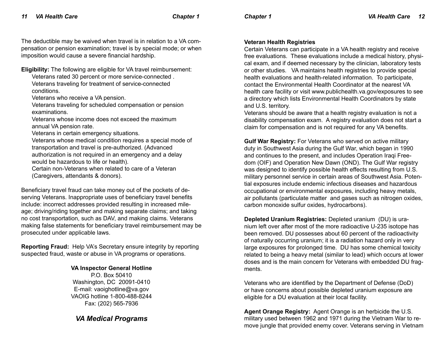The deductible may be waived when travel is in relation to a VA compensation or pension examination; travel is by special mode; or when imposition would cause a severe financial hardship.

**Eligibility:** The following are eligible for VA travel reimbursement:

Veterans rated 30 percent or more service-connected . Veterans traveling for treatment of service-connected conditions.

Veterans who receive a VA pension.

Veterans traveling for scheduled compensation or pension examinations.

Veterans whose income does not exceed the maximum annual VA pension rate.

Veterans in certain emergency situations.

Veterans whose medical condition requires a special mode of transportation and travel is pre-authorized. (Advanced authorization is not required in an emergency and a delay would be hazardous to life or health).

Certain non-Veterans when related to care of a Veteran (Caregivers, attendants & donors).

Beneficiary travel fraud can take money out of the pockets of deserving Veterans. Inappropriate uses of beneficiary travel benefits include: incorrect addresses provided resulting in increased mileage; driving/riding together and making separate claims; and taking no cost transportation, such as DAV, and making claims. Veterans making false statements for beneficiary travel reimbursement may be prosecuted under applicable laws.

**Reporting Fraud:** Help VA's Secretary ensure integrity by reporting suspected fraud, waste or abuse in VA programs or operations.

#### **VA Inspector General Hotline**

P.O. Box 50410 Washington, DC 20091-0410 E-mail: vaoighotline@va.gov VAOIG hotline 1-800-488-8244 Fax: (202) 565-7936

#### *VA Medical Programs*

#### **Veteran Health Registries**

Certain Veterans can participate in a VA health registry and receive free evaluations. These evaluations include a medical history, physical exam, and if deemed necessary by the clinician, laboratory tests or other studies. VA maintains health registries to provide special health evaluations and health-related information. To participate, contact the Environmental Health Coordinator at the nearest VA health care facility or visit www.publichealth.va.gov/exposures to see a directory which lists Environmental Health Coordinators by state and U.S. territory.

Veterans should be aware that a health registry evaluation is not a disability compensation exam. A registry evaluation does not start a claim for compensation and is not required for any VA benefits.

**Gulf War Registry:** For Veterans who served on active military duty in Southwest Asia during the Gulf War, which began in 1990 and continues to the present, and includes Operation Iraqi Freedom (OIF) and Operation New Dawn (OND). The Gulf War registry was designed to identify possible health effects resulting from U.S. military personnel service in certain areas of Southwest Asia. Potential exposures include endemic infectious diseases and hazardous occupational or environmental exposures, including heavy metals, air pollutants (particulate matter and gases such as nitrogen oxides, carbon monoxide sulfur oxides, hydrocarbons).

**Depleted Uranium Registries:** Depleted uranium (DU) is uranium left over after most of the more radioactive U-235 isotope has been removed. DU possesses about 60 percent of the radioactivity of naturally occurring uranium; it is a radiation hazard only in very large exposures for prolonged time. DU has some chemical toxicity related to being a heavy metal (similar to lead) which occurs at lower doses and is the main concern for Veterans with embedded DU fragments.

Veterans who are identified by the Department of Defense (DoD) or have concerns about possible depleted uranium exposure are eligible for a DU evaluation at their local facility.

**Agent Orange Registry:** Agent Orange is an herbicide the U.S. military used between 1962 and 1971 during the Vietnam War to remove jungle that provided enemy cover. Veterans serving in Vietnam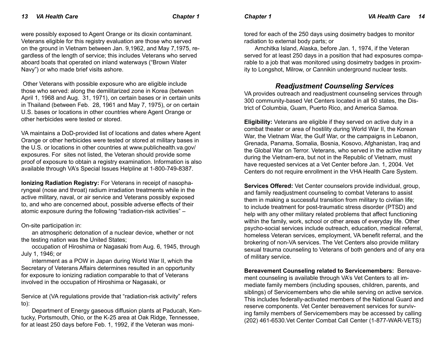were possibly exposed to Agent Orange or its dioxin contaminant. Veterans eligible for this registry evaluation are those who served on the ground in Vietnam between Jan. 9,1962, and May 7,1975, regardless of the length of service; this includes Veterans who served aboard boats that operated on inland waterways ("Brown Water Navy") or who made brief visits ashore.

 Other Veterans with possible exposure who are eligible include those who served: along the demilitarized zone in Korea (between April 1, 1968 and Aug. 31, 1971), on certain bases or in certain units in Thailand (between Feb. 28, 1961 and May 7, 1975), or on certain U.S. bases or locations in other countries where Agent Orange or other herbicides were tested or stored.

VA maintains a DoD-provided list of locations and dates where Agent Orange or other herbicides were tested or stored at military bases in the U.S. or locations in other countries at www.publichealth.va.gov/ exposures. For sites not listed, the Veteran should provide some proof of exposure to obtain a registry examination. Information is also available through VA's Special Issues Helpline at 1-800-749-8387.

**Ionizing Radiation Registry:** For Veterans in receipt of nasopharyngeal (nose and throat) radium irradiation treatments while in the active military, naval, or air service and Veterans possibly exposed to, and who are concerned about, possible adverse effects of their atomic exposure during the following "radiation-risk activities" –

On-site participation in:

an atmospheric detonation of a nuclear device, whether or not the testing nation was the United States;

occupation of Hiroshima or Nagasaki from Aug. 6, 1945, through July 1, 1946; or

internment as a POW in Japan during World War II, which the Secretary of Veterans Affairs determines resulted in an opportunity for exposure to ionizing radiation comparable to that of Veterans involved in the occupation of Hiroshima or Nagasaki, or

Service at (VA regulations provide that "radiation-risk activity" refers to):

Department of Energy gaseous diffusion plants at Paducah, Kentucky, Portsmouth, Ohio, or the K-25 area at Oak Ridge, Tennessee, for at least 250 days before Feb. 1, 1992, if the Veteran was monitored for each of the 250 days using dosimetry badges to monitor radiation to external body parts; or

Amchitka Island, Alaska, before Jan. 1, 1974, if the Veteran served for at least 250 days in a position that had exposures comparable to a job that was monitored using dosimetry badges in proximity to Longshot, Milrow, or Cannikin underground nuclear tests.

### *Readjustment Counseling Services*

VA provides outreach and readjustment counseling services through 300 community-based Vet Centers located in all 50 states, the District of Columbia, Guam, Puerto Rico, and America Samoa.

**Eligibility:** Veterans are eligible if they served on active duty in a combat theater or area of hostility during World War II, the Korean War, the Vietnam War, the Gulf War, or the campaigns in Lebanon, Grenada, Panama, Somalia, Bosnia, Kosovo, Afghanistan, Iraq and the Global War on Terror. Veterans, who served in the active military during the Vietnam-era, but not in the Republic of Vietnam, must have requested services at a Vet Center before Jan. 1, 2004. Vet Centers do not require enrollment in the VHA Health Care System.

**Services Offered:** Vet Center counselors provide individual, group, and family readjustment counseling to combat Veterans to assist them in making a successful transition from military to civilian life; to include treatment for post-traumatic stress disorder (PTSD) and help with any other military related problems that affect functioning within the family, work, school or other areas of everyday life. Other psycho-social services include outreach, education, medical referral, homeless Veteran services, employment, VA benefit referral, and the brokering of non-VA services. The Vet Centers also provide military sexual trauma counseling to Veterans of both genders and of any era of military service.

**Bereavement Counseling related to Servicemembers:** Bereavement counseling is available through VA's Vet Centers to all immediate family members (including spouses, children, parents, and siblings) of Servicemembers who die while serving on active service. This includes federally-activated members of the National Guard and reserve components. Vet Center bereavement services for surviving family members of Servicemembers may be accessed by calling (202) 461-6530.Vet Center Combat Call Center (1-877-WAR-VETS)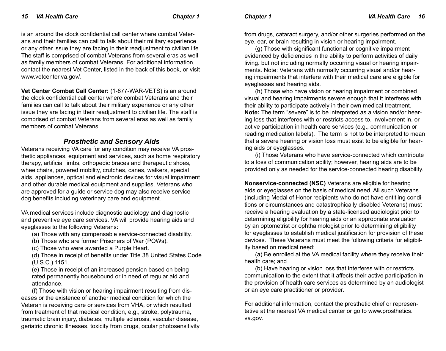is an around the clock confidential call center where combat Veterans and their families can call to talk about their military experience or any other issue they are facing in their readjustment to civilian life. The staff is comprised of combat Veterans from several eras as well as family members of combat Veterans. For additional information, contact the nearest Vet Center, listed in the back of this book, or visit www.vetcenter.va.gov/.

**Vet Center Combat Call Center:** (1-877-WAR-VETS) is an around the clock confidential call center where combat Veterans and their families can call to talk about their military experience or any other issue they are facing in their readjustment to civilian life. The staff is comprised of combat Veterans from several eras as well as family members of combat Veterans.

## *Prosthetic and Sensory Aids*

Veterans receiving VA care for any condition may receive VA prosthetic appliances, equipment and services, such as home respiratory therapy, artificial limbs, orthopedic braces and therapeutic shoes, wheelchairs, powered mobility, crutches, canes, walkers, special aids, appliances, optical and electronic devices for visual impairment and other durable medical equipment and supplies. Veterans who are approved for a guide or service dog may also receive service dog benefits including veterinary care and equipment.

VA medical services include diagnostic audiology and diagnostic and preventive eye care services. VA will provide hearing aids and eyeglasses to the following Veterans:

(a) Those with any compensable service-connected disability.

(b) Those who are former Prisoners of War (POWs).

(c) Those who were awarded a Purple Heart.

(d) Those in receipt of benefits under Title 38 United States Code (U.S.C.) 1151.

(e) Those in receipt of an increased pension based on being rated permanently housebound or in need of regular aid and attendance.

(f) Those with vision or hearing impairment resulting from diseases or the existence of another medical condition for which the Veteran is receiving care or services from VHA, or which resulted from treatment of that medical condition, e.g., stroke, polytrauma, traumatic brain injury, diabetes, multiple sclerosis, vascular disease, geriatric chronic illnesses, toxicity from drugs, ocular photosensitivity from drugs, cataract surgery, and/or other surgeries performed on the eye, ear, or brain resulting in vision or hearing impairment.

(g) Those with significant functional or cognitive impairment evidenced by deficiencies in the ability to perform activities of daily living. but not including normally occurring visual or hearing impairments. Note: Veterans with normally occurring visual and/or hearing impairments that interfere with their medical care are eligible for eyeglasses and hearing aids.

(h) Those who have vision or hearing impairment or combined visual and hearing impairments severe enough that it interferes with their ability to participate actively in their own medical treatment. **Note:** The term "severe" is to be interpreted as a vision and/or hearing loss that interferes with or restricts access to, involvement in, or active participation in health care services (e.g., communication or reading medication labels). The term is not to be interpreted to mean that a severe hearing or vision loss must exist to be eligible for hearing aids or eyeglasses.

(i) Those Veterans who have service-connected which contribute to a loss of communication ability; however, hearing aids are to be provided only as needed for the service-connected hearing disability.

**Nonservice-connected (NSC)** Veterans are eligible for hearing aids or eyeglasses on the basis of medical need. All such Veterans (including Medal of Honor recipients who do not have entitling conditions or circumstances and catastrophically disabled Veterans) must receive a hearing evaluation by a state-licensed audiologist prior to determining eligibility for hearing aids or an appropriate evaluation by an optometrist or ophthalmologist prior to determining eligibility for eyeglasses to establish medical justification for provision of these devices. These Veterans must meet the following criteria for eligibility based on medical need:

(a) Be enrolled at the VA medical facility where they receive their health care; and

(b) Have hearing or vision loss that interferes with or restricts communication to the extent that it affects their active participation in the provision of health care services as determined by an audiologist or an eye care practitioner or provider.

For additional information, contact the prosthetic chief or representative at the nearest VA medical center or go to www.prosthetics. va.gov.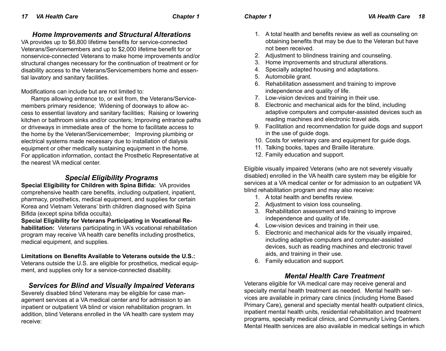# *Home Improvements and Structural Alterations*

VA provides up to \$6,800 lifetime benefits for service-connected Veterans/Servicemembers and up to \$2,000 lifetime benefit for or nonservice-connected Veterans to make home improvements and/or structural changes necessary for the continuation of treatment or for disability access to the Veterans/Servicemembers home and essential lavatory and sanitary facilities.

#### Modifications can include but are not limited to:

 Ramps allowing entrance to, or exit from, the Veterans/Servicemembers primary residence; Widening of doorways to allow access to essential lavatory and sanitary facilities; Raising or lowering kitchen or bathroom sinks and/or counters; Improving entrance paths or driveways in immediate area of the home to facilitate access to the home by the Veteran/Servicemember; Improving plumbing or electrical systems made necessary due to installation of dialysis equipment or other medically sustaining equipment in the home. For application information, contact the Prosthetic Representative at the nearest VA medical center.

# *Special Eligibility Programs*

**Special Eligibility for Children with Spina Bifida:** VA provides comprehensive health care benefits, including outpatient, inpatient, pharmacy, prosthetics, medical equipment, and supplies for certain Korea and Vietnam Veterans' birth children diagnosed with Spina Bifida (except spina bifida occulta).

**Special Eligibility for Veterans Participating in Vocational Rehabilitation:** Veterans participating in VA's vocational rehabilitation program may receive VA health care benefits including prosthetics, medical equipment, and supplies.

#### **Limitations on Benefits Available to Veterans outside the U.S.:**

Veterans outside the U.S. are eligible for prosthetics, medical equipment, and supplies only for a service-connected disability.

# *Services for Blind and Visually Impaired Veterans*

Severely disabled blind Veterans may be eligible for case management services at a VA medical center and for admission to an inpatient or outpatient VA blind or vision rehabilitation program. In addition, blind Veterans enrolled in the VA health care system may receive:

- 1. A total health and benefits review as well as counseling on obtaining benefits that may be due to the Veteran but have not been received.
- 2. Adjustment to blindness training and counseling.
- 3. Home improvements and structural alterations.
- 4. Specially adapted housing and adaptations.
- 5. Automobile grant.
- 6. Rehabilitation assessment and training to improve independence and quality of life.
- 7. Low-vision devices and training in their use.
- 8. Electronic and mechanical aids for the blind, including adaptive computers and computer-assisted devices such as reading machines and electronic travel aids.
- 9. Facilitation and recommendation for guide dogs and support in the use of guide dogs.
- 10. Costs for veterinary care and equipment for guide dogs.
- 11. Talking books, tapes and Braille literature.
- 12. Family education and support.

Eligible visually impaired Veterans (who are not severely visually disabled) enrolled in the VA health care system may be eligible for services at a VA medical center or for admission to an outpatient VA blind rehabilitation program and may also receive:

- 1. A total health and benefits review.
- 2. Adjustment to vision loss counseling.
- 3. Rehabilitation assessment and training to improve independence and quality of life.
- 4. Low-vision devices and training in their use.
- 5. Electronic and mechanical aids for the visually impaired, including adaptive computers and computer-assisted devices, such as reading machines and electronic travel aids, and training in their use.
- 6. Family education and support.

# *Mental Health Care Treatment*

Veterans eligible for VA medical care may receive general and specialty mental health treatment as needed. Mental health services are available in primary care clinics (including Home Based Primary Care), general and specialty mental health outpatient clinics, inpatient mental health units, residential rehabilitation and treatment programs, specialty medical clinics, and Community Living Centers. Mental Health services are also available in medical settings in which

# <span id="page-13-0"></span>*17 VA Health Care Chapter 1 Chapter 1 VA Health Care 18*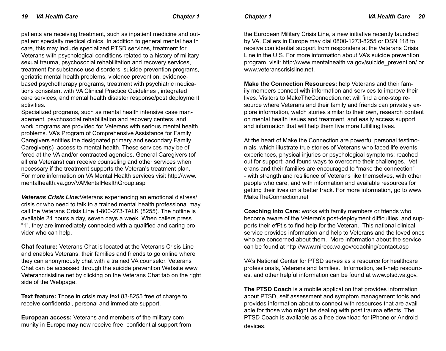patients are receiving treatment, such as inpatient medicine and outpatient specialty medical clinics. In addition to general mental health care, this may include specialized PTSD services, treatment for Veterans with psychological conditions related to a history of military sexual trauma, psychosocial rehabilitation and recovery services, treatment for substance use disorders, suicide prevention programs, geriatric mental health problems, violence prevention, evidencebased psychotherapy programs, treatment with psychiatric medications consistent with VA Clinical Practice Guidelines , integrated care services, and mental health disaster response/post deployment activities.

Specialized programs, such as mental health intensive case management, psychosocial rehabilitation and recovery centers, and work programs are provided for Veterans with serious mental health problems. VA's Program of Comprehensive Assistance for Family Caregivers entitles the designated primary and secondary Family Caregiver(s) access to mental health. These services may be offered at the VA and/or contracted agencies. General Caregivers (of all era Veterans) can receive counseling and other services when necessary if the treatment supports the Veteran's treatment plan. For more information on VA Mental Health services visit http://www. mentalhealth.va.gov/VAMentalHealthGroup.asp

*Veterans Crisis Line:*Veterans experiencing an emotional distress/ crisis or who need to talk to a trained mental health professional may call the Veterans Crisis Line 1-800-273-TALK (8255). The hotline is available 24 hours a day, seven days a week. When callers press "1", they are immediately connected with a qualified and caring provider who can help.

**Chat feature:** Veterans Chat is located at the Veterans Crisis Line and enables Veterans, their families and friends to go online where they can anonymously chat with a trained VA counselor. Veterans Chat can be accessed through the suicide prevention Website www. Veterancrisisline.net by clicking on the Veterans Chat tab on the right side of the Webpage.

**Text feature:** Those in crisis may text 83-8255 free of charge to receive confidential, personal and immediate support.

**European access:** Veterans and members of the military community in Europe may now receive free, confidential support from

the European Military Crisis Line, a new initiative recently launched by VA. Callers in Europe may dial 0800-1273-8255 or DSN 118 to receive confidential support from responders at the Veterans Crisis Line in the U.S. For more information about VA's suicide prevention program, visit: http://www.mentalhealth.va.gov/suicide\_prevention/ or www.veteranscrisisline.net.

**Make the Connection Resources:** help Veterans and their family members connect with information and services to improve their lives. Visitors to MakeTheConnection.net will find a one-stop resource where Veterans and their family and friends can privately explore information, watch stories similar to their own, research content on mental health issues and treatment, and easily access support and information that will help them live more fulfilling lives.

At the heart of Make the Connection are powerful personal testimonials, which illustrate true stories of Veterans who faced life events, experiences, physical injuries or psychological symptoms; reached out for support; and found ways to overcome their challenges. Veterans and their families are encouraged to "make the connection" - with strength and resilience of Veterans like themselves, with other people who care, and with information and available resources for getting their lives on a better track. For more information, go to www. MakeTheConnection.net

**Coaching Into Care:** works with family members or friends who become aware of the Veteran's post-deployment difficulties, and supports their efFt.s to find help for the Veteran. This national clinical service provides information and help to Veterans and the loved ones who are concerned about them. More information about the service can be found at http://www.mirecc.va.gov/coaching/contact.asp

VA's National Center for PTSD serves as a resource for healthcare professionals, Veterans and families. Information, self-help resources, and other helpful information can be found at www.ptsd.va.gov.

**The PTSD Coach** is a mobile application that provides information about PTSD, self assessment and symptom management tools and provides information about to connect with resources that are available for those who might be dealing with post trauma effects. The PTSD Coach is available as a free download for iPhone or Android devices.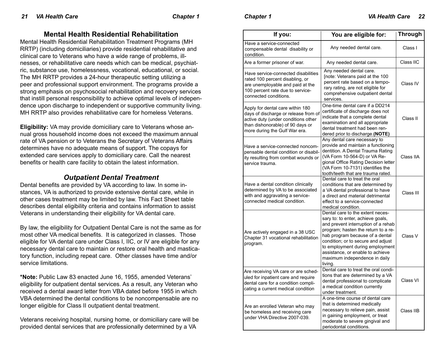# **Mental Health Residential Rehabilitation**

Mental Health Residential Rehabilitation Treatment Programs (MH RRTP) (including domiciliaries) provide residential rehabilitative and clinical care to Veterans who have a wide range of problems, illnesses, or rehabilitative care needs which can be medical, psychiatric, substance use, homelessness, vocational, educational, or social. The MH RRTP provides a 24-hour therapeutic setting utilizing a peer and professional support environment. The programs provide a strong emphasis on psychosocial rehabilitation and recovery services that instill personal responsibility to achieve optimal levels of independence upon discharge to independent or supportive community living. MH RRTP also provides rehabilitative care for homeless Veterans.

**Eligibility:** VA may provide domiciliary care to Veterans whose annual gross household income does not exceed the maximum annual rate of VA pension or to Veterans the Secretary of Veterans Affairs determines have no adequate means of support. The copays for extended care services apply to domiciliary care. Call the nearest benefits or health care facility to obtain the latest information.

## *Outpatient Dental Treatment*

Dental benefits are provided by VA according to law. In some instances, VA is authorized to provide extensive dental care, while in other cases treatment may be limited by law. This Fact Sheet table describes dental eligibility criteria and contains information to assist Veterans in understanding their eligibility for VA dental care.

By law, the eligibility for Outpatient Dental Care is not the same as for most other VA medical benefits. It is categorized in classes. Those eligible for VA dental care under Class I, IIC, or IV are eligible for any necessary dental care to maintain or restore oral health and masticatory function, including repeat care. Other classes have time and/or service limitations.

**\*Note:** Public Law 83 enacted June 16, 1955, amended Veterans' eligibility for outpatient dental services. As a result, any Veteran who received a dental award letter from VBA dated before 1955 in which VBA determined the dental conditions to be noncompensable are no longer eligible for Class II outpatient dental treatment.

Veterans receiving hospital, nursing home, or domiciliary care will be provided dental services that are professionally determined by a VA

| If you:                                                                                                                                                                              | You are eligible for:                                                                                                                                                                                                                                                                                                                           | <b>Through</b> |
|--------------------------------------------------------------------------------------------------------------------------------------------------------------------------------------|-------------------------------------------------------------------------------------------------------------------------------------------------------------------------------------------------------------------------------------------------------------------------------------------------------------------------------------------------|----------------|
| Have a service-connected<br>compensable dental disability or<br>condition.                                                                                                           | Any needed dental care.                                                                                                                                                                                                                                                                                                                         | Class I        |
| Are a former prisoner of war.                                                                                                                                                        | Any needed dental care.                                                                                                                                                                                                                                                                                                                         | Class IIC      |
| Have service-connected disabilities<br>rated 100 percent disabling, or<br>are unemployable and paid at the<br>100 percent rate due to service-<br>connected conditions.              | Any needed dental care.<br>[note: Veterans paid at the 100<br>percent rate based on a tempo-<br>rary rating, are not eligible for<br>comprehensive outpatient dental<br>services.                                                                                                                                                               | Class IV       |
| Apply for dental care within 180<br>days of discharge or release from of<br>active duty (under conditions other<br>than dishonorable) of 90 days or<br>more during the Gulf War era. | One-time dental care if a DD214<br>certificate of discharge does not<br>indicate that a complete dental<br>examination and all appropriate<br>dental treatment had been ren-<br>dered prior to discharge.(NOTE)                                                                                                                                 | Class II       |
| Have a service-connected noncom-<br>pensable dental condition or disabil-<br>ity resulting from combat wounds or<br>service trauma.                                                  | Any dental care necessary to<br>provide and maintain a functioning<br>dentition. A Dental Trauma Rating<br>(VA Form 10-564-D) or VA Re-<br>gional Office Rating Decision letter<br>(VA Form 10-7131) identifies the<br>tooth/teeth that are trauma rated.                                                                                       | Class IIA      |
| Have a dental condition clinically<br>determined by VA to be associated<br>with and aggravating a service-<br>connected medical condition.                                           | Dental care to treat the oral<br>conditions that are determined by<br>a VA dental professional to have<br>a direct and material detrimental<br>effect to a service-connected<br>medical condition.                                                                                                                                              | Class III      |
| Are actively engaged in a 38 USC<br>Chapter 31 vocational rehabilitation<br>program.                                                                                                 | Dental care to the extent neces-<br>sary to: to enter, achieve goals,<br>and prevent interruption of a rehab<br>program; hasten the return to a re-<br>hab program because of a dental<br>condition; or to secure and adjust<br>to employment during employment<br>assistance, or enable to achieve<br>maximum independence in daily<br>living. | Class V        |
| Are receiving VA care or are sched-<br>uled for inpatient care and require<br>dental care for a condition compli-<br>cating a current medical condition                              | Dental care to treat the oral condi-<br>tions that are determined by a VA<br>dental professional to complicate<br>a medical condition currently<br>under treatment.                                                                                                                                                                             | Class VI       |
| Are an enrolled Veteran who may<br>be homeless and receiving care<br>under VHA Directive 2007-039.                                                                                   | A one-time course of dental care<br>that is determined medically<br>necessary to relieve pain, assist<br>in gaining employment, or treat<br>moderate to severe gingival and<br>periodontal conditions.                                                                                                                                          | Class IIB      |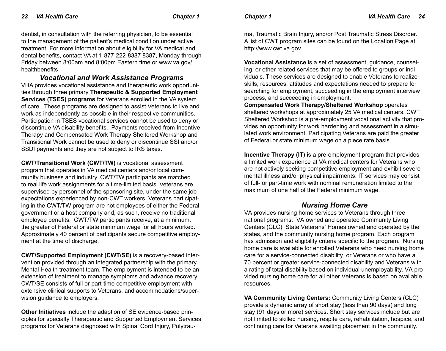dentist, in consultation with the referring physician, to be essential to the management of the patient's medical condition under active treatment. For more information about eligibility for VA medical and dental benefits, contact VA at 1-877-222-8387 8387, Monday through Friday between 8:00am and 8:00pm Eastern time or www.va.gov/ healthbenefits

*Vocational and Work Assistance Programs* VHA provides vocational assistance and therapeutic work opportunities through three primary **Therapeutic & Supported Employment Services (TSES) programs** for Veterans enrolled in the VA system of care. These programs are designed to assist Veterans to live and work as independently as possible in their respective communities. Participation in TSES vocational services cannot be used to deny or discontinue VA disability benefits. Payments received from Incentive Therapy and Compensated Work Therapy Sheltered Workshop and Transitional Work cannot be used to deny or discontinue SSI and/or SSDI payments and they are not subject to IRS taxes.

**CWT/Transitional Work (CWT/TW)** is vocational assessment program that operates in VA medical centers and/or local community business and industry. CWT/TW participants are matched to real life work assignments for a time-limited basis. Veterans are supervised by personnel of the sponsoring site, under the same job expectations experienced by non-CWT workers. Veterans participating in the CWT/TW program are not employees of either the Federal government or a host company and, as such, receive no traditional employee benefits. CWT/TW participants receive, at a minimum, the greater of Federal or state minimum wage for all hours worked. Approximately 40 percent of participants secure competitive employment at the time of discharge.

**CWT/Supported Employment (CWT/SE)** is a recovery-based intervention provided through an integrated partnership with the primary Mental Health treatment team. The employment is intended to be an extension of treatment to manage symptoms and advance recovery. CWT/SE consists of full or part-time competitive employment with extensive clinical supports to Veterans, and accommodations/supervision guidance to employers.

**Other Initiatives** include the adaption of SE evidence-based principles for specialty Therapeutic and Supported Employment Services programs for Veterans diagnosed with Spinal Cord Injury, Polytrau-

ma, Traumatic Brain Injury, and/or Post Traumatic Stress Disorder. A list of CWT program sites can be found on the Location Page at http://www.cwt.va.gov.

**Vocational Assistance** is a set of assessment, guidance, counseling, or other related services that may be offered to groups or individuals. These services are designed to enable Veterans to realize skills, resources, attitudes and expectations needed to prepare for searching for employment, succeeding in the employment interview process, and succeeding in employment.

**Compensated Work Therapy/Sheltered Workshop** operates sheltered workshops at approximately 25 VA medical centers. CWT Sheltered Workshop is a pre-employment vocational activity that provides an opportunity for work hardening and assessment in a simulated work environment. Participating Veterans are paid the greater of Federal or state minimum wage on a piece rate basis.

**Incentive Therapy (IT)** is a pre-employment program that provides a limited work experience at VA medical centers for Veterans who are not actively seeking competitive employment and exhibit severe mental illness and/or physical impairments. IT services may consist of full- or part-time work with nominal remuneration limited to the maximum of one half of the Federal minimum wage.

#### *Nursing Home Care*

VA provides nursing home services to Veterans through three national programs: VA owned and operated Community Living Centers (CLC), State Veterans' Homes owned and operated by the states, and the community nursing home program. Each program has admission and eligibility criteria specific to the program. Nursing home care is available for enrolled Veterans who need nursing home care for a service-connected disability, or Veterans or who have a 70 percent or greater service-connected disability and Veterans with a rating of total disability based on individual unemployability. VA provided nursing home care for all other Veterans is based on available resources.

**VA Community Living Centers:** Community Living Centers (CLC) provide a dynamic array of short stay (less than 90 days) and long stay (91 days or more) services. Short stay services include but are not limited to skilled nursing, respite care, rehabilitation, hospice, and continuing care for Veterans awaiting placement in the community.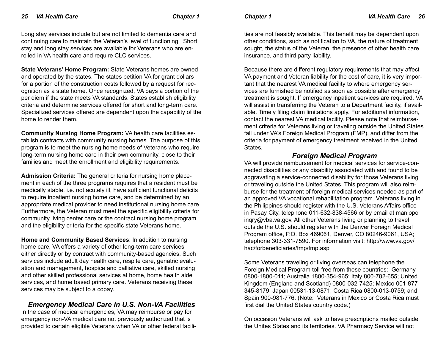<span id="page-17-0"></span>Long stay services include but are not limited to dementia care and continuing care to maintain the Veteran's level of functioning. Short stay and long stay services are available for Veterans who are enrolled in VA health care and require CLC services.

**State Veterans' Home Program:** State Veterans homes are owned and operated by the states. The states petition VA for grant dollars for a portion of the construction costs followed by a request for recognition as a state home. Once recognized, VA pays a portion of the per diem if the state meets VA standards. States establish eligibility criteria and determine services offered for short and long-term care. Specialized services offered are dependent upon the capability of the home to render them.

**Community Nursing Home Program:** VA health care facilities establish contracts with community nursing homes. The purpose of this program is to meet the nursing home needs of Veterans who require long-term nursing home care in their own community, close to their families and meet the enrollment and eligibility requirements.

**Admission Criteria:** The general criteria for nursing home placement in each of the three programs requires that a resident must be medically stable, i.e. not acutely ill, have sufficient functional deficits to require inpatient nursing home care, and be determined by an appropriate medical provider to need institutional nursing home care. Furthermore, the Veteran must meet the specific eligibility criteria for community living center care or the contract nursing home program and the eligibility criteria for the specific state Veterans home.

**Home and Community Based Services**: In addition to nursing home care, VA offers a variety of other long-term care services either directly or by contract with community-based agencies. Such services include adult day health care, respite care, geriatric evaluation and management, hospice and palliative care, skilled nursing and other skilled professional services at home, home health aide services, and home based primary care. Veterans receiving these services may be subject to a copay.

# *Emergency Medical Care in U.S. Non-VA Facilities*

In the case of medical emergencies, VA may reimburse or pay for emergency non-VA medical care not previously authorized that is provided to certain eligible Veterans when VA or other federal facilities are not feasibly available. This benefit may be dependent upon other conditions, such as notification to VA, the nature of treatment sought, the status of the Veteran, the presence of other health care insurance, and third party liability.

Because there are different regulatory requirements that may affect VA payment and Veteran liability for the cost of care, it is very important that the nearest VA medical facility to where emergency services are furnished be notified as soon as possible after emergency treatment is sought. If emergency inpatient services are required, VA will assist in transferring the Veteran to a Department facility, if available. Timely filing claim limitations apply. For additional information, contact the nearest VA medical facility. Please note that reimbursement criteria for Veterans living or traveling outside the United States fall under VA's Foreign Medical Program (FMP), and differ from the criteria for payment of emergency treatment received in the United States.

## *Foreign Medical Program*

VA will provide reimbursement for medical services for service-connected disabilities or any disability associated with and found to be aggravating a service-connected disability for those Veterans living or traveling outside the United States. This program will also reimburse for the treatment of foreign medical services needed as part of an approved VA vocational rehabilitation program. Veterans living in the Philippines should register with the U.S. Veterans Affairs office in Pasay City, telephone 011-632-838-4566 or by email at manlopc. inqry@vba.va.gov. All other Veterans living or planning to travel outside the U.S. should register with the Denver Foreign Medical Program office, P.O. Box 469061, Denver, CO 80246-9061, USA; telephone 303-331-7590. For information visit: http://www.va.gov/ hac/forbeneficiaries/fmp/fmp.asp

Some Veterans traveling or living overseas can telephone the Foreign Medical Program toll free from these countries: Germany 0800-1800-011; Australia 1800-354-965; Italy 800-782-655; United Kingdom (England and Scotland) 0800-032-7425; Mexico 001-877- 345-8179; Japan 00531-13-0871; Costa Rica 0800-013-0759; and Spain 900-981-776. (Note: Veterans in Mexico or Costa Rica must first dial the United States country code.)

On occasion Veterans will ask to have prescriptions mailed outside the Unites States and its territories. VA Pharmacy Service will not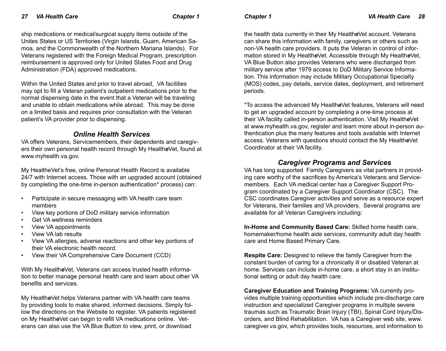<span id="page-18-0"></span>ship medications or medical/surgical supply items outside of the Unites States or US Territories (Virgin Islands, Guam, American Samoa, and the Commonwealth of the Northern Mariana Islands). For Veterans registered with the Foreign Medical Program, prescription reimbursement is approved only for United States Food and Drug Administration (FDA) approved medications.

Within the United States and prior to travel abroad, VA facilities may opt to fill a Veteran patient's outpatient medications prior to the normal dispensing date in the event that a Veteran will be traveling and unable to obtain medications while abroad. This may be done on a limited basis and requires prior consultation with the Veteran patient's VA provider prior to dispensing.

### *Online Health Services*

VA offers Veterans, Servicemembers, their dependents and caregivers their own personal health record through My Health*e*Vet, found at www.myhealth.va.gov.

My HealtheVet's free, online Personal Health Record is available 24/7 with Internet access. Those with an upgraded account (obtained by completing the one-time in-person authentication\* process) can:

- Participate in secure messaging with VA health care team members
- View key portions of DoD military service information
- Get VA wellness reminders
- View VA appointments
- View VA lab results
- View VA allergies, adverse reactions and other key portions of their VA electronic health record.
- View their VA Comprehensive Care Document (CCD)

With My Health*e*Vet, Veterans can access trusted health information to better manage personal health care and learn about other VA benefits and services.

My Health*e*Vet helps Veterans partner with VA health care teams by providing tools to make shared, informed decisions. Simply follow the directions on the Website to register. VA patients registered on My Health*e*Vet can begin to refill VA medications online. Veterans can also use the VA Blue Button to view, print, or download

the health data currently in their My Health*e*Vet account. Veterans can share this information with family, caregivers or others such as non-VA health care providers. It puts the Veteran in control of information stored in My Health*e*Vet. Accessible through My Health*e*Vet, VA Blue Button also provides Veterans who were discharged from military service after 1979 access to DoD Military Service Information. This information may include Military Occupational Specialty (MOS) codes, pay details, service dates, deployment, and retirement periods.

\*To access the advanced My Health*e*Vet features, Veterans will need to get an upgraded account by completing a one-time process at their VA facility called in-person authentication. Visit My Health*e*Vet at www.myhealth.va.gov, register and learn more about in-person authentication plus the many features and tools available with Internet access. Veterans with questions should contact the My Health*e*Vet Coordinator at their VA facility.

# *Caregiver Programs and Services*

VA has long supported Family Caregivers as vital partners in providing care worthy of the sacrifices by America's Veterans and Servicemembers. Each VA medical center has a Caregiver Support Program coordinated by a Caregiver Support Coordinator (CSC). The CSC coordinates Caregiver activities and serve as a resource expert for Veterans, their families and VA providers. Several programs are available for all Veteran Caregivers including:

**In-Home and Community Based Care:** Skilled home health care, homemaker/home health aide services, community adult day health care and Home Based Primary Care.

**Respite Care:** Designed to relieve the family Caregiver from the constant burden of caring for a chronically ill or disabled Veteran at home. Services can include in-home care, a short stay in an institutional setting or adult day health care.

**Caregiver Education and Training Programs:** VA currently provides multiple training opportunities which include pre-discharge care instruction and specialized Caregiver programs in multiple severe traumas such as Traumatic Brain Injury (TBI), Spinal Cord Injury/Disorders, and Blind Rehabilitation. VA has a Caregiver web site, www. caregiver.va.gov, which provides tools, resources, and information to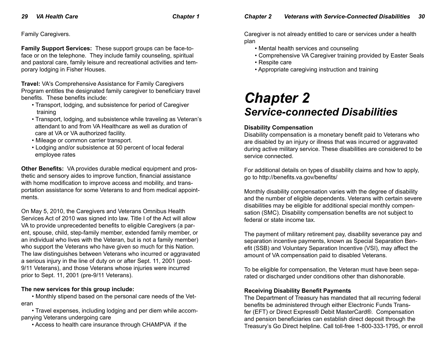Family Caregivers.

**Family Support Services:** These support groups can be face-toface or on the telephone. They include family counseling, spiritual and pastoral care, family leisure and recreational activities and temporary lodging in Fisher Houses.

**Travel:** VA's Comprehensive Assistance for Family Caregivers Program entitles the designated family caregiver to beneficiary travel benefits. These benefits include:

- Transport, lodging, and subsistence for period of Caregiver training
- Transport, lodging, and subsistence while traveling as Veteran's attendant to and from VA Healthcare as well as duration of care at VA or VA authorized facility.
- Mileage or common carrier transport.
- Lodging and/or subsistence at 50 percent of local federal employee rates

**Other Benefits:** VA provides durable medical equipment and prosthetic and sensory aides to improve function, financial assistance with home modification to improve access and mobility, and transportation assistance for some Veterans to and from medical appointments.

On May 5, 2010, the Caregivers and Veterans Omnibus Health Services Act of 2010 was signed into law. Title I of the Act will allow VA to provide unprecedented benefits to eligible Caregivers (a parent, spouse, child, step-family member, extended family member, or an individual who lives with the Veteran, but is not a family member) who support the Veterans who have given so much for this Nation. The law distinguishes between Veterans who incurred or aggravated a serious injury in the line of duty on or after Sept. 11, 2001 (post-9/11 Veterans), and those Veterans whose injuries were incurred prior to Sept. 11, 2001 (pre-9/11 Veterans).

#### **The new services for this group include:**

• Monthly stipend based on the personal care needs of the Veteran

• Travel expenses, including lodging and per diem while accompanying Veterans undergoing care

• Access to health care insurance through CHAMPVA if the

Caregiver is not already entitled to care or services under a health plan

- Mental health services and counseling
- Comprehensive VA Caregiver training provided by Easter Seals
- Respite care
- Appropriate caregiving instruction and training

# *Chapter 2 Service-connected Disabilities*

#### **Disability Compensation**

Disability compensation is a monetary benefit paid to Veterans who are disabled by an injury or illness that was incurred or aggravated during active military service. These disabilities are considered to be service connected.

For additional details on types of disability claims and how to apply, go to http://benefits.va.gov/benefits/

Monthly disability compensation varies with the degree of disability and the number of eligible dependents. Veterans with certain severe disabilities may be eligible for additional special monthly compensation (SMC). Disability compensation benefits are not subject to federal or state income tax.

The payment of military retirement pay, disability severance pay and separation incentive payments, known as Special Separation Benefit (SSB) and Voluntary Separation Incentive (VSI), may affect the amount of VA compensation paid to disabled Veterans.

To be eligible for compensation, the Veteran must have been separated or discharged under conditions other than dishonorable.

#### **Receiving Disability Benefit Payments**

The Department of Treasury has mandated that all recurring federal benefits be administered through either Electronic Funds Transfer (EFT) or Direct Express® Debit MasterCard®. Compensation and pension beneficiaries can establish direct deposit through the Treasury's Go Direct helpline. Call toll-free 1-800-333-1795, or enroll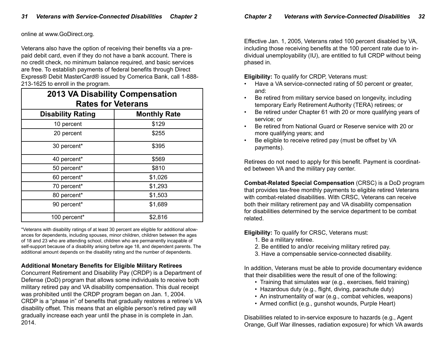online at www.GoDirect.org.

Veterans also have the option of receiving their benefits via a prepaid debit card, even if they do not have a bank account. There is no credit check, no minimum balance required, and basic services are free. To establish payments of federal benefits through Direct Express® Debit MasterCard® issued by Comerica Bank, call 1-888- 213-1625 to enroll in the program.

| <b>2013 VA Disability Compensation</b><br><b>Rates for Veterans</b> |                     |  |  |
|---------------------------------------------------------------------|---------------------|--|--|
| <b>Disability Rating</b>                                            | <b>Monthly Rate</b> |  |  |
| 10 percent                                                          | \$129               |  |  |
| 20 percent                                                          | \$255               |  |  |
| 30 percent*                                                         | \$395               |  |  |
| 40 percent*                                                         | \$569               |  |  |
| 50 percent*                                                         | \$810               |  |  |
| 60 percent*                                                         | \$1,026             |  |  |
| 70 percent*                                                         | \$1,293             |  |  |
| 80 percent*                                                         | \$1,503             |  |  |
| 90 percent*                                                         | \$1,689             |  |  |
| 100 percent*                                                        | \$2,816             |  |  |

\*Veterans with disability ratings of at least 30 percent are eligible for additional allowances for dependents, including spouses, minor children, children between the ages of 18 and 23 who are attending school, children who are permanently incapable of self-support because of a disability arising before age 18, and dependent parents. The additional amount depends on the disability rating and the number of dependents.

#### **Additional Monetary Benefits for Eligible Military Retirees**

Concurrent Retirement and Disability Pay (CRDP) is a Department of Defense (DoD) program that allows some individuals to receive both military retired pay and VA disability compensation. This dual receipt was prohibited until the CRDP program began on Jan. 1, 2004. CRDP is a "phase in" of benefits that gradually restores a retiree's VA disability offset. This means that an eligible person's retired pay will gradually increase each year until the phase in is complete in Jan. 2014.

Effective Jan. 1, 2005, Veterans rated 100 percent disabled by VA, including those receiving benefits at the 100 percent rate due to individual unemployability (IU), are entitled to full CRDP without being phased in.

**Eligibility:** To qualify for CRDP, Veterans must:

- Have a VA service-connected rating of 50 percent or greater, and:
- Be retired from military service based on longevity, including temporary Early Retirement Authority (TERA) retirees; or
- Be retired under Chapter 61 with 20 or more qualifying years of service; or
- Be retired from National Guard or Reserve service with 20 or more qualifying years; and
- Be eligible to receive retired pay (must be offset by VA payments).

Retirees do not need to apply for this benefit. Payment is coordinated between VA and the military pay center.

**Combat-Related Special Compensation** (CRSC) is a DoD program that provides tax-free monthly payments to eligible retired Veterans with combat-related disabilities. With CRSC, Veterans can receive both their military retirement pay and VA disability compensation for disabilities determined by the service department to be combat related.

**Eligibility:** To qualify for CRSC, Veterans must:

- 1. Be a military retiree.
- 2. Be entitled to and/or receiving military retired pay.
- 3. Have a compensable service-connected disability.

In addition, Veterans must be able to provide documentary evidence that their disabilities were the result of one of the following:

- Training that simulates war (e.g., exercises, field training)
- Hazardous duty (e.g., flight, diving, parachute duty)
- An instrumentality of war (e.g., combat vehicles, weapons)
- Armed conflict (e.g., gunshot wounds, Purple Heart)

Disabilities related to in-service exposure to hazards (e.g., Agent Orange, Gulf War illnesses, radiation exposure) for which VA awards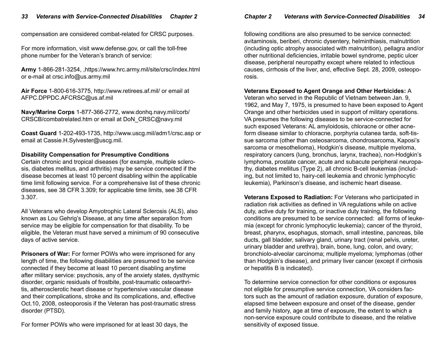<span id="page-21-0"></span>compensation are considered combat-related for CRSC purposes.

For more information, visit www.defense.gov, or call the toll-free phone number for the Veteran's branch of service:

**Army** 1-866-281-3254, ,https://www.hrc.army.mil/site/crsc/index.html or e-mail at crsc.info@us.army.mil

**Air Force** 1-800-616-3775, http://www.retirees.af.mil/ or email at AFPC.DPPDC.AFCRSC@us.af.mil

**Navy/Marine Corps** 1-877-366-2772, www.donhq.navy.mil/corb/ CRSCB/combatrelated.htm or email at DoN\_CRSC@navy.mil

**Coast Guard** 1-202-493-1735, http://www.uscg.mil/adm1/crsc.asp or email at Cassie.H.Sylvester@uscg.mil.

#### **Disability Compensation for Presumptive Conditions**

Certain chronic and tropical diseases (for example, multiple sclerosis, diabetes mellitus, and arthritis) may be service connected if the disease becomes at least 10 percent disabling within the applicable time limit following service. For a comprehensive list of these chronic diseases, see 38 CFR 3.309; for applicable time limits, see 38 CFR 3.307.

All Veterans who develop Amyotrophic Lateral Sclerosis (ALS), also known as Lou Gehrig's Disease, at any time after separation from service may be eligible for compensation for that disability. To be eligible, the Veteran must have served a minimum of 90 consecutive days of active service.

**Prisoners of War:** For former POWs who were imprisoned for any length of time, the following disabilities are presumed to be service connected if they become at least 10 percent disabling anytime after military service: psychosis, any of the anxiety states, dysthymic disorder, organic residuals of frostbite, post-traumatic osteoarthritis, atherosclerotic heart disease or hypertensive vascular disease and their complications, stroke and its complications, and, effective Oct.10, 2008, osteoporosis if the Veteran has post-traumatic stress disorder (PTSD).

For former POWs who were imprisoned for at least 30 days, the

following conditions are also presumed to be service connected: avitaminosis, beriberi, chronic dysentery, helminthiasis, malnutrition (including optic atrophy associated with malnutrition), pellagra and/or other nutritional deficiencies, irritable bowel syndrome, peptic ulcer disease, peripheral neuropathy except where related to infectious causes, cirrhosis of the liver, and, effective Sept. 28, 2009, osteoporosis.

**Veterans Exposed to Agent Orange and Other Herbicides:** A

Veteran who served in the Republic of Vietnam between Jan. 9, 1962, and May 7, 1975, is presumed to have been exposed to Agent Orange and other herbicides used in support of military operations. VA presumes the following diseases to be service-connected for such exposed Veterans: AL amyloidosis, chloracne or other acneform disease similar to chloracne, porphyria cutanea tarda, soft-tissue sarcoma (other than osteosarcoma, chondrosarcoma, Kaposi's sarcoma or mesothelioma), Hodgkin's disease, multiple myeloma, respiratory cancers (lung, bronchus, larynx, trachea), non-Hodgkin's lymphoma, prostate cancer, acute and subacute peripheral neuropathy, diabetes mellitus (Type 2), all chronic B-cell leukemias (including, but not limited to, hairy-cell leukemia and chronic lymphocytic leukemia), Parkinson's disease, and ischemic heart disease.

**Veterans Exposed to Radiation:** For Veterans who participated in radiation risk activities as defined in VA regulations while on active duty, active duty for training, or inactive duty training, the following conditions are presumed to be service connected: all forms of leukemia (except for chronic lymphocytic leukemia); cancer of the thyroid, breast, pharynx, esophagus, stomach, small intestine, pancreas, bile ducts, gall bladder, salivary gland, urinary tract (renal pelvis, ureter, urinary bladder and urethra), brain, bone, lung, colon, and ovary; bronchiolo-alveolar carcinoma; multiple myeloma; lymphomas (other than Hodgkin's disease), and primary liver cancer (except if cirrhosis or hepatitis B is indicated).

To determine service connection for other conditions or exposures not eligible for presumptive service connection, VA considers factors such as the amount of radiation exposure, duration of exposure, elapsed time between exposure and onset of the disease, gender and family history, age at time of exposure, the extent to which a non-service exposure could contribute to disease, and the relative sensitivity of exposed tissue.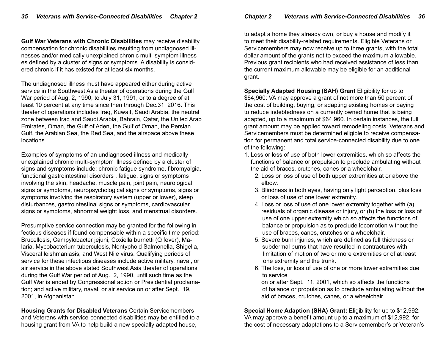**Gulf War Veterans with Chronic Disabilities** may receive disability compensation for chronic disabilities resulting from undiagnosed illnesses and/or medically unexplained chronic multi-symptom illnesses defined by a cluster of signs or symptoms. A disability is considered chronic if it has existed for at least six months.

The undiagnosed illness must have appeared either during active service in the Southwest Asia theater of operations during the Gulf War period of Aug. 2, 1990, to July 31, 1991, or to a degree of at least 10 percent at any time since then through Dec.31, 2016. This theater of operations includes Iraq, Kuwait, Saudi Arabia, the neutral zone between Iraq and Saudi Arabia, Bahrain, Qatar, the United Arab Emirates, Oman, the Gulf of Aden, the Gulf of Oman, the Persian Gulf, the Arabian Sea, the Red Sea, and the airspace above these locations.

Examples of symptoms of an undiagnosed illness and medically unexplained chronic multi-symptom illness defined by a cluster of signs and symptoms include: chronic fatigue syndrome, fibromyalgia, functional gastrointestinal disorders , fatigue, signs or symptoms involving the skin, headache, muscle pain, joint pain, neurological signs or symptoms, neuropsychological signs or symptoms, signs or symptoms involving the respiratory system (upper or lower), sleep disturbances, gastrointestinal signs or symptoms, cardiovascular signs or symptoms, abnormal weight loss, and menstrual disorders.

Presumptive service connection may be granted for the following infectious diseases if found compensable within a specific time period: Brucellosis, Campylobacter jejuni, Coxiella burnetti (Q fever), Malaria, Mycobacterium tuberculosis, Nontyphoid Salmonella, Shigella, Visceral leishmaniasis, and West Nile virus. Qualifying periods of service for these infectious diseases include active military, naval, or air service in the above stated Southwest Asia theater of operations during the Gulf War period of Aug. 2, 1990, until such time as the Gulf War is ended by Congressional action or Presidential proclamation; and active military, naval, or air service on or after Sept. 19, 2001, in Afghanistan.

**Housing Grants for Disabled Veterans** Certain Servicemembers and Veterans with service-connected disabilities may be entitled to a housing grant from VA to help build a new specially adapted house,

to adapt a home they already own, or buy a house and modify it to meet their disability-related requirements. Eligible Veterans or Servicemembers may now receive up to three grants, with the total dollar amount of the grants not to exceed the maximum allowable. Previous grant recipients who had received assistance of less than the current maximum allowable may be eligible for an additional grant.

**Specially Adapted Housing (SAH) Grant** Eligibility for up to \$64,960: VA may approve a grant of not more than 50 percent of the cost of building, buying, or adapting existing homes or paying to reduce indebtedness on a currently owned home that is being adapted, up to a maximum of \$64,960. In certain instances, the full grant amount may be applied toward remodeling costs. Veterans and Servicemembers must be determined eligible to receive compensation for permanent and total service-connected disability due to one of the following:

- 1. Loss or loss of use of both lower extremities, which so affects the functions of balance or propulsion to preclude ambulating without the aid of braces, crutches, canes or a wheelchair.
	- 2. Loss or loss of use of both upper extremities at or above the elbow.
	- 3. Blindness in both eyes, having only light perception, plus loss or loss of use of one lower extremity.
	- 4. Loss or loss of use of one lower extremity together with (a) residuals of organic disease or injury, or (b) the loss or loss of use of one upper extremity which so affects the functions of balance or propulsion as to preclude locomotion without the use of braces, canes, crutches or a wheelchair.
	- 5. Severe burn injuries, which are defined as full thickness or subdermal burns that have resulted in contractures with limitation of motion of two or more extremities or of at least one extremity and the trunk.
	- 6. The loss, or loss of use of one or more lower extremities due to service

 on or after Sept. 11, 2001, which so affects the functions of balance or propulsion as to preclude ambulating without the aid of braces, crutches, canes, or a wheelchair.

**Special Home Adaption (SHA) Grant:** Eligibility for up to \$12,992: VA may approve a benefit amount up to a maximum of \$12,992, for the cost of necessary adaptations to a Servicemember's or Veteran's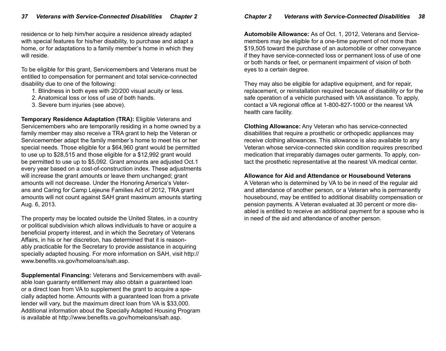residence or to help him/her acquire a residence already adapted with special features for his/her disability, to purchase and adapt a home, or for adaptations to a family member's home in which they will reside.

To be eligible for this grant, Servicemembers and Veterans must be entitled to compensation for permanent and total service-connected disability due to one of the following:

- 1. Blindness in both eyes with 20/200 visual acuity or less.
- 2. Anatomical loss or loss of use of both hands.
- 3. Severe burn injuries (see above).

**Temporary Residence Adaptation (TRA):** Eligible Veterans and Servicemembers who are temporarily residing in a home owned by a family member may also receive a TRA grant to help the Veteran or Servicemember adapt the family member's home to meet his or her special needs. Those eligible for a \$64,960 grant would be permitted to use up to \$28,515 and those eligible for a \$12,992 grant would be permitted to use up to \$5,092. Grant amounts are adjusted Oct.1 every year based on a cost-of-construction index. These adjustments will increase the grant amounts or leave them unchanged; grant amounts will not decrease. Under the Honoring America's Veterans and Caring for Camp Lejeune Families Act of 2012, TRA grant amounts will not count against SAH grant maximum amounts starting Aug. 6, 2013.

The property may be located outside the United States, in a country or political subdivision which allows individuals to have or acquire a beneficial property interest, and in which the Secretary of Veterans Affairs, in his or her discretion, has determined that it is reasonably practicable for the Secretary to provide assistance in acquiring specially adapted housing. For more information on SAH, visit http:// www.benefits.va.gov/homeloans/sah.asp.

**Supplemental Financing:** Veterans and Servicemembers with available loan guaranty entitlement may also obtain a guaranteed loan or a direct loan from VA to supplement the grant to acquire a specially adapted home. Amounts with a guaranteed loan from a private lender will vary, but the maximum direct loan from VA is \$33,000. Additional information about the Specially Adapted Housing Program is available at http://www.benefits.va.gov/homeloans/sah.asp.

**Automobile Allowance:** As of Oct. 1, 2012, Veterans and Servicemembers may be eligible for a one-time payment of not more than \$19,505 toward the purchase of an automobile or other conveyance if they have service-connected loss or permanent loss of use of one or both hands or feet, or permanent impairment of vision of both eyes to a certain degree.

They may also be eligible for adaptive equipment, and for repair, replacement, or reinstallation required because of disability or for the safe operation of a vehicle purchased with VA assistance. To apply, contact a VA regional office at 1-800-827-1000 or the nearest VA health care facility.

**Clothing Allowance:** Any Veteran who has service-connected disabilities that require a prosthetic or orthopedic appliances may receive clothing allowances. This allowance is also available to any Veteran whose service-connected skin condition requires prescribed medication that irreparably damages outer garments. To apply, contact the prosthetic representative at the nearest VA medical center.

#### **Allowance for Aid and Attendance or Housebound Veterans**

A Veteran who is determined by VA to be in need of the regular aid and attendance of another person, or a Veteran who is permanently housebound, may be entitled to additional disability compensation or pension payments. A Veteran evaluated at 30 percent or more disabled is entitled to receive an additional payment for a spouse who is in need of the aid and attendance of another person.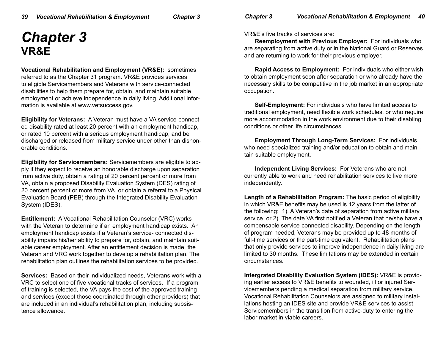*39 Vocational Rehabilitation & Employment Chapter 3 Chapter 3 Vocational Rehabilitation & Employment 40*

# *Chapter 3* **VR&E**

**Vocational Rehabilitation and Employment (VR&E):** sometimes referred to as the Chapter 31 program. VR&E provides services to eligible Servicemembers and Veterans with service-connected disabilities to help them prepare for, obtain, and maintain suitable employment or achieve independence in daily living. Additional information is available at www.vetsuccess.gov.

**Eligibility for Veterans:** A Veteran must have a VA service-connected disability rated at least 20 percent with an employment handicap, or rated 10 percent with a serious employment handicap, and be discharged or released from military service under other than dishonorable conditions.

**Eligibility for Servicemembers:** Servicemembers are eligible to apply if they expect to receive an honorable discharge upon separation from active duty, obtain a rating of 20 percent percent or more from VA, obtain a proposed Disability Evaluation System (DES) rating of 20 percent percent or more from VA, or obtain a referral to a Physical Evaluation Board (PEB) through the Integrated Disability Evaluation System (IDES).

**Entitlement:** A Vocational Rehabilitation Counselor (VRC) works with the Veteran to determine if an employment handicap exists. An employment handicap exists if a Veteran's service- connected disability impairs his/her ability to prepare for, obtain, and maintain suitable career employment. After an entitlement decision is made, the Veteran and VRC work together to develop a rehabilitation plan. The rehabilitation plan outlines the rehabilitation services to be provided.

**Services:** Based on their individualized needs, Veterans work with a VRC to select one of five vocational tracks of services. If a program of training is selected, the VA pays the cost of the approved training and services (except those coordinated through other providers) that are included in an individual's rehabilitation plan, including subsistence allowance.

VR&E's five tracks of services are:

**Reemployment with Previous Employer:** For individuals who are separating from active duty or in the National Guard or Reserves and are returning to work for their previous employer.

**Rapid Access to Employment:** For individuals who either wish to obtain employment soon after separation or who already have the necessary skills to be competitive in the job market in an appropriate occupation.

**Self-Employment:** For individuals who have limited access to traditional employment, need flexible work schedules, or who require more accommodation in the work environment due to their disabling conditions or other life circumstances.

**Employment Through Long-Term Services:** For individuals who need specialized training and/or education to obtain and maintain suitable employment.

**Independent Living Services:** For Veterans who are not currently able to work and need rehabilitation services to live more independently.

**Length of a Rehabilitation Program:** The basic period of eligibility in which VR&E benefits may be used is 12 years from the latter of the following: 1). A Veteran's date of separation from active military service, or 2). The date VA first notified a Veteran that he/she have a compensable service-connected disability. Depending on the length of program needed, Veterans may be provided up to 48 months of full-time services or the part-time equivalent. Rehabilitation plans that only provide services to improve independence in daily living are limited to 30 months. These limitations may be extended in certain circumstances.

**Intergrated Disability Evaluation System (IDES):** VR&E is providing earlier access to VR&E benefits to wounded, ill or injured Servicemembers pending a medical separation from military service. Vocational Rehabilitation Counselors are assigned to military installations hosting an IDES site and provide VR&E services to assist Servicemembers in the transition from active-duty to entering the labor market in viable careers.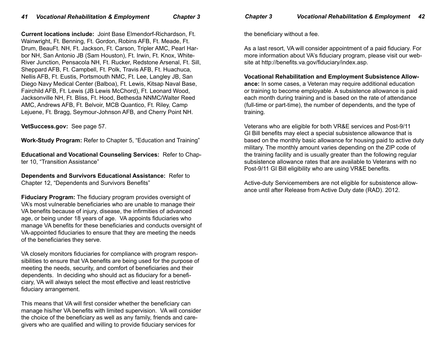<span id="page-25-0"></span>**Current locations include:** Joint Base Elmendorf-Richardson, Ft. Wainwright, Ft. Benning, Ft. Gordon, Robins AFB, Ft. Meade, Ft. Drum, BeauFt. NH, Ft. Jackson, Ft. Carson, Tripler AMC, Pearl Harbor NH, San Antonio JB (Sam Houston), Ft. Irwin, Ft. Knox, White-River Junction, Pensacola NH, Ft. Rucker, Redstone Arsenal, Ft. Sill, Sheppard AFB, Ft. Campbell, Ft. Polk, Travis AFB, Ft. Huachuca, Nellis AFB, Ft. Eustis, Portsmouth NMC, Ft. Lee, Langley JB, San Diego Navy Medical Center (Balboa), Ft. Lewis, Kitsap Naval Base, Fairchild AFB, Ft. Lewis (JB Lewis McChord), Ft. Leonard Wood, Jacksonville NH, Ft. Bliss, Ft. Hood, Bethesda NNMC/Walter Reed AMC, Andrews AFB, Ft. Belvoir, MCB Quantico, Ft. Riley, Camp Lejuene, Ft. Bragg, Seymour-Johnson AFB, and Cherry Point NH.

**VetSuccess.gov:** See page 57.

**Work-Study Program:** Refer to Chapter 5, "Education and Training"

**Educational and Vocational Counseling Services:** Refer to Chapter 10, "Transition Assistance"

**Dependents and Survivors Educational Assistance:** Refer to Chapter 12, "Dependents and Survivors Benefits"

**Fiduciary Program:** The fiduciary program provides oversight of VA's most vulnerable beneficiaries who are unable to manage their VA benefits because of injury, disease, the infirmities of advanced age, or being under 18 years of age. VA appoints fiduciaries who manage VA benefits for these beneficiaries and conducts oversight of VA-appointed fiduciaries to ensure that they are meeting the needs of the beneficiaries they serve.

VA closely monitors fiduciaries for compliance with program responsibilities to ensure that VA benefits are being used for the purpose of meeting the needs, security, and comfort of beneficiaries and their dependents. In deciding who should act as fiduciary for a beneficiary, VA will always select the most effective and least restrictive fiduciary arrangement.

This means that VA will first consider whether the beneficiary can manage his/her VA benefits with limited supervision. VA will consider the choice of the beneficiary as well as any family, friends and caregivers who are qualified and willing to provide fiduciary services for

the beneficiary without a fee.

As a last resort, VA will consider appointment of a paid fiduciary. For more information about VA's fiduciary program, please visit our website at http://benefits.va.gov/fiduciary/index.asp.

**Vocational Rehabilitation and Employment Subsistence Allowance:** In some cases, a Veteran may require additional education or training to become employable. A subsistence allowance is paid each month during training and is based on the rate of attendance (full-time or part-time), the number of dependents, and the type of training.

Veterans who are eligible for both VR&E services and Post-9/11 GI Bill benefits may elect a special subsistence allowance that is based on the monthly basic allowance for housing paid to active duty military. The monthly amount varies depending on the ZIP code of the training facility and is usually greater than the following regular subsistence allowance rates that are available to Veterans with no Post-9/11 GI Bill eligibility who are using VR&E benefits.

Active-duty Servicemembers are not eligible for subsistence allowance until after Release from Active Duty date (RAD). 2012.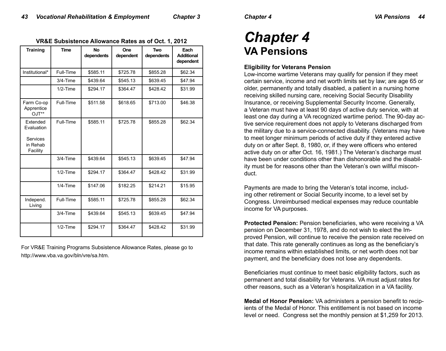| <b>Training</b>                      | <b>Time</b> | <b>No</b><br>dependents | One<br>dependent | Two<br>dependents | Each<br><b>Additional</b><br>dependent |
|--------------------------------------|-------------|-------------------------|------------------|-------------------|----------------------------------------|
| Institutional*                       | Full-Time   | \$585.11                | \$725.78         | \$855.28          | \$62.34                                |
|                                      | 3/4-Time    | \$439.64                | \$545.13         | \$639.45          | \$47.94                                |
|                                      | $1/2$ -Time | \$294.17                | \$364.47         | \$428.42          | \$31.99                                |
| Farm Co-op<br>Apprentice<br>$OJT***$ | Full-Time   | \$511.58                | \$618.65         | \$713.00          | \$46.38                                |
| Extended<br>Evaluation<br>Services   | Full-Time   | \$585.11                | \$725.78         | \$855.28          | \$62.34                                |
| in Rehab<br>Facility                 |             |                         |                  |                   |                                        |
|                                      | 3/4-Time    | \$439.64                | \$545.13         | \$639.45          | \$47.94                                |
|                                      | $1/2$ -Time | \$294.17                | \$364.47         | \$428.42          | \$31.99                                |
|                                      | $1/4$ -Time | \$147.06                | \$182.25         | \$214.21          | \$15.95                                |
| Independ.<br>Living                  | Full-Time   | \$585.11                | \$725.78         | \$855.28          | \$62.34                                |
|                                      | 3/4-Time    | \$439.64                | \$545.13         | \$639.45          | \$47.94                                |
|                                      | $1/2$ -Time | \$294.17                | \$364.47         | \$428.42          | \$31.99                                |

**VR&E Subsistence Allowance Rates as of Oct. 1, 2012**

For VR&E Training Programs Subsistence Allowance Rates, please go to http://www.vba.va.gov/bln/vre/sa.htm.

# *Chapter 4* **VA Pensions**

#### **Eligibility for Veterans Pension**

Low-income wartime Veterans may qualify for pension if they meet certain service, income and net worth limits set by law; are age 65 or older, permanently and totally disabled, a patient in a nursing home receiving skilled nursing care, receiving Social Security Disability Insurance, or receiving Supplemental Security Income. Generally, a Veteran must have at least 90 days of active duty service, with at least one day during a VA recognized wartime period. The 90-day active service requirement does not apply to Veterans discharged from the military due to a service-connected disability. (Veterans may have to meet longer minimum periods of active duty if they entered active duty on or after Sept. 8, 1980, or, if they were officers who entered active duty on or after Oct. 16, 1981.) The Veteran's discharge must have been under conditions other than dishonorable and the disability must be for reasons other than the Veteran's own willful misconduct.

Payments are made to bring the Veteran's total income, including other retirement or Social Security income, to a level set by Congress. Unreimbursed medical expenses may reduce countable income for VA purposes.

**Protected Pension:** Pension beneficiaries, who were receiving a VA pension on December 31, 1978, and do not wish to elect the Improved Pension, will continue to receive the pension rate received on that date. This rate generally continues as long as the beneficiary's income remains within established limits, or net worth does not bar payment, and the beneficiary does not lose any dependents.

Beneficiaries must continue to meet basic eligibility factors, such as permanent and total disability for Veterans. VA must adjust rates for other reasons, such as a Veteran's hospitalization in a VA facility.

**Medal of Honor Pension:** VA administers a pension benefit to recipients of the Medal of Honor. This entitlement is not based on income level or need. Congress set the monthly pension at \$1,259 for 2013.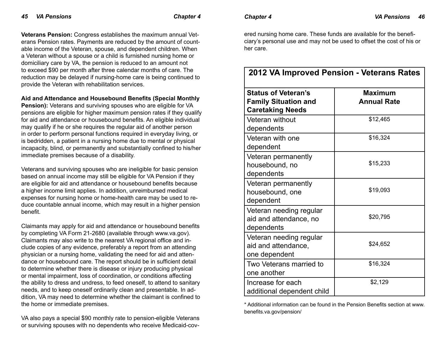**Veterans Pension:** Congress establishes the maximum annual Veterans Pension rates. Payments are reduced by the amount of countable income of the Veteran, spouse, and dependent children. When a Veteran without a spouse or a child is furnished nursing home or domiciliary care by VA, the pension is reduced to an amount not to exceed \$90 per month after three calendar months of care. The reduction may be delayed if nursing-home care is being continued to provide the Veteran with rehabilitation services.

#### **Aid and Attendance and Housebound Benefits (Special Monthly**

**Pension):** Veterans and surviving spouses who are eligible for VA pensions are eligible for higher maximum pension rates if they qualify for aid and attendance or housebound benefits. An eligible individual may qualify if he or she requires the regular aid of another person in order to perform personal functions required in everyday living, or is bedridden, a patient in a nursing home due to mental or physical incapacity, blind, or permanently and substantially confined to his/her immediate premises because of a disability.

Veterans and surviving spouses who are ineligible for basic pension based on annual income may still be eligible for VA Pension if they are eligible for aid and attendance or housebound benefits because a higher income limit applies. In addition, unreimbursed medical expenses for nursing home or home-health care may be used to reduce countable annual income, which may result in a higher pension benefit.

Claimants may apply for aid and attendance or housebound benefits by completing VA Form 21-2680 (available through www.va.gov). Claimants may also write to the nearest VA regional office and include copies of any evidence, preferably a report from an attending physician or a nursing home, validating the need for aid and attendance or housebound care. The report should be in sufficient detail to determine whether there is disease or injury producing physical or mental impairment, loss of coordination, or conditions affecting the ability to dress and undress, to feed oneself, to attend to sanitary needs, and to keep oneself ordinarily clean and presentable. In addition, VA may need to determine whether the claimant is confined to the home or immediate premises.

VA also pays a special \$90 monthly rate to pension-eligible Veterans or surviving spouses with no dependents who receive Medicaid-cov-

ered nursing home care. These funds are available for the beneficiary's personal use and may not be used to offset the cost of his or her care.

| 2012 VA Improved Pension - Veterans Rates                                            |                                      |  |  |
|--------------------------------------------------------------------------------------|--------------------------------------|--|--|
| <b>Status of Veteran's</b><br><b>Family Situation and</b><br><b>Caretaking Needs</b> | <b>Maximum</b><br><b>Annual Rate</b> |  |  |
| Veteran without<br>dependents                                                        | \$12,465                             |  |  |
| Veteran with one<br>dependent                                                        | \$16,324                             |  |  |
| Veteran permanently<br>housebound, no<br>dependents                                  | \$15,233                             |  |  |
| Veteran permanently<br>housebound, one<br>dependent                                  | \$19,093                             |  |  |
| Veteran needing regular<br>aid and attendance, no<br>dependents                      | \$20,795                             |  |  |
| Veteran needing regular<br>aid and attendance,<br>one dependent                      | \$24,652                             |  |  |
| Two Veterans married to<br>one another                                               | \$16,324                             |  |  |
| Increase for each<br>additional dependent child                                      | \$2,129                              |  |  |

\* Additional information can be found in the Pension Benefits section at www. benefits.va.gov/pension/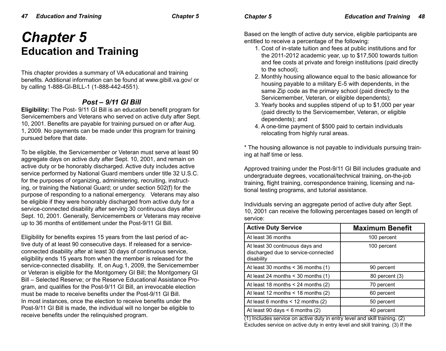# <span id="page-28-0"></span>*47 Education and Training Chapter 5 Chapter 5 Education and Training 48*

# *Chapter 5* **Education and Training**

This chapter provides a summary of VA educational and training benefits. Additional information can be found at www.gibill.va.gov/ or by calling 1-888-GI-BILL-1 (1-888-442-4551).

# *Post – 9/11 GI Bill*

**Eligibility:** The Post- 9/11 GI Bill is an education benefit program for Servicemembers and Veterans who served on active duty after Sept. 10, 2001. Benefits are payable for training pursued on or after Aug. 1, 2009. No payments can be made under this program for training pursued before that date.

To be eligible, the Servicemember or Veteran must serve at least 90 aggregate days on active duty after Sept. 10, 2001, and remain on active duty or be honorably discharged. Active duty includes active service performed by National Guard members under title 32 U.S.C. for the purposes of organizing, administering, recruiting, instructing, or training the National Guard; or under section 502(f) for the purpose of responding to a national emergency. Veterans may also be eligible if they were honorably discharged from active duty for a service-connected disability after serving 30 continuous days after Sept. 10, 2001. Generally, Servicemembers or Veterans may receive up to 36 months of entitlement under the Post-9/11 GI Bill.

Eligibility for benefits expires 15 years from the last period of active duty of at least 90 consecutive days. If released for a serviceconnected disability after at least 30 days of continuous service, eligibility ends 15 years from when the member is released for the service-connected disability. If, on Aug.1, 2009, the Servicemember or Veteran is eligible for the Montgomery GI Bill; the Montgomery GI Bill – Selected Reserve; or the Reserve Educational Assistance Program, and qualifies for the Post-9/11 GI Bill, an irrevocable election must be made to receive benefits under the Post-9/11 GI Bill. In most instances, once the election to receive benefits under the Post-9/11 GI Bill is made, the individual will no longer be eligible to receive benefits under the relinquished program.

Based on the length of active duty service, eligible participants are entitled to receive a percentage of the following:

- 1. Cost of in-state tuition and fees at public institutions and for the 2011-2012 academic year, up to \$17,500 towards tuition and fee costs at private and foreign institutions (paid directly to the school);
- 2. Monthly housing allowance equal to the basic allowance for housing payable to a military E-5 with dependents, in the same Zip code as the primary school (paid directly to the Servicemember, Veteran, or eligible dependents);
- 3. Yearly books and supplies stipend of up to \$1,000 per year (paid directly to the Servicemember, Veteran, or eligible dependents); and
- 4. A one-time payment of \$500 paid to certain individuals relocating from highly rural areas.

\* The housing allowance is not payable to individuals pursuing training at half time or less.

Approved training under the Post-9/11 GI Bill includes graduate and undergraduate degrees, vocational/technical training, on-the-job training, flight training, correspondence training, licensing and national testing programs, and tutorial assistance.

Individuals serving an aggregate period of active duty after Sept. 10, 2001 can receive the following percentages based on length of service:

| <b>Active Duty Service</b>                                                           | <b>Maximum Benefit</b> |
|--------------------------------------------------------------------------------------|------------------------|
| At least 36 months                                                                   | 100 percent            |
| At least 30 continuous days and<br>discharged due to service-connected<br>disability | 100 percent            |
| At least 30 months $<$ 36 months (1)                                                 | 90 percent             |
| At least 24 months $<$ 30 months (1)                                                 | 80 percent (3)         |
| At least 18 months < 24 months $(2)$                                                 | 70 percent             |
| At least 12 months $<$ 18 months (2)                                                 | 60 percent             |
| At least 6 months $<$ 12 months (2)                                                  | 50 percent             |
| At least 90 days $< 6$ months (2)                                                    | 40 percent             |

(1) Includes service on active duty in entry level and skill training. (2) Excludes service on active duty in entry level and skill training. (3) If the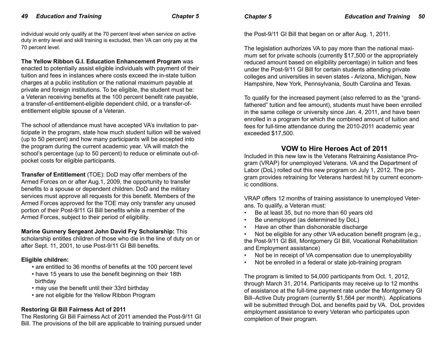individual would only qualify at the 70 percent level when service on active duty in entry level and skill training is excluded, then VA can only pay at the 70 percent level.

**The Yellow Ribbon G.I. Education Enhancement Program** was enacted to potentially assist eligible individuals with payment of their tuition and fees in instances where costs exceed the in-state tuition charges at a public institution or the national maximum payable at private and foreign institutions. To be eligible, the student must be: a Veteran receiving benefits at the 100 percent benefit rate payable, a transfer-of-entitlement-eligible dependent child, or a transfer-ofentitlement eligible spouse of a Veteran.

The school of attendance must have accepted VA's invitation to participate in the program, state how much student tuition will be waived (up to 50 percent) and how many participants will be accepted into the program during the current academic year. VA will match the school's percentage (up to 50 percent) to reduce or eliminate out-ofpocket costs for eligible participants.

**Transfer of Entitlement** (TOE): DoD may offer members of the Armed Forces on or after Aug.1, 2009, the opportunity to transfer benefits to a spouse or dependent children. DoD and the military services must approve all requests for this benefit. Members of the Armed Forces approved for the TOE may only transfer any unused portion of their Post-9/11 GI Bill benefits while a member of the Armed Forces, subject to their period of eligibility.

**Marine Gunnery Sergeant John David Fry Scholarship:** This scholarship entitles children of those who die in the line of duty on or after Sept. 11, 2001, to use Post-9/11 GI Bill benefits.

#### **Eligible children:**

- are entitled to 36 months of benefits at the 100 percent level
- have 15 years to use the benefit beginning on their 18th birthday
- may use the benefit until their 33rd birthday
- are not eligible for the Yellow Ribbon Program

# **Restoring GI Bill Fairness Act of 2011**

The Restoring GI Bill Fairness Act of 2011 amended the Post-9/11 GI Bill. The provisions of the bill are applicable to training pursued under

the Post-9/11 GI Bill that began on or after Aug. 1, 2011.

The legislation authorizes VA to pay more than the national maximum set for private schools (currently \$17,500 or the appropriately reduced amount based on eligibility percentage) in tuition and fees under the Post-9/11 GI Bill for certain students attending private colleges and universities in seven states - Arizona, Michigan, New Hampshire, New York, Pennsylvania, South Carolina and Texas.

To qualify for the increased payment (also referred to as the "grandfathered" tuition and fee amount), students must have been enrolled in the same college or university since Jan. 4, 2011, and have been enrolled in a program for which the combined amount of tuition and fees for full-time attendance during the 2010-2011 academic year exceeded \$17,500.

# **VOW to Hire Heroes Act of 2011**

Included in this new law is the Veterans Retraining Assistance Program (VRAP) for unemployed Veterans. VA and the Department of Labor (DoL) rolled out this new program on July 1, 2012. The program provides retraining for Veterans hardest hit by current economic conditions.

VRAP offers 12 months of training assistance to unemployed Veterans. To qualify, a Veteran must:

- Be at least 35, but no more than 60 years old
- Be unemployed (as determined by DoL)
- Have an other than dishonorable discharge
- Not be eligible for any other VA education benefit program (e.g., the Post-9/11 GI Bill, Montgomery GI Bill, Vocational Rehabilitation and Employment assistance)
- Not be in receipt of VA compensation due to unemployability
- Not be enrolled in a federal or state job-training program

The program is limited to 54,000 participants from Oct. 1, 2012, through March 31, 2014. Participants may receive up to 12 months of assistance at the full-time payment rate under the Montgomery GI Bill–Active Duty program (currently \$1,564 per month). Applications will be submitted through DoL and benefits paid by VA. DoL provides employment assistance to every Veteran who participates upon completion of their program.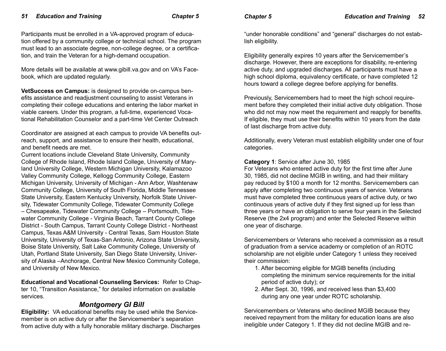Participants must be enrolled in a VA-approved program of education offered by a community college or technical school. The program must lead to an associate degree, non-college degree, or a certification, and train the Veteran for a high-demand occupation.

More details will be available at www.gibill.va.gov and on VA's Facebook, which are updated regularly.

**VetSuccess on Campus:** is designed to provide on-campus benefits assistance and readjustment counseling to assist Veterans in completing their college educations and entering the labor market in viable careers. Under this program, a full-time, experienced Vocational Rehabilitation Counselor and a part-time Vet Center Outreach

Coordinator are assigned at each campus to provide VA benefits outreach, support, and assistance to ensure their health, educational, and benefit needs are met.

Current locations include Cleveland State University, Community College of Rhode Island, Rhode Island College, University of Maryland University College, Western Michigan University, Kalamazoo Valley Community College, Kellogg Community College, Eastern Michigan University, University of Michigan - Ann Arbor, Washtenaw Community College, University of South Florida, Middle Tennessee State University, Eastern Kentucky University, Norfolk State University, Tidewater Community College, Tidewater Community College – Chesapeake, Tidewater Community College – Portsmouth, Tidewater Community College - Virginia Beach, Tarrant County College District - South Campus, Tarrant County College District - Northeast Campus, Texas A&M University - Central Texas, Sam Houston State University, University of Texas-San Antonio, Arizona State University, Boise State University, Salt Lake Community College, University of Utah, Portland State University, San Diego State University, University of Alaska –Anchorage, Central New Mexico Community College, and University of New Mexico.

**Educational and Vocational Counseling Services:** Refer to Chapter 10, "Transition Assistance," for detailed information on available services.

## *Montgomery GI Bill*

**Eligibility:** VA educational benefits may be used while the Servicemember is on active duty or after the Servicemember's separation from active duty with a fully honorable military discharge. Discharges "under honorable conditions" and "general" discharges do not establish eligibility.

Eligibility generally expires 10 years after the Servicemember's discharge. However, there are exceptions for disability, re-entering active duty, and upgraded discharges. All participants must have a high school diploma, equivalency certificate, or have completed 12 hours toward a college degree before applying for benefits.

Previously, Servicemembers had to meet the high school requirement before they completed their initial active duty obligation. Those who did not may now meet the requirement and reapply for benefits. If eligible, they must use their benefits within 10 years from the date of last discharge from active duty.

Additionally, every Veteran must establish eligibility under one of four categories.

**Category 1**: Service after June 30, 1985

For Veterans who entered active duty for the first time after June 30, 1985, did not decline MGIB in writing, and had their military pay reduced by \$100 a month for 12 months. Servicemembers can apply after completing two continuous years of service. Veterans must have completed three continuous years of active duty, or two continuous years of active duty if they first signed up for less than three years or have an obligation to serve four years in the Selected Reserve (the 2x4 program) and enter the Selected Reserve within one year of discharge.

Servicemembers or Veterans who received a commission as a result of graduation from a service academy or completion of an ROTC scholarship are not eligible under Category 1 unless they received their commission:

- 1. After becoming eligible for MGIB benefits (including completing the minimum service requirements for the initial period of active duty); or
- 2. After Sept. 30, 1996, and received less than \$3,400 during any one year under ROTC scholarship.

Servicemembers or Veterans who declined MGIB because they received repayment from the military for education loans are also ineligible under Category 1. If they did not decline MGIB and re-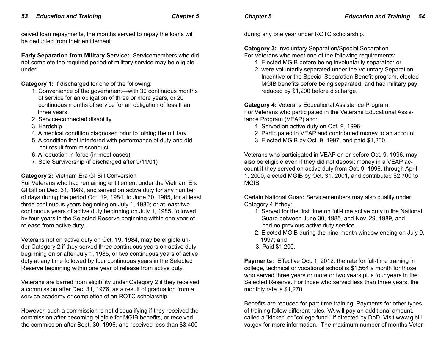<span id="page-31-0"></span>ceived loan repayments, the months served to repay the loans will be deducted from their entitlement.

**Early Separation from Military Service:** Servicemembers who did not complete the required period of military service may be eligible under:

#### **Category 1:** If discharged for one of the following:

- 1. Convenience of the government—with 30 continuous months of service for an obligation of three or more years, or 20 continuous months of service for an obligation of less than three years
- 2. Service-connected disability
- 3. Hardship
- 4. A medical condition diagnosed prior to joining the military
- 5. A condition that interfered with performance of duty and did not result from misconduct
- 6. A reduction in force (in most cases)
- 7. Sole Survivorship (if discharged after 9/11/01)

#### **Category 2:** Vietnam Era GI Bill Conversion

For Veterans who had remaining entitlement under the Vietnam Era GI Bill on Dec. 31, 1989, and served on active duty for any number of days during the period Oct. 19, 1984, to June 30, 1985, for at least three continuous years beginning on July 1, 1985; or at least two continuous years of active duty beginning on July 1, 1985, followed by four years in the Selected Reserve beginning within one year of release from active duty.

Veterans not on active duty on Oct. 19, 1984, may be eligible under Category 2 if they served three continuous years on active duty beginning on or after July 1, 1985, or two continuous years of active duty at any time followed by four continuous years in the Selected Reserve beginning within one year of release from active duty.

Veterans are barred from eligibility under Category 2 if they received a commission after Dec. 31, 1976, as a result of graduation from a service academy or completion of an ROTC scholarship.

However, such a commission is not disqualifying if they received the commission after becoming eligible for MGIB benefits, or received the commission after Sept. 30, 1996, and received less than \$3,400

during any one year under ROTC scholarship.

#### **Category 3:** Involuntary Separation/Special Separation

For Veterans who meet one of the following requirements:

- 1. Elected MGIB before being involuntarily separated; or
- 2. were voluntarily separated under the Voluntary Separation Incentive or the Special Separation Benefit program, elected MGIB benefits before being separated, and had military pay reduced by \$1,200 before discharge.

**Category 4:** Veterans Educational Assistance Program

For Veterans who participated in the Veterans Educational Assistance Program (VEAP) and:

- 1. Served on active duty on Oct. 9, 1996.
- 2. Participated in VEAP and contributed money to an account.
- 3. Elected MGIB by Oct. 9, 1997, and paid \$1,200.

Veterans who participated in VEAP on or before Oct. 9, 1996, may also be eligible even if they did not deposit money in a VEAP account if they served on active duty from Oct. 9, 1996, through April 1, 2000, elected MGIB by Oct. 31, 2001, and contributed \$2,700 to MGIB.

Certain National Guard Servicemembers may also qualify under Category 4 if they:

- 1. Served for the first time on full-time active duty in the National Guard between June 30, 1985, and Nov. 29, 1989, and had no previous active duty service.
- 2. Elected MGIB during the nine-month window ending on July 9, 1997; and
- 3. Paid \$1,200.

**Payments:** Effective Oct. 1, 2012, the rate for full-time training in college, technical or vocational school is \$1,564 a month for those who served three years or more or two years plus four years in the Selected Reserve. For those who served less than three years, the monthly rate is \$1,270

Benefits are reduced for part-time training. Payments for other types of training follow different rules. VA will pay an additional amount, called a "kicker" or "college fund," if directed by DoD. Visit www.gibill. va.gov for more information. The maximum number of months Veter-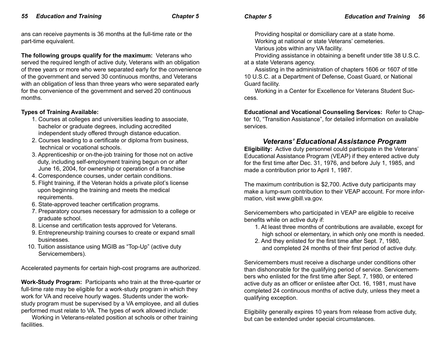ans can receive payments is 36 months at the full-time rate or the part-time equivalent.

**The following groups qualify for the maximum:** Veterans who served the required length of active duty, Veterans with an obligation of three years or more who were separated early for the convenience of the government and served 30 continuous months, and Veterans with an obligation of less than three years who were separated early for the convenience of the government and served 20 continuous months.

#### **Types of Training Available:**

- 1. Courses at colleges and universities leading to associate, bachelor or graduate degrees, including accredited independent study offered through distance education.
- 2. Courses leading to a certificate or diploma from business, technical or vocational schools.
- 3. Apprenticeship or on-the-job training for those not on active duty, including self-employment training begun on or after June 16, 2004, for ownership or operation of a franchise
- 4. Correspondence courses, under certain conditions.
- 5. Flight training, if the Veteran holds a private pilot's license upon beginning the training and meets the medical requirements.
- 6. State-approved teacher certification programs.
- 7. Preparatory courses necessary for admission to a college or graduate school.
- 8. License and certification tests approved for Veterans.
- 9. Entrepreneurship training courses to create or expand small businesses.
- 10. Tuition assistance using MGIB as "Top-Up" (active duty Servicemembers).

Accelerated payments for certain high-cost programs are authorized.

**Work-Study Program:** Participants who train at the three-quarter or full-time rate may be eligible for a work-study program in which they work for VA and receive hourly wages. Students under the workstudy program must be supervised by a VA employee, and all duties performed must relate to VA. The types of work allowed include:

Working in Veterans-related position at schools or other training facilities.

Providing hospital or domiciliary care at a state home. Working at national or state Veterans' cemeteries. Various jobs within any VA facility.

Providing assistance in obtaining a benefit under title 38 U.S.C. at a state Veterans agency.

Assisting in the administration of chapters 1606 or 1607 of title 10 U.S.C. at a Department of Defense, Coast Guard, or National Guard facility.

Working in a Center for Excellence for Veterans Student Success.

**Educational and Vocational Counseling Services:** Refer to Chapter 10, "Transition Assistance", for detailed information on available services.

# *Veterans' Educational Assistance Program*

**Eligibility:** Active duty personnel could participate in the Veterans' Educational Assistance Program (VEAP) if they entered active duty for the first time after Dec. 31, 1976, and before July 1, 1985, and made a contribution prior to April 1, 1987.

The maximum contribution is \$2,700. Active duty participants may make a lump-sum contribution to their VEAP account. For more information, visit www.gibill.va.gov.

Servicemembers who participated in VEAP are eligible to receive benefits while on active duty if:

- 1. At least three months of contributions are available, except for high school or elementary, in which only one month is needed.
- 2. And they enlisted for the first time after Sept. 7, 1980, and completed 24 months of their first period of active duty.

Servicemembers must receive a discharge under conditions other than dishonorable for the qualifying period of service. Servicemembers who enlisted for the first time after Sept. 7, 1980, or entered active duty as an officer or enlistee after Oct. 16, 1981, must have completed 24 continuous months of active duty, unless they meet a qualifying exception.

Eligibility generally expires 10 years from release from active duty, but can be extended under special circumstances.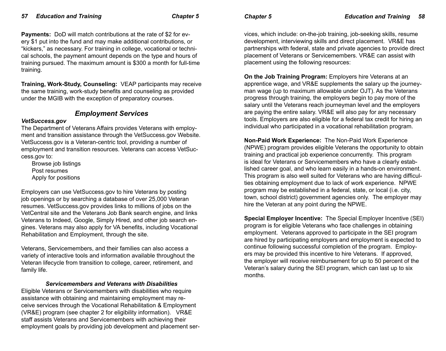**Payments:** DoD will match contributions at the rate of \$2 for every \$1 put into the fund and may make additional contributions, or "kickers," as necessary. For training in college, vocational or technical schools, the payment amount depends on the type and hours of training pursued. The maximum amount is \$300 a month for full-time training.

**Training, Work-Study, Counseling:** VEAP participants may receive the same training, work-study benefits and counseling as provided under the MGIB with the exception of preparatory courses.

#### *Employment Services*

#### *VetSuccess.gov*

The Department of Veterans Affairs provides Veterans with employment and transition assistance through the VetSuccess.gov Website. VetSuccess.gov is a Veteran-centric tool, providing a number of employment and transition resources. Veterans can access VetSuccess.gov to:

Browse job listings Post resumes Apply for positions

Employers can use VetSuccess.gov to hire Veterans by posting job openings or by searching a database of over 25,000 Veteran resumes. VetSuccess.gov provides links to millions of jobs on the VetCentral site and the Veterans Job Bank search engine, and links Veterans to Indeed, Google, Simply Hired, and other job search engines. Veterans may also apply for VA benefits, including Vocational Rehabilitation and Employment, through the site.

Veterans, Servicemembers, and their families can also access a variety of interactive tools and information available throughout the Veteran lifecycle from transition to college, career, retirement, and family life.

#### *Servicemembers and Veterans with Disabilities*

Eligible Veterans or Servicemembers with disabilities who require assistance with obtaining and maintaining employment may receive services through the Vocational Rehabilitation & Employment (VR&E) program (see chapter 2 for eligibility information). VR&E staff assists Veterans and Servicemembers with achieving their employment goals by providing job development and placement ser-

vices, which include: on-the-job training, job-seeking skills, resume development, interviewing skills and direct placement. VR&E has partnerships with federal, state and private agencies to provide direct placement of Veterans or Servicemembers. VR&E can assist with placement using the following resources:

**On the Job Training Program:** Employers hire Veterans at an apprentice wage, and VR&E supplements the salary up the journeyman wage (up to maximum allowable under OJT). As the Veterans progress through training, the employers begin to pay more of the salary until the Veterans reach journeyman level and the employers are paying the entire salary. VR&E will also pay for any necessary tools. Employers are also eligible for a federal tax credit for hiring an individual who participated in a vocational rehabilitation program.

**Non-Paid Work Experience:** The Non-Paid Work Experience (NPWE) program provides eligible Veterans the opportunity to obtain training and practical job experience concurrently. This program is ideal for Veterans or Servicemembers who have a clearly established career goal, and who learn easily in a hands-on environment. This program is also well suited for Veterans who are having difficulties obtaining employment due to lack of work experience. NPWE program may be established in a federal, state, or local (i.e. city, town, school district) government agencies only. The employer may hire the Veteran at any point during the NPWE.

**Special Employer Incentive:** The Special Employer Incentive (SEI) program is for eligible Veterans who face challenges in obtaining employment. Veterans approved to participate in the SEI program are hired by participating employers and employment is expected to continue following successful completion of the program. Employers may be provided this incentive to hire Veterans. If approved, the employer will receive reimbursement for up to 50 percent of the Veteran's salary during the SEI program, which can last up to six months.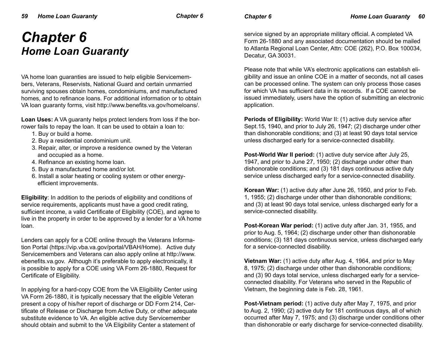# <span id="page-34-0"></span>*Chapter 6 Home Loan Guaranty*

VA home loan guaranties are issued to help eligible Servicemembers, Veterans, Reservists, National Guard and certain unmarried surviving spouses obtain homes, condominiums, and manufactured homes, and to refinance loans. For additional information or to obtain VA loan guaranty forms, visit http://www.benefits.va.gov/homeloans/.

**Loan Uses:** A VA guaranty helps protect lenders from loss if the borrower fails to repay the loan. It can be used to obtain a loan to:

- 1. Buy or build a home.
- 2. Buy a residential condominium unit.
- 3. Repair, alter, or improve a residence owned by the Veteran and occupied as a home.
- 4. Refinance an existing home loan.
- 5. Buy a manufactured home and/or lot.
- 6. Install a solar heating or cooling system or other energy efficient improvements.

**Eligibility:** In addition to the periods of eligibility and conditions of service requirements, applicants must have a good credit rating, sufficient income, a valid Certificate of Eligibility (COE), and agree to live in the property in order to be approved by a lender for a VA home loan.

Lenders can apply for a COE online through the Veterans Information Portal (https://vip.vba.va.gov/portal/VBAH/Home). Active duty Servicemembers and Veterans can also apply online at http://www. ebenefits.va.gov. Although it's preferable to apply electronically, it is possible to apply for a COE using VA Form 26-1880, Request for Certificate of Eligibility.

In applying for a hard-copy COE from the VA Eligibility Center using VA Form 26-1880, it is typically necessary that the eligible Veteran present a copy of his/her report of discharge or DD Form 214, Certificate of Release or Discharge from Active Duty, or other adequate substitute evidence to VA. An eligible active duty Servicemember should obtain and submit to the VA Eligibility Center a statement of

service signed by an appropriate military official. A completed VA Form 26-1880 and any associated documentation should be mailed to Atlanta Regional Loan Center, Attn: COE (262), P.O. Box 100034, Decatur, GA 30031.

Please note that while VA's electronic applications can establish eligibility and issue an online COE in a matter of seconds, not all cases can be processed online. The system can only process those cases for which VA has sufficient data in its records. If a COE cannot be issued immediately, users have the option of submitting an electronic application.

**Periods of Eligibility:** World War II: (1) active duty service after Sept.15, 1940, and prior to July 26, 1947; (2) discharge under other than dishonorable conditions; and (3) at least 90 days total service unless discharged early for a service-connected disability.

**Post-World War II period:** (1) active duty service after July 25, 1947, and prior to June 27, 1950; (2) discharge under other than dishonorable conditions; and (3) 181 days continuous active duty service unless discharged early for a service-connected disability.

**Korean War:** (1) active duty after June 26, 1950, and prior to Feb. 1, 1955; (2) discharge under other than dishonorable conditions; and (3) at least 90 days total service, unless discharged early for a service-connected disability.

**Post-Korean War period:** (1) active duty after Jan. 31, 1955, and prior to Aug. 5, 1964; (2) discharge under other than dishonorable conditions; (3) 181 days continuous service, unless discharged early for a service-connected disability.

**Vietnam War:** (1) active duty after Aug. 4, 1964, and prior to May 8, 1975; (2) discharge under other than dishonorable conditions; and (3) 90 days total service, unless discharged early for a serviceconnected disability. For Veterans who served in the Republic of Vietnam, the beginning date is Feb. 28, 1961.

**Post-Vietnam period:** (1) active duty after May 7, 1975, and prior to Aug. 2, 1990; (2) active duty for 181 continuous days, all of which occurred after May 7, 1975; and (3) discharge under conditions other than dishonorable or early discharge for service-connected disability.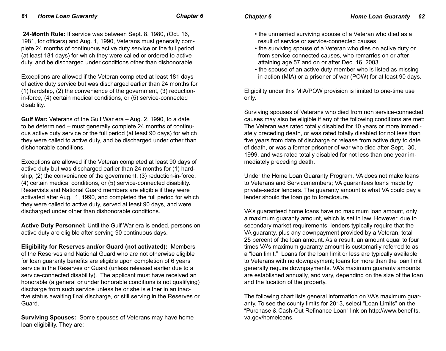**24-Month Rule:** If service was between Sept. 8, 1980, (Oct. 16, 1981, for officers) and Aug. 1, 1990, Veterans must generally complete 24 months of continuous active duty service or the full period (at least 181 days) for which they were called or ordered to active duty, and be discharged under conditions other than dishonorable.

Exceptions are allowed if the Veteran completed at least 181 days of active duty service but was discharged earlier than 24 months for (1) hardship, (2) the convenience of the government, (3) reductionin-force, (4) certain medical conditions, or (5) service-connected disability.

**Gulf War:** Veterans of the Gulf War era – Aug. 2, 1990, to a date to be determined – must generally complete 24 months of continuous active duty service or the full period (at least 90 days) for which they were called to active duty, and be discharged under other than dishonorable conditions.

Exceptions are allowed if the Veteran completed at least 90 days of active duty but was discharged earlier than 24 months for (1) hardship, (2) the convenience of the government, (3) reduction-in-force, (4) certain medical conditions, or (5) service-connected disability. Reservists and National Guard members are eligible if they were activated after Aug. 1, 1990, and completed the full period for which they were called to active duty, served at least 90 days, and were discharged under other than dishonorable conditions.

**Active Duty Personnel:** Until the Gulf War era is ended, persons on active duty are eligible after serving 90 continuous days.

**Eligibility for Reserves and/or Guard (not activated):** Members of the Reserves and National Guard who are not otherwise eligible for loan guaranty benefits are eligible upon completion of 6 years service in the Reserves or Guard (unless released earlier due to a service-connected disability). The applicant must have received an honorable (a general or under honorable conditions is not qualifying) discharge from such service unless he or she is either in an inactive status awaiting final discharge, or still serving in the Reserves or Guard.

**Surviving Spouses:** Some spouses of Veterans may have home loan eligibility. They are:

- the surviving spouse of a Veteran who dies on active duty or from service-connected causes, who remarries on or after attaining age 57 and on or after Dec. 16, 2003
- the spouse of an active duty member who is listed as missing in action (MIA) or a prisoner of war (POW) for at least 90 days.

Eligibility under this MIA/POW provision is limited to one-time use only.

Surviving spouses of Veterans who died from non service-connected causes may also be eligible if any of the following conditions are met: The Veteran was rated totally disabled for 10 years or more immediately preceding death, or was rated totally disabled for not less than five years from date of discharge or release from active duty to date of death, or was a former prisoner of war who died after Sept. 30, 1999, and was rated totally disabled for not less than one year immediately preceding death.

Under the Home Loan Guaranty Program, VA does not make loans to Veterans and Servicemembers; VA guarantees loans made by private-sector lenders. The guaranty amount is what VA could pay a lender should the loan go to foreclosure.

VA's guaranteed home loans have no maximum loan amount, only a maximum guaranty amount, which is set in law. However, due to secondary market requirements, lenders typically require that the VA guaranty, plus any downpayment provided by a Veteran, total 25 percent of the loan amount. As a result, an amount equal to four times VA's maximum guaranty amount is customarily referred to as a "loan limit." Loans for the loan limit or less are typically available to Veterans with no downpayment; loans for more than the loan limit generally require downpayments. VA's maximum guaranty amounts are established annually, and vary, depending on the size of the loan and the location of the property.

The following chart lists general information on VA's maximum guaranty. To see the county limits for 2013, select "Loan Limits" on the "Purchase & Cash-Out Refinance Loan" link on http://www.benefits. va.gov/homeloans.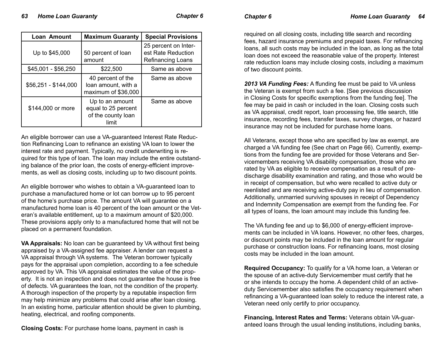| Loan Amount          | <b>Maximum Guaranty</b>                                               | <b>Special Provisions</b>                                       |
|----------------------|-----------------------------------------------------------------------|-----------------------------------------------------------------|
| Up to \$45,000       | 50 percent of loan<br>amount                                          | 25 percent on Inter-<br>est Rate Reduction<br>Refinancing Loans |
| \$45,001 - \$56,250  | \$22,500                                                              | Same as above                                                   |
| $$56,251 - $144,000$ | 40 percent of the<br>loan amount, with a<br>maximum of \$36,000       | Same as above                                                   |
| \$144,000 or more    | Up to an amount<br>equal to 25 percent<br>of the county loan<br>limit | Same as above                                                   |

An eligible borrower can use a VA-guaranteed Interest Rate Reduction Refinancing Loan to refinance an existing VA loan to lower the interest rate and payment. Typically, no credit underwriting is required for this type of loan. The loan may include the entire outstanding balance of the prior loan, the costs of energy-efficient improvements, as well as closing costs, including up to two discount points.

An eligible borrower who wishes to obtain a VA-guaranteed loan to purchase a manufactured home or lot can borrow up to 95 percent of the home's purchase price. The amount VA will guarantee on a manufactured home loan is 40 percent of the loan amount or the Veteran's available entitlement, up to a maximum amount of \$20,000. These provisions apply only to a manufactured home that will not be placed on a permanent foundation.

**VA Appraisals:** No loan can be guaranteed by VA without first being appraised by a VA-assigned fee appraiser. A lender can request a VA appraisal through VA systems. The Veteran borrower typically pays for the appraisal upon completion, according to a fee schedule approved by VA. This VA appraisal estimates the value of the property. It is not an inspection and does not guarantee the house is free of defects. VA guarantees the loan, not the condition of the property. A thorough inspection of the property by a reputable inspection firm may help minimize any problems that could arise after loan closing. In an existing home, particular attention should be given to plumbing, heating, electrical, and roofing components.

**Closing Costs:** For purchase home loans, payment in cash is

required on all closing costs, including title search and recording fees, hazard insurance premiums and prepaid taxes. For refinancing loans, all such costs may be included in the loan, as long as the total loan does not exceed the reasonable value of the property. Interest rate reduction loans may include closing costs, including a maximum of two discount points.

*2013 VA Funding Fees:* A ffunding fee must be paid to VA unless the Veteran is exempt from such a fee. [See previous discussion in Closing Costs for specific exemptions from the funding fee]. The fee may be paid in cash or included in the loan. Closing costs such as VA appraisal, credit report, loan processing fee, title search, title insurance, recording fees, transfer taxes, survey charges, or hazard insurance may not be included for purchase home loans.

All Veterans, except those who are specified by law as exempt, are charged a VA funding fee (See chart on Page 66). Currently, exemptions from the funding fee are provided for those Veterans and Servicemembers receiving VA disability compensation, those who are rated by VA as eligible to receive compensation as a result of predischarge disability examination and rating, and those who would be in receipt of compensation, but who were recalled to active duty or reenlisted and are receiving active-duty pay in lieu of compensation. Additionally, unmarried surviving spouses in receipt of Dependency and Indemnity Compensation are exempt from the funding fee. For all types of loans, the loan amount may include this funding fee.

The VA funding fee and up to \$6,000 of energy-efficient improvements can be included in VA loans. However, no other fees, charges, or discount points may be included in the loan amount for regular purchase or construction loans. For refinancing loans, most closing costs may be included in the loan amount.

**Required Occupancy:** To qualify for a VA home loan, a Veteran or the spouse of an active-duty Servicemember must certify that he or she intends to occupy the home. A dependent child of an activeduty Servicemember also satisfies the occupancy requirement when refinancing a VA-guaranteed loan solely to reduce the interest rate, a Veteran need only certify to prior occupancy.

**Financing, Interest Rates and Terms:** Veterans obtain VA-guaranteed loans through the usual lending institutions, including banks,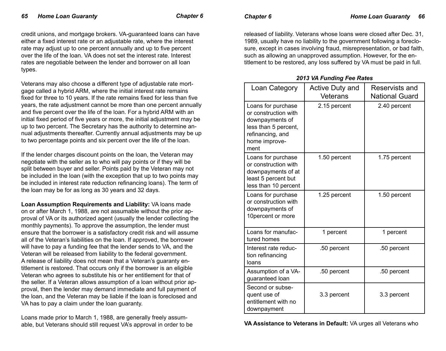<span id="page-37-0"></span>credit unions, and mortgage brokers. VA-guaranteed loans can have either a fixed interest rate or an adjustable rate, where the interest rate may adjust up to one percent annually and up to five percent over the life of the loan. VA does not set the interest rate. Interest rates are negotiable between the lender and borrower on all loan types.

Veterans may also choose a different type of adjustable rate mortgage called a hybrid ARM, where the initial interest rate remains fixed for three to 10 years. If the rate remains fixed for less than five years, the rate adjustment cannot be more than one percent annually and five percent over the life of the loan. For a hybrid ARM with an initial fixed period of five years or more, the initial adjustment may be up to two percent. The Secretary has the authority to determine annual adjustments thereafter. Currently annual adjustments may be up to two percentage points and six percent over the life of the loan.

If the lender charges discount points on the loan, the Veteran may negotiate with the seller as to who will pay points or if they will be split between buyer and seller. Points paid by the Veteran may not be included in the loan (with the exception that up to two points may be included in interest rate reduction refinancing loans). The term of the loan may be for as long as 30 years and 32 days.

**Loan Assumption Requirements and Liability:** VA loans made on or after March 1, 1988, are not assumable without the prior approval of VA or its authorized agent (usually the lender collecting the monthly payments). To approve the assumption, the lender must ensure that the borrower is a satisfactory credit risk and will assume all of the Veteran's liabilities on the loan. If approved, the borrower will have to pay a funding fee that the lender sends to VA, and the Veteran will be released from liability to the federal government. A release of liability does not mean that a Veteran's guaranty entitlement is restored. That occurs only if the borrower is an eligible Veteran who agrees to substitute his or her entitlement for that of the seller. If a Veteran allows assumption of a loan without prior approval, then the lender may demand immediate and full payment of the loan, and the Veteran may be liable if the loan is foreclosed and VA has to pay a claim under the loan guaranty.

Loans made prior to March 1, 1988, are generally freely assumable, but Veterans should still request VA's approval in order to be

released of liability. Veterans whose loans were closed after Dec. 31, 1989, usually have no liability to the government following a foreclosure, except in cases involving fraud, misrepresentation, or bad faith, such as allowing an unapproved assumption. However, for the entitlement to be restored, any loss suffered by VA must be paid in full.

#### *2013 VA Funding Fee Rates*

| Loan Category                                                                                                                      | <b>Active Duty and</b><br>Veterans | Reservists and<br><b>National Guard</b> |
|------------------------------------------------------------------------------------------------------------------------------------|------------------------------------|-----------------------------------------|
| Loans for purchase<br>or construction with<br>downpayments of<br>less than 5 percent,<br>refinancing, and<br>home improve-<br>ment | 2.15 percent                       | 2.40 percent                            |
| Loans for purchase<br>or construction with<br>downpayments of at<br>least 5 percent but<br>less than 10 percent                    | 1.50 percent                       | 1.75 percent                            |
| Loans for purchase<br>or construction with<br>downpayments of<br>10percent or more                                                 | 1.25 percent                       | 1.50 percent                            |
| Loans for manufac-<br>tured homes                                                                                                  | 1 percent                          | 1 percent                               |
| Interest rate reduc-<br>tion refinancing<br>loans                                                                                  | .50 percent                        | .50 percent                             |
| Assumption of a VA-<br>guaranteed loan                                                                                             | .50 percent                        | .50 percent                             |
| Second or subse-<br>quent use of<br>entitlement with no<br>downpayment                                                             | 3.3 percent                        | 3.3 percent                             |

**VA Assistance to Veterans in Default:** VA urges all Veterans who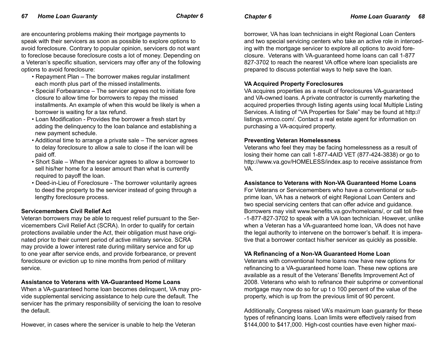are encountering problems making their mortgage payments to speak with their servicers as soon as possible to explore options to avoid foreclosure. Contrary to popular opinion, servicers do not want to foreclose because foreclosure costs a lot of money. Depending on a Veteran's specific situation, servicers may offer any of the following options to avoid foreclosure:

- Repayment Plan The borrower makes regular installment each month plus part of the missed installments.
- Special Forbearance The servicer agrees not to initiate fore closure to allow time for borrowers to repay the missed installments. An example of when this would be likely is when a borrower is waiting for a tax refund.
- Loan Modification Provides the borrower a fresh start by adding the delinquency to the loan balance and establishing a new payment schedule.
- Additional time to arrange a private sale The servicer agrees to delay foreclosure to allow a sale to close if the loan will be paid off.
- Short Sale When the servicer agrees to allow a borrower to sell his/her home for a lesser amount than what is currently required to payoff the loan.
- Deed-in-Lieu of Foreclosure The borrower voluntarily agrees to deed the property to the servicer instead of going through a lengthy foreclosure process.

#### **Servicemembers Civil Relief Act**

Veteran borrowers may be able to request relief pursuant to the Servicemembers Civil Relief Act (SCRA). In order to qualify for certain protections available under the Act, their obligation must have originated prior to their current period of active military service. SCRA may provide a lower interest rate during military service and for up to one year after service ends, and provide forbearance, or prevent foreclosure or eviction up to nine months from period of military service.

#### **Assistance to Veterans with VA-Guaranteed Home Loans**

When a VA-guaranteed home loan becomes delinquent, VA may provide supplemental servicing assistance to help cure the default. The servicer has the primary responsibility of servicing the loan to resolve the default.

However, in cases where the servicer is unable to help the Veteran

borrower, VA has loan technicians in eight Regional Loan Centers and two special servicing centers who take an active role in interceding with the mortgage servicer to explore all options to avoid foreclosure. Veterans with VA-guaranteed home loans can call 1-877 827-3702 to reach the nearest VA office where loan specialists are prepared to discuss potential ways to help save the loan.

# **VA Acquired Property Foreclosures**

VA acquires properties as a result of foreclosures VA-guaranteed and VA-owned loans. A private contractor is currently marketing the acquired properties through listing agents using local Multiple Listing Services. A listing of "VA Properties for Sale" may be found at http:// listings.vrmco.com/. Contact a real estate agent for information on purchasing a VA-acquired property.

#### **Preventing Veteran Homelessness**

Veterans who feel they may be facing homelessness as a result of losing their home can call 1-877-4AID VET (877-424-3838) or go to http://www.va.gov/HOMELESS/index.asp to receive assistance from VA.

#### **Assistance to Veterans with Non-VA Guaranteed Home Loans**

For Veterans or Servicemembers who have a conventional or subprime loan, VA has a network of eight Regional Loan Centers and two special servicing centers that can offer advice and guidance. Borrowers may visit www.benefits.va.gov/homeloans/, or call toll free -1-877-827-3702 to speak with a VA loan technician. However, unlike when a Veteran has a VA-guaranteed home loan, VA does not have the legal authority to intervene on the borrower's behalf. It is imperative that a borrower contact his/her servicer as quickly as possible.

#### **VA Refinancing of a Non-VA Guaranteed Home Loan**

Veterans with conventional home loans now have new options for refinancing to a VA-guaranteed home loan. These new options are available as a result of the Veterans' Benefits Improvement Act of 2008. Veterans who wish to refinance their subprime or conventional mortgage may now do so for up t o 100 percent of the value of the property, which is up from the previous limit of 90 percent.

Additionally, Congress raised VA's maximum loan guaranty for these types of refinancing loans. Loan limits were effectively raised from \$144,000 to \$417,000. High-cost counties have even higher maxi-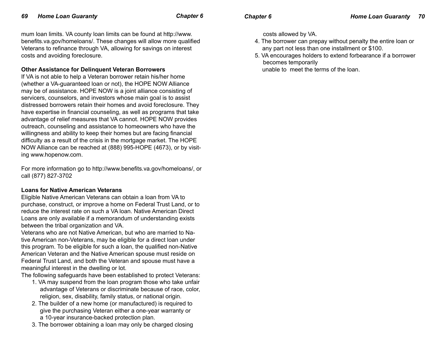<span id="page-39-0"></span>mum loan limits. VA county loan limits can be found at http://www. benefits.va.gov/homeloans/. These changes will allow more qualified Veterans to refinance through VA, allowing for savings on interest costs and avoiding foreclosure.

#### **Other Assistance for Delinquent Veteran Borrowers**

If VA is not able to help a Veteran borrower retain his/her home (whether a VA-guaranteed loan or not), the HOPE NOW Alliance may be of assistance. HOPE NOW is a joint alliance consisting of servicers, counselors, and investors whose main goal is to assist distressed borrowers retain their homes and avoid foreclosure. They have expertise in financial counseling, as well as programs that take advantage of relief measures that VA cannot. HOPE NOW provides outreach, counseling and assistance to homeowners who have the willingness and ability to keep their homes but are facing financial difficulty as a result of the crisis in the mortgage market. The HOPE NOW Alliance can be reached at (888) 995-HOPE (4673), or by visiting www.hopenow.com.

For more information go to http://www.benefits.va.gov/homeloans/, or call (877) 827-3702

#### **Loans for Native American Veterans**

Eligible Native American Veterans can obtain a loan from VA to purchase, construct, or improve a home on Federal Trust Land, or to reduce the interest rate on such a VA loan. Native American Direct Loans are only available if a memorandum of understanding exists between the tribal organization and VA.

Veterans who are not Native American, but who are married to Native American non-Veterans, may be eligible for a direct loan under this program. To be eligible for such a loan, the qualified non-Native American Veteran and the Native American spouse must reside on Federal Trust Land, and both the Veteran and spouse must have a meaningful interest in the dwelling or lot.

The following safeguards have been established to protect Veterans:

- 1. VA may suspend from the loan program those who take unfair advantage of Veterans or discriminate because of race, color, religion, sex, disability, family status, or national origin.
- 2. The builder of a new home (or manufactured) is required to give the purchasing Veteran either a one-year warranty or a 10-year insurance-backed protection plan.
- 3. The borrower obtaining a loan may only be charged closing

costs allowed by VA.

- 4. The borrower can prepay without penalty the entire loan or any part not less than one installment or \$100.
- 5. VA encourages holders to extend forbearance if a borrower becomes temporarily unable to meet the terms of the loan.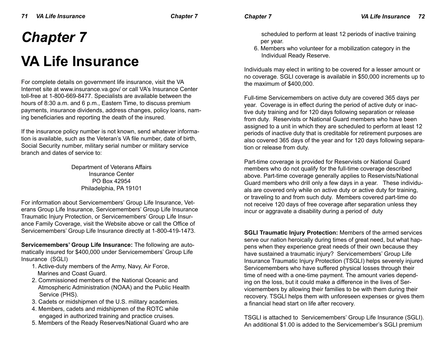# *Chapter 7* **VA Life Insurance**

For complete details on government life insurance, visit the VA Internet site at www.insurance.va.gov/ or call VA's Insurance Center toll-free at 1-800-669-8477. Specialists are available between the hours of 8:30 a.m. and 6 p.m., Eastern Time, to discuss premium payments, insurance dividends, address changes, policy loans, naming beneficiaries and reporting the death of the insured.

If the insurance policy number is not known, send whatever information is available, such as the Veteran's VA file number, date of birth, Social Security number, military serial number or military service branch and dates of service to:

> Department of Veterans Affairs Insurance Center PO Box 42954 Philadelphia, PA 19101

For information about Servicemembers' Group Life Insurance, Veterans Group Life Insurance, Servicemembers' Group Life Insurance Traumatic Injury Protection, or Servicemembers' Group Life Insurance Family Coverage, visit the Website above or call the Office of Servicemembers' Group Life Insurance directly at 1-800-419-1473.

**Servicemembers' Group Life Insurance:** The following are automatically insured for \$400,000 under Servicemembers' Group Life Insurance (SGLI)

- 1. Active-duty members of the Army, Navy, Air Force, Marines and Coast Guard.
- 2. Commissioned members of the National Oceanic and Atmospheric Administration (NOAA) and the Public Health Service (PHS).
- 3. Cadets or midshipmen of the U.S. military academies.
- 4. Members, cadets and midshipmen of the ROTC while engaged in authorized training and practice cruises.
- 5. Members of the Ready Reserves/National Guard who are

 scheduled to perform at least 12 periods of inactive training per year.

 6. Members who volunteer for a mobilization category in the Individual Ready Reserve.

Individuals may elect in writing to be covered for a lesser amount or no coverage. SGLI coverage is available in \$50,000 increments up to the maximum of \$400,000.

Full-time Servicemembers on active duty are covered 365 days per year. Coverage is in effect during the period of active duty or inactive duty training and for 120 days following separation or release from duty. Reservists or National Guard members who have been assigned to a unit in which they are scheduled to perform at least 12 periods of inactive duty that is creditable for retirement purposes are also covered 365 days of the year and for 120 days following separation or release from duty.

Part-time coverage is provided for Reservists or National Guard members who do not qualify for the full-time coverage described above. Part-time coverage generally applies to Reservists/National Guard members who drill only a few days in a year. These individuals are covered only while on active duty or active duty for training, or traveling to and from such duty. Members covered part-time do not receive 120 days of free coverage after separation unless they incur or aggravate a disability during a period of duty

**SGLI Traumatic Injury Protection:** Members of the armed services serve our nation heroically during times of great need, but what happens when they experience great needs of their own because they have sustained a traumatic injury? Servicemembers' Group Life Insurance Traumatic Injury Protection (TSGLI) helps severely injured Servicemembers who have suffered physical losses through their time of need with a one-time payment. The amount varies depending on the loss, but it could make a difference in the lives of Servicemembers by allowing their families to be with them during their recovery. TSGLI helps them with unforeseen expenses or gives them a financial head start on life after recovery.

TSGLI is attached to Servicemembers' Group Life Insurance (SGLI). An additional \$1.00 is added to the Servicemember's SGLI premium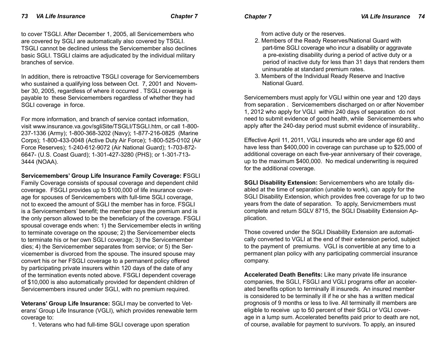to cover TSGLI. After December 1, 2005, all Servicemembers who are covered by SGLI are automatically also covered by TSGLI. TSGLI cannot be declined unless the Servicemember also declines basic SGLI. TSGLI claims are adjudicated by the individual military branches of service.

In addition, there is retroactive TSGLI coverage for Servicemembers who sustained a qualifying loss between Oct. 7, 2001 and November 30, 2005, regardless of where it occurred . TSGLI coverage is payable to these Servicemembers regardless of whether they had SGLI coverage in force.

For more information, and branch of service contact information, visit www.insurance.va.gov/sgliSite/TSGLI/TSGLI.htm, or call 1-800- 237-1336 (Army); 1-800-368-3202 (Navy); 1-877-216-0825 (Marine Corps); 1-800-433-0048 (Active Duty Air Force); 1-800-525-0102 (Air Force Reserves); 1-240-612-9072 (Air National Guard); 1-703-872- 6647- (U.S. Coast Guard); 1-301-427-3280 (PHS); or 1-301-713- 3444 (NOAA).

**Servicemembers' Group Life Insurance Family Coverage: F**SGLI Family Coverage consists of spousal coverage and dependent child coverage. FSGLI provides up to \$100,000 of life insurance coverage for spouses of Servicemembers with full-time SGLI coverage, not to exceed the amount of SGLI the member has in force. FSGLI is a Servicemembers' benefit; the member pays the premium and is the only person allowed to be the beneficiary of the coverage. FSGLI spousal coverage ends when: 1) the Servicemember elects in writing to terminate coverage on the spouse; 2) the Servicemember elects to terminate his or her own SGLI coverage; 3) the Servicemember dies; 4) the Servicemember separates from service; or 5) the Servicemember is divorced from the spouse. The insured spouse may convert his or her FSGLI coverage to a permanent policy offered by participating private insurers within 120 days of the date of any of the termination events noted above. FSGLI dependent coverage of \$10,000 is also automatically provided for dependent children of Servicemembers insured under SGLI, with no premium required.

**Veterans' Group Life Insurance:** SGLI may be converted to Veterans' Group Life Insurance (VGLI), which provides renewable term coverage to:

1. Veterans who had full-time SGLI coverage upon speration

from active duty or the reserves.

- 2. Members of the Ready Reserves/National Guard with part-time SGLI coverage who incur a disability or aggravate a pre-existing disability during a period of active duty or a period of inactive duty for less than 31 days that renders them uninsurable at standard premium rates.
- 3. Members of the Individual Ready Reserve and Inactive National Guard.

Servicemembers must apply for VGLI within one year and 120 days from separation . Servicemembers discharged on or after November 1, 2012 who apply for VGLI within 240 days of separation do not need to submit evidence of good health, while Servicemembers who apply after the 240-day period must submit evidence of insurability..

Effective April 11, 2011, VGLI insureds who are under age 60 and have less than \$400,000 in coverage can purchase up to \$25,000 of additional coverage on each five-year anniversary of their coverage, up to the maximum \$400,000. No medical underwriting is required for the additional coverage.

**SGLI Disability Extension:** Servicemembers who are totally disabled at the time of separation (unable to work), can apply for the SGLI Disability Extension, which provides free coverage for up to two years from the date of separation. To apply, Servicmembers must complete and return SGLV 8715, the SGLI Disability Extension Application.

Those covered under the SGLI Disability Extension are automatically converted to VGLI at the end of their extension period, subject to the payment of premiums. VGLI is convertible at any time to a permanent plan policy with any participating commercial insurance company.

**Accelerated Death Benefits:** Like many private life insurance companies, the SGLI, FSGLI and VGLI programs offer an accelerated benefits option to terminally ill insureds. An insured member is considered to be terminally ill if he or she has a written medical prognosis of 9 months or less to live. All terminally ill members are eligible to receive up to 50 percent of their SGLI or VGLI coverage in a lump sum. Accelerated benefits paid prior to death are not, of course, available for payment to survivors. To apply, an insured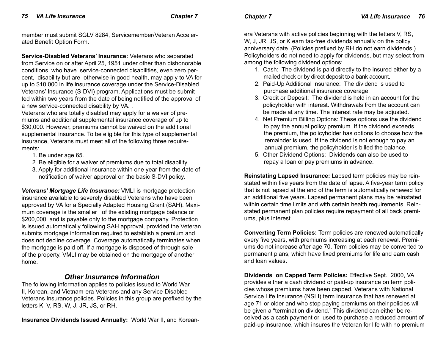member must submit SGLV 8284, Servicemember/Veteran Accelerated Benefit Option Form.

**Service-Disabled Veterans' Insurance:** Veterans who separated from Service on or after April 25, 1951 under other than dishonorable conditions who have service-connected disabilities, even zero percent, disability but are otherwise in good health, may apply to VA for up to \$10,000 in life insurance coverage under the Service-Disabled Veterans' Insurance (S-DVI) program. Applications must be submitted within two years from the date of being notified of the approval of a new service-connected disability by VA. .

Veterans who are totally disabled may apply for a waiver of premiums and additional supplemental insurance coverage of up to \$30,000. However, premiums cannot be waived on the additional supplemental insurance. To be eligible for this type of supplemental insurance, Veterans must meet all of the following three requirements:

- 1. Be under age 65.
- 2. Be eligible for a waiver of premiums due to total disability.
- 3. Apply for additional insurance within one year from the date of notification of waiver approval on the basic S-DVI policy.

*Veterans' Mortgage Life Insurance:* VMLI is mortgage protection insurance available to severely disabled Veterans who have been approved by VA for a Specially Adapted Housing Grant (SAH). Maximum coverage is the smaller of the existing mortgage balance or \$200,000, and is payable only to the mortgage company. Protection is issued automatically following SAH approval, provided the Veteran submits mortgage information required to establish a premium and does not decline coverage. Coverage automatically terminates when the mortgage is paid off. If a mortgage is disposed of through sale of the property, VMLI may be obtained on the mortgage of another home.

## *Other Insurance Information*

The following information applies to policies issued to World War II, Korean, and Vietnam-era Veterans and any Service-Disabled Veterans Insurance policies. Policies in this group are prefixed by the letters K, V, RS, W, J, JR, JS, or RH.

**Insurance Dividends Issued Annually:** World War II, and Korean-

era Veterans with active policies beginning with the letters V, RS, W, J, JR, JS, or K earn tax-free dividends annually on the policy anniversary date. (Policies prefixed by RH do not earn dividends.) Policyholders do not need to apply for dividends, but may select from among the following dividend options:

- 1. Cash: The dividend is paid directly to the insured either by a mailed check or by direct deposit to a bank account.
- 2. Paid-Up Additional Insurance: The dividend is used to purchase additional insurance coverage.
- 3. Credit or Deposit: The dividend is held in an account for the policyholder with interest. Withdrawals from the account can be made at any time. The interest rate may be adjusted.
- 4. Net Premium Billing Options: These options use the dividend to pay the annual policy premium. If the dividend exceeds the premium, the policyholder has options to choose how the remainder is used. If the dividend is not enough to pay an annual premium, the policyholder is billed the balance.
- 5. Other Dividend Options: Dividends can also be used to repay a loan or pay premiums in advance.

**Reinstating Lapsed Insurance:** Lapsed term policies may be reinstated within five years from the date of lapse. A five-year term policy that is not lapsed at the end of the term is automatically renewed for an additional five years. Lapsed permanent plans may be reinstated within certain time limits and with certain health requirements. Reinstated permanent plan policies require repayment of all back premiums, plus interest.

**Converting Term Policies:** Term policies are renewed automatically every five years, with premiums increasing at each renewal. Premiums do not increase after age 70. Term policies may be converted to permanent plans, which have fixed premiums for life and earn cash and loan values.

**Dividends on Capped Term Policies:** Effective Sept. 2000, VA provides either a cash dividend or paid-up insurance on term policies whose premiums have been capped. Veterans with National Service Life Insurance (NSLI) term insurance that has renewed at age 71 or older and who stop paying premiums on their policies will be given a "termination dividend." This dividend can either be received as a cash payment or used to purchase a reduced amount of paid-up insurance, which insures the Veteran for life with no premium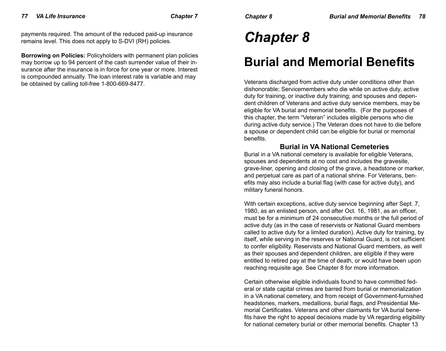payments required. The amount of the reduced paid-up insurance remains level. This does not apply to S-DVI (RH) policies.

**Borrowing on Policies:** Policyholders with permanent plan policies may borrow up to 94 percent of the cash surrender value of their insurance after the insurance is in force for one year or more. Interest is compounded annually. The loan interest rate is variable and may be obtained by calling toll-free 1-800-669-8477.

# *Chapter 8*

# **Burial and Memorial Benefits**

Veterans discharged from active duty under conditions other than dishonorable; Servicemembers who die while on active duty, active duty for training, or inactive duty training; and spouses and dependent children of Veterans and active duty service members, may be eligible for VA burial and memorial benefits. (For the purposes of this chapter, the term "Veteran" includes eligible persons who die during active duty service.) The Veteran does not have to die before a spouse or dependent child can be eligible for burial or memorial benefits.

### **Burial in VA National Cemeteries**

Burial in a VA national cemetery is available for eligible Veterans, spouses and dependents at no cost and includes the gravesite, grave-liner, opening and closing of the grave, a headstone or marker, and perpetual care as part of a national shrine. For Veterans, benefits may also include a burial flag (with case for active duty), and military funeral honors.

With certain exceptions, active duty service beginning after Sept. 7, 1980, as an enlisted person, and after Oct. 16, 1981, as an officer, must be for a minimum of 24 consecutive months or the full period of active duty (as in the case of reservists or National Guard members called to active duty for a limited duration). Active duty for training, by itself, while serving in the reserves or National Guard, is not sufficient to confer eligibility. Reservists and National Guard members, as well as their spouses and dependent children, are eligible if they were entitled to retired pay at the time of death, or would have been upon reaching requisite age. See Chapter 8 for more information.

Certain otherwise eligible individuals found to have committed federal or state capital crimes are barred from burial or memorialization in a VA national cemetery, and from receipt of Government-furnished headstones, markers, medallions, burial flags, and Presidential Memorial Certificates. Veterans and other claimants for VA burial benefits have the right to appeal decisions made by VA regarding eligibility for national cemetery burial or other memorial benefits. Chapter 13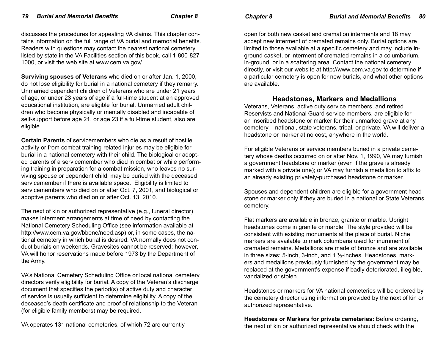<span id="page-44-0"></span>discusses the procedures for appealing VA claims. This chapter contains information on the full range of VA burial and memorial benefits. Readers with questions may contact the nearest national cemetery, listed by state in the VA Facilities section of this book, call 1-800-827- 1000, or visit the web site at www.cem.va.gov/.

**Surviving spouses of Veterans** who died on or after Jan. 1, 2000, do not lose eligibility for burial in a national cemetery if they remarry. Unmarried dependent children of Veterans who are under 21 years of age, or under 23 years of age if a full-time student at an approved educational institution, are eligible for burial. Unmarried adult children who become physically or mentally disabled and incapable of self-support before age 21, or age 23 if a full-time student, also are eligible.

**Certain Parents** of servicemembers who die as a result of hostile activity or from combat training-related injuries may be eligible for burial in a national cemetery with their child. The biological or adopted parents of a servicemember who died in combat or while performing training in preparation for a combat mission, who leaves no surviving spouse or dependent child, may be buried with the deceased servicemember if there is available space. Eligibility is limited to servicemembers who died on or after Oct. 7, 2001, and biological or adoptive parents who died on or after Oct. 13, 2010.

The next of kin or authorized representative (e.g., funeral director) makes interment arrangements at time of need by contacting the National Cemetery Scheduling Office (see information available at http://www.cem.va.gov/bbene/need.asp) or, in some cases, the national cemetery in which burial is desired. VA normally does not conduct burials on weekends. Gravesites cannot be reserved; however, VA will honor reservations made before 1973 by the Department of the Army.

VA's National Cemetery Scheduling Office or local national cemetery directors verify eligibility for burial. A copy of the Veteran's discharge document that specifies the period(s) of active duty and character of service is usually sufficient to determine eligibility. A copy of the deceased's death certificate and proof of relationship to the Veteran (for eligible family members) may be required.

VA operates 131 national cemeteries, of which 72 are currently

open for both new casket and cremation interments and 18 may accept new interment of cremated remains only. Burial options are limited to those available at a specific cemetery and may include inground casket, or interment of cremated remains in a columbarium, in-ground, or in a scattering area. Contact the national cemetery directly, or visit our website at http://www.cem.va.gov to determine if a particular cemetery is open for new burials, and what other options are available.

#### **Headstones, Markers and Medallions**

Veterans, Veterans, active duty service members, and retired Reservists and National Guard service members, are eligible for an inscribed headstone or marker for their unmarked grave at any cemetery – national, state veterans, tribal, or private. VA will deliver a headstone or marker at no cost, anywhere in the world.

For eligible Veterans or service members buried in a private cemetery whose deaths occurred on or after Nov. 1, 1990, VA may furnish a government headstone or marker (even if the grave is already marked with a private one); or VA may furnish a medallion to affix to an already existing privately-purchased headstone or marker.

Spouses and dependent children are eligible for a government headstone or marker only if they are buried in a national or State Veterans cemetery.

Flat markers are available in bronze, granite or marble. Upright headstones come in granite or marble. The style provided will be consistent with existing monuments at the place of burial. Niche markers are available to mark columbaria used for inurnment of cremated remains. Medallions are made of bronze and are available in three sizes: 5-inch, 3-inch, and 1 ½-inches. Headstones, markers and medallions previously furnished by the government may be replaced at the government's expense if badly deteriorated, illegible, vandalized or stolen.

Headstones or markers for VA national cemeteries will be ordered by the cemetery director using information provided by the next of kin or authorized representative.

**Headstones or Markers for private cemeteries:** Before ordering, the next of kin or authorized representative should check with the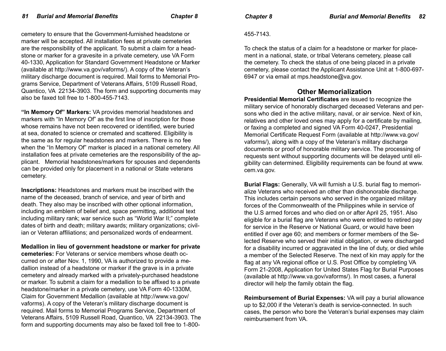<span id="page-45-0"></span>cemetery to ensure that the Government-furnished headstone or marker will be accepted. All installation fees at private cemeteries are the responsibility of the applicant. To submit a claim for a headstone or marker for a gravesite in a private cemetery, use VA Form 40-1330, Application for Standard Government Headstone or Marker (available at http://www.va.gov/vaforms/). A copy of the Veteran's military discharge document is required. Mail forms to Memorial Programs Service, Department of Veterans Affairs, 5109 Russell Road, Quantico, VA 22134-3903. The form and supporting documents may also be faxed toll free to 1-800-455-7143.

**"In Memory Of" Markers:** VA provides memorial headstones and markers with "In Memory Of" as the first line of inscription for those whose remains have not been recovered or identified, were buried at sea, donated to science or cremated and scattered. Eligibility is the same as for regular headstones and markers. There is no fee when the "In Memory Of" marker is placed in a national cemetery. All installation fees at private cemeteries are the responsibility of the applicant. Memorial headstones/markers for spouses and dependents can be provided only for placement in a national or State veterans cemetery.

**Inscriptions:** Headstones and markers must be inscribed with the name of the deceased, branch of service, and year of birth and death. They also may be inscribed with other optional information, including an emblem of belief and, space permitting, additional text including military rank; war service such as "World War II;" complete dates of birth and death; military awards; military organizations; civilian or Veteran affiliations; and personalized words of endearment.

**Medallion in lieu of government headstone or marker for private cemeteries:** For Veterans or service members whose death occurred on or after Nov. 1, 1990, VA is authorized to provide a medallion instead of a headstone or marker if the grave is in a private cemetery and already marked with a privately-purchased headstone or marker. To submit a claim for a medallion to be affixed to a private headstone/marker in a private cemetery, use VA Form 40-1330M, Claim for Government Medallion (available at http://www.va.gov/ vaforms). A copy of the Veteran's military discharge document is required. Mail forms to Memorial Programs Service, Department of Veterans Affairs, 5109 Russell Road, Quantico, VA 22134-3903. The form and supporting documents may also be faxed toll free to 1-800455-7143.

To check the status of a claim for a headstone or marker for placement in a national, state, or tribal Veterans cemetery, please call the cemetery. To check the status of one being placed in a private cemetery, please contact the Applicant Assistance Unit at 1-800-697- 6947 or via email at mps.headstone@va.gov.

### **Other Memorialization**

**Presidential Memorial Certificates** are issued to recognize the military service of honorably discharged deceased Veterans and persons who died in the active military, naval, or air service. Next of kin, relatives and other loved ones may apply for a certificate by mailing, or faxing a completed and signed VA Form 40-0247, Presidential Memorial Certificate Request Form (available at http://www.va.gov/ vaforms/), along with a copy of the Veteran's military discharge documents or proof of honorable military service. The processing of requests sent without supporting documents will be delayed until eligibility can determined. Eligibility requirements can be found at www. cem.va.gov.

**Burial Flags:** Generally, VA will furnish a U.S. burial flag to memorialize Veterans who received an other than dishonorable discharge. This includes certain persons who served in the organized military forces of the Commonwealth of the Philippines while in service of the U.S armed forces and who died on or after April 25, 1951. Also eligible for a burial flag are Veterans who were entitled to retired pay for service in the Reserve or National Guard, or would have been entitled if over age 60; and members or former members of the Selected Reserve who served their initial obligation, or were discharged for a disability incurred or aggravated in the line of duty, or died while a member of the Selected Reserve. The next of kin may apply for the flag at any VA regional office or U.S. Post Office by completing VA Form 21-2008, Application for United States Flag for Burial Purposes (available at http://www.va.gov/vaforms/). In most cases, a funeral director will help the family obtain the flag.

**Reimbursement of Burial Expenses:** VA will pay a burial allowance up to \$2,000 if the Veteran's death is service-connected. In such cases, the person who bore the Veteran's burial expenses may claim reimbursement from VA.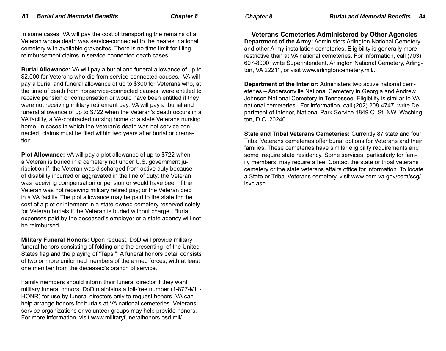In some cases, VA will pay the cost of transporting the remains of a Veteran whose death was service-connected to the nearest national cemetery with available gravesites. There is no time limit for filing reimbursement claims in service-connected death cases.

**Burial Allowance:** VA will pay a burial and funeral allowance of up to \$2,000 for Veterans who die from service-connected causes. VA will pay a burial and funeral allowance of up to \$300 for Veterans who, at the time of death from nonservice-connected causes, were entitled to receive pension or compensation or would have been entitled if they were not receiving military retirement pay. VA will pay a burial and funeral allowance of up to \$722 when the Veteran's death occurs in a VA facility, a VA-contracted nursing home or a state Veterans nursing home. In cases in which the Veteran's death was not service connected, claims must be filed within two years after burial or cremation.

**Plot Allowance:** VA will pay a plot allowance of up to \$722 when a Veteran is buried in a cemetery not under U.S. government jurisdiction if: the Veteran was discharged from active duty because of disability incurred or aggravated in the line of duty; the Veteran was receiving compensation or pension or would have been if the Veteran was not receiving military retired pay; or the Veteran died in a VA facility. The plot allowance may be paid to the state for the cost of a plot or interment in a state-owned cemetery reserved solely for Veteran burials if the Veteran is buried without charge. Burial expenses paid by the deceased's employer or a state agency will not be reimbursed.

**Military Funeral Honors:** Upon request, DoD will provide military funeral honors consisting of folding and the presenting of the United States flag and the playing of "Taps." A funeral honors detail consists of two or more uniformed members of the armed forces, with at least one member from the deceased's branch of service.

Family members should inform their funeral director if they want military funeral honors. DoD maintains a toll-free number (1-877-MIL-HONR) for use by funeral directors only to request honors. VA can help arrange honors for burials at VA national cemeteries. Veterans service organizations or volunteer groups may help provide honors. For more information, visit www.militaryfuneralhonors.osd.mil/.

**Veterans Cemeteries Administered by Other Agencies Department of the Army:** Administers Arlington National Cemetery and other Army installation cemeteries. Eligibility is generally more restrictive than at VA national cemeteries. For information, call (703) 607-8000, write Superintendent, Arlington National Cemetery, Arlington, VA 22211, or visit www.arlingtoncemetery.mil/.

**Department of the Interior:** Administers two active national cemeteries – Andersonville National Cemetery in Georgia and Andrew Johnson National Cemetery in Tennessee. Eligibility is similar to VA national cemeteries. For information, call (202) 208-4747, write Department of Interior, National Park Service 1849 C. St. NW, Washington, D.C. 20240.

**State and Tribal Veterans Cemeteries:** Currently 87 state and four Tribal Veterans cemeteries offer burial options for Veterans and their families. These cemeteries have similar eligibility requirements and some require state residency. Some services, particularly for family members, may require a fee. Contact the state or tribal veterans cemetery or the state veterans affairs office for information. To locate a State or Tribal Veterans cemetery, visit www.cem.va.gov/cem/scg/ lsvc.asp.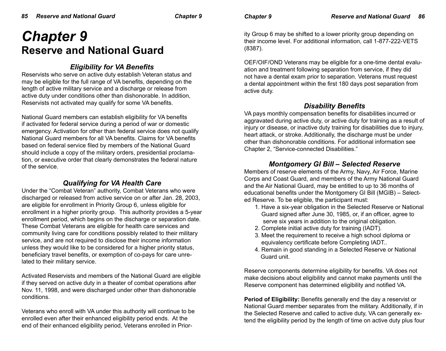# <span id="page-47-0"></span>*Chapter 9* **Reserve and National Guard**

# *Eligibility for VA Benefits*

Reservists who serve on active duty establish Veteran status and may be eligible for the full range of VA benefits, depending on the length of active military service and a discharge or release from active duty under conditions other than dishonorable. In addition, Reservists not activated may qualify for some VA benefits.

National Guard members can establish eligibility for VA benefits if activated for federal service during a period of war or domestic emergency. Activation for other than federal service does not qualify National Guard members for all VA benefits. Claims for VA benefits based on federal service filed by members of the National Guard should include a copy of the military orders, presidential proclamation, or executive order that clearly demonstrates the federal nature of the service.

# *Qualifying for VA Health Care*

Under the "Combat Veteran" authority, Combat Veterans who were discharged or released from active service on or after Jan. 28, 2003, are eligible for enrollment in Priority Group 6, unless eligible for enrollment in a higher priority group. This authority provides a 5-year enrollment period, which begins on the discharge or separation date. These Combat Veterans are eligible for health care services and community living care for conditions possibly related to their military service, and are not required to disclose their income information unless they would like to be considered for a higher priority status, beneficiary travel benefits, or exemption of co-pays for care unrelated to their military service.

Activated Reservists and members of the National Guard are eligible if they served on active duty in a theater of combat operations after Nov. 11, 1998, and were discharged under other than dishonorable conditions.

Veterans who enroll with VA under this authority will continue to be enrolled even after their enhanced eligibility period ends. At the end of their enhanced eligibility period, Veterans enrolled in Priority Group 6 may be shifted to a lower priority group depending on their income level. For additional information, call 1-877-222-VETS (8387).

OEF/OIF/OND Veterans may be eligible for a one-time dental evaluation and treatment following separation from service, if they did not have a dental exam prior to separation. Veterans must request a dental appointment within the first 180 days post separation from active duty.

## *Disability Benefits*

VA pays monthly compensation benefits for disabilities incurred or aggravated during active duty, or active duty for training as a result of injury or disease, or inactive duty training for disabilities due to injury, heart attack, or stroke. Additionally, the discharge must be under other than dishonorable conditions. For additional information see Chapter 2, "Service-connected Disabilities."

# *Montgomery GI Bill – Selected Reserve*

Members of reserve elements of the Army, Navy, Air Force, Marine Corps and Coast Guard, and members of the Army National Guard and the Air National Guard, may be entitled to up to 36 months of educational benefits under the Montgomery GI Bill (MGIB) – Selected Reserve. To be eligible, the participant must:

- 1. Have a six-year obligation in the Selected Reserve or National Guard signed after June 30, 1985, or, if an officer, agree to serve six years in addition to the original obligation.
- 2. Complete initial active duty for training (IADT).
- 3. Meet the requirement to receive a high school diploma or equivalency certificate before Completing IADT..
- 4. Remain in good standing in a Selected Reserve or National Guard unit.

Reserve components determine eligibility for benefits. VA does not make decisions about eligibility and cannot make payments until the Reserve component has determined eligibility and notified VA.

**Period of Eligibility:** Benefits generally end the day a reservist or National Guard member separates from the military. Additionally, if in the Selected Reserve and called to active duty, VA can generally extend the eligibility period by the length of time on active duty plus four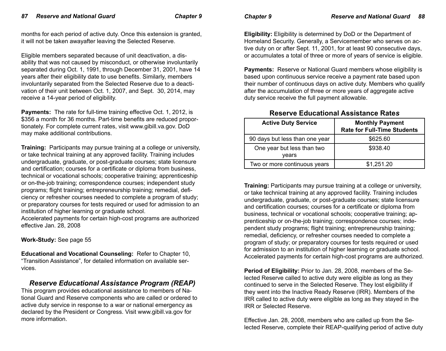months for each period of active duty. Once this extension is granted, it will not be taken awayafter leaving the Selected Reserve.

Eligible members separated because of unit deactivation, a disability that was not caused by misconduct, or otherwise involuntarily separated during Oct. 1, 1991, through December 31, 2001, have 14 years after their eligibility date to use benefits. Similarly, members involuntarily separated from the Selected Reserve due to a deactivation of their unit between Oct. 1, 2007, and Sept. 30, 2014, may receive a 14-year period of eligibility.

**Payments:** The rate for full-time training effective Oct. 1, 2012, is \$356 a month for 36 months. Part-time benefits are reduced proportionately. For complete current rates, visit www.gibill.va.gov. DoD may make additional contributions.

**Training:** Participants may pursue training at a college or university, or take technical training at any approved facility. Training includes undergraduate, graduate, or post-graduate courses; state licensure and certification; courses for a certificate or diploma from business, technical or vocational schools; cooperative training; apprenticeship or on-the-job training; correspondence courses; independent study programs; flight training; entrepreneurship training; remedial, deficiency or refresher courses needed to complete a program of study; or preparatory courses for tests required or used for admission to an institution of higher learning or graduate school.

Accelerated payments for certain high-cost programs are authorized effective Jan. 28, 2008

#### **Work-Study:** See page 55

**Educational and Vocational Counseling:** Refer to Chapter 10, "Transition Assistance", for detailed information on available services.

## *Reserve Educational Assistance Program (REAP)*

This program provides educational assistance to members of National Guard and Reserve components who are called or ordered to active duty service in response to a war or national emergency as declared by the President or Congress. Visit www.gibill.va.gov for more information.

**Eligibility:** Eligibility is determined by DoD or the Department of Homeland Security. Generally, a Servicemember who serves on active duty on or after Sept. 11, 2001, for at least 90 consecutive days, or accumulates a total of three or more of years of service is eligible.

**Payments:** Reserve or National Guard members whose eligibility is based upon continuous service receive a payment rate based upon their number of continuous days on active duty. Members who qualify after the accumulation of three or more years of aggregate active duty service receive the full payment allowable.

#### **Active Duty Service Monthly Payment Rate for Full-Time Students** 90 days but less than one year  $\vert$  \$625.60 One year but less than two years \$938.40 Two or more continuous years  $\vert$  \$1,251.20

#### **Reserve Educational Assistance Rate***s*

**Training:** Participants may pursue training at a college or university, or take technical training at any approved facility. Training includes undergraduate, graduate, or post-graduate courses; state licensure and certification courses; courses for a certificate or diploma from business, technical or vocational schools; cooperative training; apprenticeship or on-the-job training; correspondence courses; independent study programs; flight training; entrepreneurship training; remedial, deficiency, or refresher courses needed to complete a program of study; or preparatory courses for tests required or used for admission to an institution of higher learning or graduate school. Accelerated payments for certain high-cost programs are authorized.

**Period of Eligibility:** Prior to Jan. 28, 2008, members of the Selected Reserve called to active duty were eligible as long as they continued to serve in the Selected Reserve. They lost eligibility if they went into the Inactive Ready Reserve (IRR). Members of the IRR called to active duty were eligible as long as they stayed in the IRR or Selected Reserve.

Effective Jan. 28, 2008, members who are called up from the Selected Reserve, complete their REAP-qualifying period of active duty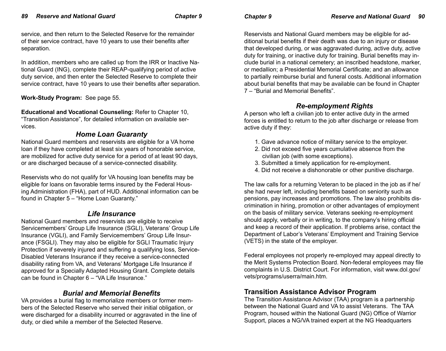service, and then return to the Selected Reserve for the remainder of their service contract, have 10 years to use their benefits after separation.

In addition, members who are called up from the IRR or Inactive National Guard (ING), complete their REAP-qualifying period of active duty service, and then enter the Selected Reserve to complete their service contract, have 10 years to use their benefits after separation.

**Work-Study Program:** See page 55.

**Educational and Vocational Counseling:** Refer to Chapter 10, "Transition Assistance", for detailed information on available services.

### *Home Loan Guaranty*

National Guard members and reservists are eligible for a VA home loan if they have completed at least six years of honorable service, are mobilized for active duty service for a period of at least 90 days, or are discharged because of a service-connected disability.

Reservists who do not qualify for VA housing loan benefits may be eligible for loans on favorable terms insured by the Federal Housing Administration (FHA), part of HUD. Additional information can be found in Chapter 5 – "Home Loan Guaranty."

## *Life Insurance*

National Guard members and reservists are eligible to receive Servicemembers' Group Life Insurance (SGLI), Veterans' Group Life Insurance (VGLI), and Family Servicemembers' Group Life Insurance (FSGLI). They may also be eligible for SGLI Traumatic Injury Protection if severely injured and suffering a qualifying loss, Service-Disabled Veterans Insurance if they receive a service-connected disability rating from VA, and Veterans' Mortgage Life Insurance if approved for a Specially Adapted Housing Grant. Complete details can be found in Chapter 6 – "VA Life Insurance."

# *Burial and Memorial Benefits*

VA provides a burial flag to memorialize members or former members of the Selected Reserve who served their initial obligation, or were discharged for a disability incurred or aggravated in the line of duty, or died while a member of the Selected Reserve.

Reservists and National Guard members may be eligible for additional burial benefits if their death was due to an injury or disease that developed during, or was aggravated during, active duty, active duty for training, or inactive duty for training. Burial benefits may include burial in a national cemetery; an inscribed headstone, marker, or medallion; a Presidential Memorial Certificate; and an allowance to partially reimburse burial and funeral costs. Additional information about burial benefits that may be available can be found in Chapter 7 – "Burial and Memorial Benefits".

## *Re-employment Rights*

A person who left a civilian job to enter active duty in the armed forces is entitled to return to the job after discharge or release from active duty if they:

- 1. Gave advance notice of military service to the employer.
- 2. Did not exceed five years cumulative absence from the civilian job (with some exceptions).
- 3. Submitted a timely application for re-employment.
- 4. Did not receive a dishonorable or other punitive discharge.

The law calls for a returning Veteran to be placed in the job as if he/ she had never left, including benefits based on seniority such as pensions, pay increases and promotions. The law also prohibits discrimination in hiring, promotion or other advantages of employment on the basis of military service. Veterans seeking re-employment should apply, verbally or in writing, to the company's hiring official and keep a record of their application. If problems arise, contact the Department of Labor's Veterans' Employment and Training Service (VETS) in the state of the employer.

Federal employees not properly re-employed may appeal directly to the Merit Systems Protection Board. Non-federal employees may file complaints in U.S. District Court. For information, visit www.dol.gov/ vets/programs/userra/main.htm.

# **Transition Assistance Advisor Program**

The Transition Assistance Advisor (TAA) program is a partnership between the National Guard and VA to assist Veterans. The TAA Program, housed within the National Guard (NG) Office of Warrior Support, places a NG/VA trained expert at the NG Headquarters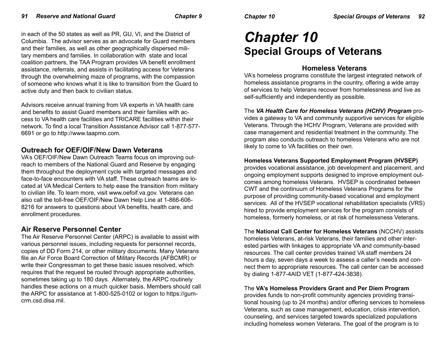in each of the 50 states as well as PR, GU, VI, and the District of Columbia. The advisor serves as an advocate for Guard members and their families, as well as other geographically dispersed military members and families. In collaboration with state and local coalition partners, the TAA Program provides VA benefit enrollment assistance, referrals, and assists in facilitating access for Veterans through the overwhelming maze of programs, with the compassion of someone who knows what it is like to transition from the Guard to active duty and then back to civilian status.

Advisors receive annual training from VA experts in VA health care and benefits to assist Guard members and their families with access to VA health care facilities and TRICARE facilities within their network. To find a local Transition Assistance Advisor call 1-877-577- 6691 or go to http://www.taapmo.com.

### **Outreach for OEF/OIF/New Dawn Veterans**

VA's OEF/OIF/New Dawn Outreach Teams focus on improving outreach to members of the National Guard and Reserve by engaging them throughout the deployment cycle with targeted messages and face-to-face encounters with VA staff. These outreach teams are located at VA Medical Centers to help ease the transition from military to civilian life. To learn more, visit www.oefoif.va.gov. Veterans can also call the toll-free OEF/OIF/New Dawn Help Line at 1-866-606- 8216 for answers to questions about VA benefits, health care, and enrollment procedures.

#### **Air Reserve Personnel Center**

The Air Reserve Personnel Center (ARPC) is available to assist with various personnel issues, including requests for personnel records, copies of DD Form 214, or other military documents. Many Veterans file an Air Force Board Correction of Military Records (AFBCMR) or write their Congressman to get these basic issues resolved, which requires that the request be routed through appropriate authorities, sometimes taking up to 180 days. Alternately, the ARPC routinely handles these actions on a much quicker basis. Members should call the ARPC for assistance at 1-800-525-0102 or logon to https://gumcrm.csd.disa.mil.

# *Chapter 10* **Special Groups of Veterans**

## **Homeless Veterans**

VA's homeless programs constitute the largest integrated network of homeless assistance programs in the country, offering a wide array of services to help Veterans recover from homelessness and live as self-sufficiently and independently as possible.

The *VA Health Care for Homeless Veterans (HCHV) Program* provides a gateway to VA and community supportive services for eligible Veterans. Through the HCHV Program, Veterans are provided with case management and residential treatment in the community. The program also conducts outreach to homeless Veterans who are not likely to come to VA facilities on their own.

#### **Homeless Veterans Supported Employment Program (HVSEP)**

provides vocational assistance, job development and placement, and ongoing employment supports designed to improve employment outcomes among homeless Veterans. HVSEP is coordinated between CWT and the continuum of Homeless Veterans Programs for the purpose of providing community-based vocational and employment services. All of the HVSEP vocational rehabilitation specialists (VRS) hired to provide employment services for the program consists of homeless, formerly homeless, or at risk of homelessness Veterans.

The **National Call Center for Homeless Veterans** (NCCHV) assists homeless Veterans, at-risk Veterans, their families and other interested parties with linkages to appropriate VA and community-based resources. The call center provides trained VA staff members 24 hours a day, seven days a week to assess a caller's needs and connect them to appropriate resources. The call center can be accessed by dialing 1-877-4AID VET (1-877-424-3838).

The **VA's Homeless Providers Grant and Per Diem Program**

provides funds to non-profit community agencies providing transitional housing (up to 24 months) and/or offering services to homeless Veterans, such as case management, education, crisis intervention, counseling, and services targeted towards specialized populations including homeless women Veterans. The goal of the program is to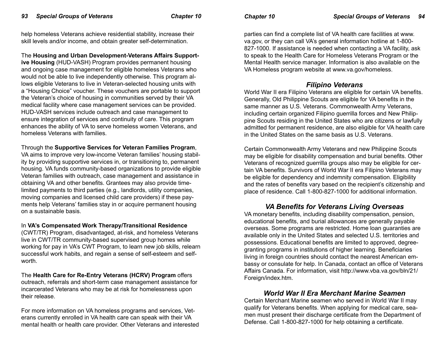help homeless Veterans achieve residential stability, increase their skill levels and/or income, and obtain greater self-determination.

The **Housing and Urban Development-Veterans Affairs Supportive Housing** (HUD-VASH) Program provides permanent housing and ongoing case management for eligible homeless Veterans who would not be able to live independently otherwise. This program allows eligible Veterans to live in Veteran-selected housing units with a "Housing Choice" voucher. These vouchers are portable to support the Veteran's choice of housing in communities served by their VA medical facility where case management services can be provided. HUD-VASH services include outreach and case management to ensure integration of services and continuity of care. This program enhances the ability of VA to serve homeless women Veterans, and homeless Veterans with families.

Through the **Supportive Services for Veteran Families Program**,

VA aims to improve very low-income Veteran families' housing stability by providing supportive services in, or transitioning to, permanent housing. VA funds community-based organizations to provide eligible Veteran families with outreach, case management and assistance in obtaining VA and other benefits. Grantees may also provide timelimited payments to third parties (e.g., landlords, utility companies, moving companies and licensed child care providers) if these payments help Veterans' families stay in or acquire permanent housing on a sustainable basis.

#### In **VA's Compensated Work Therapy/Transitional Residence**

(CWT/TR) Program, disadvantaged, at-risk, and homeless Veterans live in CWT/TR community-based supervised group homes while working for pay in VA's CWT Program, to learn new job skills, relearn successful work habits, and regain a sense of self-esteem and selfworth.

The **Health Care for Re-Entry Veterans (HCRV) Program** offers outreach, referrals and short-term case management assistance for incarcerated Veterans who may be at risk for homelessness upon their release.

For more information on VA homeless programs and services, Veterans currently enrolled in VA health care can speak with their VA mental health or health care provider. Other Veterans and interested

parties can find a complete list of VA health care facilities at www. va.gov, or they can call VA's general information hotline at 1-800- 827-1000. If assistance is needed when contacting a VA facility, ask to speak to the Health Care for Homeless Veterans Program or the Mental Health service manager. Information is also available on the VA Homeless program website at www.va.gov/homeless.

## *Filipino Veterans*

World War II era Filipino Veterans are eligible for certain VA benefits. Generally, Old Philippine Scouts are eligible for VA benefits in the same manner as U.S. Veterans. Commonwealth Army Veterans, including certain organized Filipino guerrilla forces and New Philippine Scouts residing in the United States who are citizens or lawfully admitted for permanent residence, are also eligible for VA health care in the United States on the same basis as U.S. Veterans.

Certain Commonwealth Army Veterans and new Philippine Scouts may be eligible for disability compensation and burial benefits. Other Veterans of recognized guerrilla groups also may be eligible for certain VA benefits. Survivors of World War II era Filipino Veterans may be eligible for dependency and indemnity compensation. Eligibility and the rates of benefits vary based on the recipient's citizenship and place of residence. Call 1-800-827-1000 for additional information.

## *VA Benefits for Veterans Living Overseas*

VA monetary benefits, including disability compensation, pension, educational benefits, and burial allowances are generally payable overseas. Some programs are restricted. Home loan guaranties are available only in the United States and selected U.S. territories and possessions. Educational benefits are limited to approved, degreegranting programs in institutions of higher learning. Beneficiaries living in foreign countries should contact the nearest American embassy or consulate for help. In Canada, contact an office of Veterans Affairs Canada. For information, visit http://www.vba.va.gov/bln/21/ Foreign/index.htm.

## *World War II Era Merchant Marine Seamen*

Certain Merchant Marine seamen who served in World War II may qualify for Veterans benefits. When applying for medical care, seamen must present their discharge certificate from the Department of Defense. Call 1-800-827-1000 for help obtaining a certificate.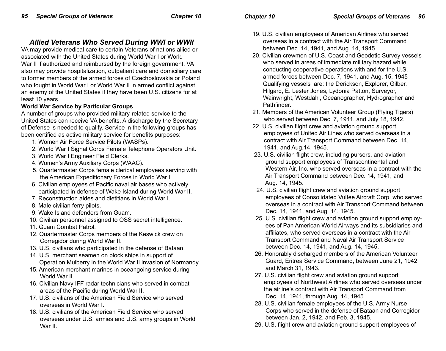# *Allied Veterans Who Served During WWI or WWII*

VA may provide medical care to certain Veterans of nations allied or associated with the United States during World War I or World War II if authorized and reimbursed by the foreign government. VA also may provide hospitalization, outpatient care and domiciliary care to former members of the armed forces of Czechoslovakia or Poland who fought in World War I or World War II in armed conflict against an enemy of the United States if they have been U.S. citizens for at least 10 years.

### **World War Service by Particular Groups**

A number of groups who provided military-related service to the United States can receive VA benefits. A discharge by the Secretary of Defense is needed to qualify. Service in the following groups has been certified as active military service for benefits purposes:

- 1. Women Air Force Service Pilots (WASPs).
- 2. World War I Signal Corps Female Telephone Operators Unit.
- 3. World War I Engineer Field Clerks.
- 4. Women's Army Auxiliary Corps (WAAC).
- 5. Quartermaster Corps female clerical employees serving with the American Expeditionary Forces in World War I.
- 6. Civilian employees of Pacific naval air bases who actively participated in defense of Wake Island during World War II.
- 7. Reconstruction aides and dietitians in World War I.
- 8. Male civilian ferry pilots.
- 9. Wake Island defenders from Guam.
- 10. Civilian personnel assigned to OSS secret intelligence.
- 11. Guam Combat Patrol.
- 12. Quartermaster Corps members of the Keswick crew on Corregidor during World War II.
- 13. U.S. civilians who participated in the defense of Bataan.
- 14. U.S. merchant seamen on block ships in support of Operation Mulberry in the World War II invasion of Normandy.
- 15. American merchant marines in oceangoing service during World War II.
- 16. Civilian Navy IFF radar technicians who served in combat areas of the Pacific during World War II.
- 17. U.S. civilians of the American Field Service who served overseas in World War I.
- 18. U.S. civilians of the American Field Service who served overseas under U.S. armies and U.S. army groups in World War II.
- 19. U.S. civilian employees of American Airlines who served overseas in a contract with the Air Transport Command between Dec. 14, 1941, and Aug. 14, 1945.
- 20. Civilian crewmen of U.S. Coast and Geodetic Survey vessels who served in areas of immediate military hazard while conducting cooperative operations with and for the U.S. armed forces between Dec. 7, 1941, and Aug. 15, 1945 Qualifying vessels are: the Derickson, Explorer, Gilber, Hilgard, E. Lester Jones, Lydonia Patton, Surveyor, Wainwright, Westdahl, Oceanographer, Hydrographer and Pathfinder.
- 21. Members of the American Volunteer Group (Flying Tigers) who served between Dec. 7, 1941, and July 18, 1942.
- 22. U.S. civilian flight crew and aviation ground support employees of United Air Lines who served overseas in a contract with Air Transport Command between Dec. 14, 1941, and Aug.14, 1945.
- 23. U.S. civilian flight crew, including pursers, and aviation ground support employees of Transcontinental and Western Air, Inc. who served overseas in a contract with the Air Transport Command between Dec. 14, 1941, and Aug. 14, 1945.
- 24. U.S. civilian flight crew and aviation ground support employees of Consolidated Vultee Aircraft Corp. who served overseas in a contract with Air Transport Command between Dec. 14, 1941, and Aug. 14, 1945.
- 25. U.S. civilian flight crew and aviation ground support employees of Pan American World Airways and its subsidiaries and affiliates, who served overseas in a contract with the Air Transport Command and Naval Air Transport Service between Dec. 14, 1941, and Aug. 14, 1945.
- 26. Honorably discharged members of the American Volunteer Guard, Eritrea Service Command, between June 21, 1942, and March 31, 1943.
- 27. U.S. civilian flight crew and aviation ground support employees of Northwest Airlines who served overseas under the airline's contract with Air Transport Command from Dec. 14, 1941, through Aug. 14, 1945.
- 28. U.S. civilian female employees of the U.S. Army Nurse Corps who served in the defense of Bataan and Corregidor between Jan. 2, 1942, and Feb. 3, 1945.
- 29. U.S. flight crew and aviation ground support employees of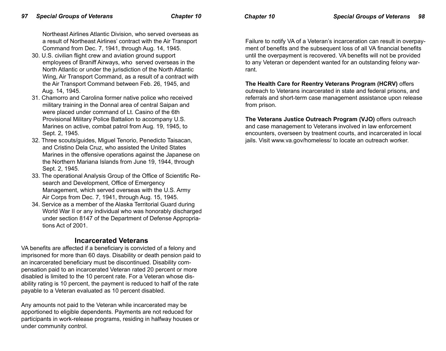Northeast Airlines Atlantic Division, who served overseas as a result of Northeast Airlines' contract with the Air Transport Command from Dec. 7, 1941, through Aug. 14, 1945.

- 30. U.S. civilian flight crew and aviation ground support employees of Braniff Airways, who served overseas in the North Atlantic or under the jurisdiction of the North Atlantic Wing, Air Transport Command, as a result of a contract with the Air Transport Command between Feb. 26, 1945, and Aug. 14, 1945.
- 31. Chamorro and Carolina former native police who received military training in the Donnal area of central Saipan and were placed under command of Lt. Casino of the 6th Provisional Military Police Battalion to accompany U.S. Marines on active, combat patrol from Aug. 19, 1945, to Sept. 2, 1945.
- 32. Three scouts/guides, Miguel Tenorio, Penedicto Taisacan, and Cristino Dela Cruz, who assisted the United States Marines in the offensive operations against the Japanese on the Northern Mariana Islands from June 19, 1944, through Sept. 2, 1945.
- 33. The operational Analysis Group of the Office of Scientific Research and Development, Office of Emergency Management, which served overseas with the U.S. Army Air Corps from Dec. 7, 1941, through Aug. 15, 1945.
- 34. Service as a member of the Alaska Territorial Guard during World War II or any individual who was honorably discharged under section 8147 of the Department of Defense Appropria tions Act of 2001.

## **Incarcerated Veterans**

VA benefits are affected if a beneficiary is convicted of a felony and imprisoned for more than 60 days. Disability or death pension paid to an incarcerated beneficiary must be discontinued. Disability compensation paid to an incarcerated Veteran rated 20 percent or more disabled is limited to the 10 percent rate. For a Veteran whose disability rating is 10 percent, the payment is reduced to half of the rate payable to a Veteran evaluated as 10 percent disabled.

Any amounts not paid to the Veteran while incarcerated may be apportioned to eligible dependents. Payments are not reduced for participants in work-release programs, residing in halfway houses or under community control.

Failure to notify VA of a Veteran's incarceration can result in overpayment of benefits and the subsequent loss of all VA financial benefits until the overpayment is recovered. VA benefits will not be provided to any Veteran or dependent wanted for an outstanding felony warrant.

**The Health Care for Reentry Veterans Program (HCRV)** offers outreach to Veterans incarcerated in state and federal prisons, and referrals and short-term case management assistance upon release from prison.

**The Veterans Justice Outreach Program (VJO)** offers outreach and case management to Veterans involved in law enforcement encounters, overseen by treatment courts, and incarcerated in local jails. Visit www.va.gov/homeless/ to locate an outreach worker.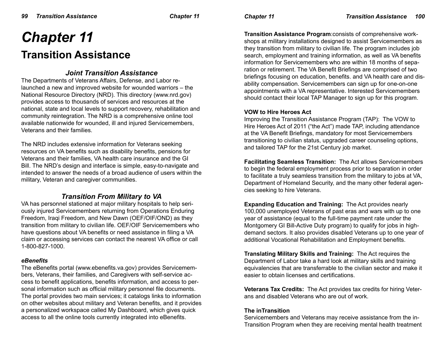# *Chapter 11* **Transition Assistance**

# *Joint Transition Assistance*

The Departments of Veterans Affairs, Defense, and Labor relaunched a new and improved website for wounded warriors – the National Resource Directory (NRD). This directory (www.nrd.gov) provides access to thousands of services and resources at the national, state and local levels to support recovery, rehabilitation and community reintegration. The NRD is a comprehensive online tool available nationwide for wounded, ill and injured Servicemembers, Veterans and their families.

The NRD includes extensive information for Veterans seeking resources on VA benefits such as disability benefits, pensions for Veterans and their families, VA health care insurance and the GI Bill. The NRD's design and interface is simple, easy-to-navigate and intended to answer the needs of a broad audience of users within the military, Veteran and caregiver communities.

# *Transition From Military to VA*

VA has personnel stationed at major military hospitals to help seriously injured Servicemembers returning from Operations Enduring Freedom, Iraqi Freedom, and New Dawn (OEF/OIF/OND) as they transition from military to civilian life. OEF/OIF Servicemembers who have questions about VA benefits or need assistance in filing a VA claim or accessing services can contact the nearest VA office or call 1-800-827-1000.

#### *eBenefits*

The eBenefits portal (www.ebenefits.va.gov) provides Servicemembers, Veterans, their families, and Caregivers with self-service access to benefit applications, benefits information, and access to personal information such as official military personnel file documents. The portal provides two main services; it catalogs links to information on other websites about military and Veteran benefits, and it provides a personalized workspace called My Dashboard, which gives quick access to all the online tools currently integrated into eBenefits.

**Transition Assistance Program**:consists of comprehensive workshops at military installations designed to assist Servicemembers as they transition from military to civilian life. The program includes job search, employment and training information, as well as VA benefits information for Servicemembers who are within 18 months of separation or retirement. The VA Benefit Briefings are comprised of two briefings focusing on education, benefits. and VA health care and disability compensation. Servicemembers can sign up for one-on-one appointments with a VA representative. Interested Servicemembers should contact their local TAP Manager to sign up for this program.

#### **VOW to Hire Heroes Act**

Improving the Transition Assistance Program (TAP): The VOW to Hire Heroes Act of 2011 ("the Act") made TAP, including attendance at the VA Benefit Briefings, mandatory for most Servicemembers transitioning to civilian status, upgraded career counseling options, and tailored TAP for the 21st Century job market.

**Facilitating Seamless Transition:** The Act allows Servicemembers to begin the federal employment process prior to separation in order to facilitate a truly seamless transition from the military to jobs at VA, Department of Homeland Security, and the many other federal agencies seeking to hire Veterans.

**Expanding Education and Training:** The Act provides nearly 100,000 unemployed Veterans of past eras and wars with up to one year of assistance (equal to the full-time payment rate under the Montgomery GI Bill-Active Duty program) to qualify for jobs in highdemand sectors. It also provides disabled Veterans up to one year of additional Vocational Rehabilitation and Employment benefits.

**Translating Military Skills and Training:** The Act requires the Department of Labor take a hard look at military skills and training equivalencies that are transferrable to the civilian sector and make it easier to obtain licenses and certifications.

**Veterans Tax Credits:** The Act provides tax credits for hiring Veterans and disabled Veterans who are out of work.

#### **The inTransition**

Servicemembers and Veterans may receive assistance from the in-Transition Program when they are receiving mental health treatment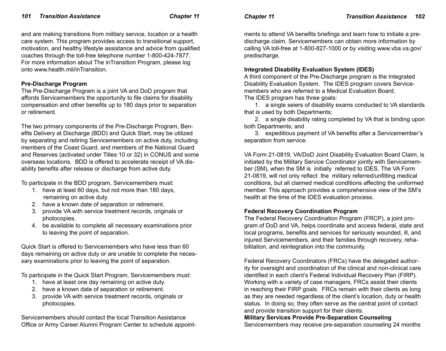and are making transitions from military service, location or a health care system. This program provides access to transitional support, motivation, and healthy lifestyle assistance and advice from qualified coaches through the toll-free telephone number 1-800-424-7877. For more information about The inTransition Program, please log onto www.health.mil/inTransition.

#### **Pre-Discharge Program**

The Pre-Discharge Program is a joint VA and DoD program that affords Servicemembers the opportunity to file claims for disability compensation and other benefits up to 180 days prior to separation or retirement.

The two primary components of the Pre-Discharge Program, Benefits Delivery at Discharge (BDD) and Quick Start, may be utilized by separating and retiring Servicemembers on active duty, including members of the Coast Guard, and members of the National Guard and Reserves (activated under Titles 10 or 32) in CONUS and some overseas locations. BDD is offered to accelerate receipt of VA disability benefits after release or discharge from active duty.

To participate in the BDD program, Servicemembers must:

- 1. have at least 60 days, but not more than 180 days, remaining on active duty.
- 2. have a known date of separation or retirement.
- 3. provide VA with service treatment records, originals or photocopies.
- 4. be available to complete all necessary examinations prior to leaving the point of separation.

Quick Start is offered to Servicemembers who have less than 60 days remaining on active duty or are unable to complete the necessary examinations prior to leaving the point of separation.

To participate in the Quick Start Program, Servicemembers must:

- 1. have at least one day remaining on active duty.
- 2. have a known date of separation or retirement.
- 3. provide VA with service treatment records, originals or photocopies.

Servicemembers should contact the local Transition Assistance Office or Army Career Alumni Program Center to schedule appoint-

ments to attend VA benefits briefings and learn how to initiate a predischarge claim. Servicemembers can obtain more information by calling VA toll-free at 1-800-827-1000 or by visiting www.vba.va.gov/ predischarge.

#### **Integrated Disability Evaluation System (IDES)**

A third component of the Pre-Discharge program is the Integrated Disability Evaluation System. The IDES program covers Servicemembers who are referred to a Medical Evaluation Board.

The IDES program has three goals:

1. a single seiers of disability exams conducted to VA standards that is used by both Departments;

2. a single disability rating completed by VA that is binding upon both Departments; and

3. expeditious payment of VA benefits after a Servicemember's separation from service.

VA Form 21-0819, VA/DoD Joint Disability Evaluation Board Claim, is initiated by the Military Service Coordinator jointly with Servicemember (SM), when the SM is initially referred to IDES. The VA Form 21-0819, will not only reflect the military referred/unfitting medical conditions, but all claimed medical conditions affecting the uniformed member. This approach provides a comprehensive view of the SM's health at the time of the IDES evaluation process.

#### **Federal Recovery Coordination Program**

The Federal Recovery Coordination Program (FRCP), a joint program of DoD and VA, helps coordinate and access federal, state and local programs, benefits and services for seriously wounded, ill, and injured Servicemembers, and their families through recovery, rehabilitation, and reintegration into the community.

Federal Recovery Coordinators (FRCs) have the delegated authority for oversight and coordination of the clinical and non-clinical care identified in each client's Federal Individual Recovery Plan (FIRP). Working with a variety of case managers, FRCs assist their clients in reaching their FIRP goals. FRCs remain with their clients as long as they are needed regardless of the client's location, duty or health status. In doing so, they often serve as the central point of contact and provide transition support for their clients.

#### **Military Services Provide Pre-Separation Counseling**

Servicemembers may receive pre-separation counseling 24 months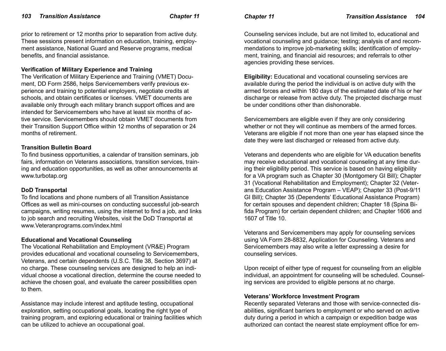prior to retirement or 12 months prior to separation from active duty. These sessions present information on education, training, employment assistance, National Guard and Reserve programs, medical benefits, and financial assistance.

#### **Verification of Military Experience and Training**

The Verification of Military Experience and Training (VMET) Document, DD Form 2586, helps Servicemembers verify previous experience and training to potential employers, negotiate credits at schools, and obtain certificates or licenses. VMET documents are available only through each military branch support offices and are intended for Servicemembers who have at least six months of active service. Servicemembers should obtain VMET documents from their Transition Support Office within 12 months of separation or 24 months of retirement.

#### **Transition Bulletin Board**

To find business opportunities, a calendar of transition seminars, job fairs, information on Veterans associations, transition services, training and education opportunities, as well as other announcements at www.turbotap.org

#### **DoD Transportal**

To find locations and phone numbers of all Transition Assistance Offices as well as mini-courses on conducting successful job-search campaigns, writing resumes, using the internet to find a job, and links to job search and recruiting Websites, visit the DoD Transportal at www.Veteranprograms.com/index.html

#### **Educational and Vocational Counseling**

The Vocational Rehabilitation and Employment (VR&E) Program provides educational and vocational counseling to Servicemembers, Veterans, and certain dependents (U.S.C. Title 38, Section 3697) at no charge. These counseling services are designed to help an individual choose a vocational direction, determine the course needed to achieve the chosen goal, and evaluate the career possibilities open to them.

Assistance may include interest and aptitude testing, occupational exploration, setting occupational goals, locating the right type of training program, and exploring educational or training facilities which can be utilized to achieve an occupational goal.

Counseling services include, but are not limited to, educational and vocational counseling and guidance; testing; analysis of and recommendations to improve job-marketing skills; identification of employment, training, and financial aid resources; and referrals to other agencies providing these services.

**Eligibility:** Educational and vocational counseling services are available during the period the individual is on active duty with the armed forces and within 180 days of the estimated date of his or her discharge or release from active duty. The projected discharge must be under conditions other than dishonorable.

Servicemembers are eligible even if they are only considering whether or not they will continue as members of the armed forces. Veterans are eligible if not more than one year has elapsed since the date they were last discharged or released from active duty.

Veterans and dependents who are eligible for VA education benefits may receive educational and vocational counseling at any time during their eligibility period. This service is based on having eligibility for a VA program such as Chapter 30 (Montgomery GI Bill); Chapter 31 (Vocational Rehabilitation and Employment); Chapter 32 (Veterans Education Assistance Program – VEAP); Chapter 33 (Post-9/11 GI Bill); Chapter 35 (Dependents' Educational Assistance Program) for certain spouses and dependent children; Chapter 18 (Spina Bifida Program) for certain dependent children; and Chapter 1606 and 1607 of Title 10.

Veterans and Servicemembers may apply for counseling services using VA Form 28-8832, Application for Counseling. Veterans and Servicemembers may also write a letter expressing a desire for counseling services.

Upon receipt of either type of request for counseling from an eligible individual, an appointment for counseling will be scheduled. Counseling services are provided to eligible persons at no charge.

#### **Veterans' Workforce Investment Program**

Recently separated Veterans and those with service-connected disabilities, significant barriers to employment or who served on active duty during a period in which a campaign or expedition badge was authorized can contact the nearest state employment office for em-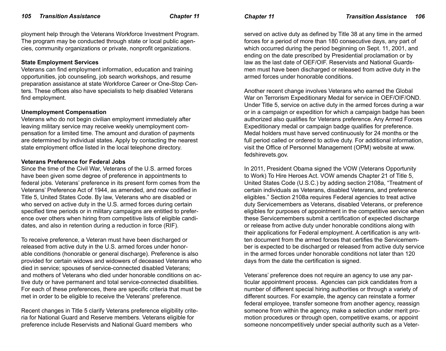ployment help through the Veterans Workforce Investment Program. The program may be conducted through state or local public agencies, community organizations or private, nonprofit organizations.

#### **State Employment Services**

Veterans can find employment information, education and training opportunities, job counseling, job search workshops, and resume preparation assistance at state Workforce Career or One-Stop Centers. These offices also have specialists to help disabled Veterans find employment.

#### **Unemployment Compensation**

Veterans who do not begin civilian employment immediately after leaving military service may receive weekly unemployment compensation for a limited time. The amount and duration of payments are determined by individual states. Apply by contacting the nearest state employment office listed in the local telephone directory.

#### **Veterans Preference for Federal Jobs**

Since the time of the Civil War, Veterans of the U.S. armed forces have been given some degree of preference in appointments to federal jobs. Veterans' preference in its present form comes from the Veterans' Preference Act of 1944, as amended, and now codified in Title 5, United States Code. By law, Veterans who are disabled or who served on active duty in the U.S. armed forces during certain specified time periods or in military campaigns are entitled to preference over others when hiring from competitive lists of eligible candidates, and also in retention during a reduction in force (RIF).

To receive preference, a Veteran must have been discharged or released from active duty in the U.S. armed forces under honorable conditions (honorable or general discharge). Preference is also provided for certain widows and widowers of deceased Veterans who died in service; spouses of service-connected disabled Veterans; and mothers of Veterans who died under honorable conditions on active duty or have permanent and total service-connected disabilities. For each of these preferences, there are specific criteria that must be met in order to be eligible to receive the Veterans' preference.

Recent changes in Title 5 clarify Veterans preference eligibility criteria for National Guard and Reserve members. Veterans eligible for preference include Reservists and National Guard members who

served on active duty as defined by Title 38 at any time in the armed forces for a period of more than 180 consecutive days, any part of which occurred during the period beginning on Sept. 11, 2001, and ending on the date prescribed by Presidential proclamation or by law as the last date of OEF/OIF. Reservists and National Guardsmen must have been discharged or released from active duty in the armed forces under honorable conditions.

Another recent change involves Veterans who earned the Global War on Terrorism Expeditionary Medal for service in OEF/OIF/OND. Under Title 5, service on active duty in the armed forces during a war or in a campaign or expedition for which a campaign badge has been authorized also qualifies for Veterans preference. Any Armed Forces Expeditionary medal or campaign badge qualifies for preference. Medal holders must have served continuously for 24 months or the full period called or ordered to active duty. For additional information, visit the Office of Personnel Management (OPM) website at www. fedshirevets.gov.

In 2011, President Obama signed the VOW (Veterans Opportunity to Work) To Hire Heroes Act. VOW amends Chapter 21 of Title 5, United States Code (U.S.C.) by adding section 2108a, "Treatment of certain individuals as Veterans, disabled Veterans, and preference eligibles." Section 2108a requires Federal agencies to treat active duty Servicemembers as Veterans, disabled Veterans, or preference eligibles for purposes of appointment in the competitive service when these Servicemembers submit a certification of expected discharge or release from active duty under honorable conditions along with their applications for Federal employment. A certification is any written document from the armed forces that certifies the Servicemember is expected to be discharged or released from active duty service in the armed forces under honorable conditions not later than 120 days from the date the certification is signed.

Veterans' preference does not require an agency to use any particular appointment process. Agencies can pick candidates from a number of different special hiring authorities or through a variety of different sources. For example, the agency can reinstate a former federal employee, transfer someone from another agency, reassign someone from within the agency, make a selection under merit promotion procedures or through open, competitive exams, or appoint someone noncompetitively under special authority such as a Veter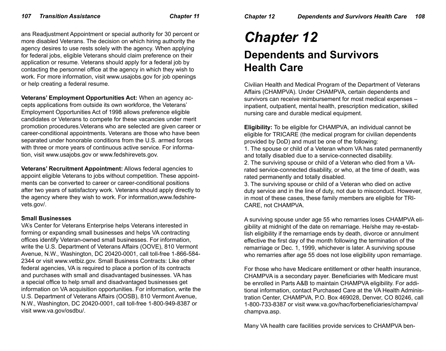*107 Transition Assistance Chapter 11 Chapter 12 Dependents and Survivors Health Care 108*

ans Readjustment Appointment or special authority for 30 percent or more disabled Veterans. The decision on which hiring authority the agency desires to use rests solely with the agency. When applying for federal jobs, eligible Veterans should claim preference on their application or resume. Veterans should apply for a federal job by contacting the personnel office at the agency in which they wish to work. For more information, visit www.usajobs.gov for job openings or help creating a federal resume.

**Veterans' Employment Opportunities Act:** When an agency accepts applications from outside its own workforce, the Veterans' Employment Opportunities Act of 1998 allows preference eligible candidates or Veterans to compete for these vacancies under merit promotion procedures.Veterans who are selected are given career or career-conditional appointments. Veterans are those who have been separated under honorable conditions from the U.S. armed forces with three or more years of continuous active service. For information, visit www.usajobs.gov or www.fedshirevets.gov.

**Veterans' Recruitment Appointment:** Allows federal agencies to appoint eligible Veterans to jobs without competition. These appointments can be converted to career or career-conditional positions after two years of satisfactory work. Veterans should apply directly to the agency where they wish to work. For information,www.fedshirevets.gov/.

#### **Small Businesses**

VA's Center for Veterans Enterprise helps Veterans interested in forming or expanding small businesses and helps VA contracting offices identify Veteran-owned small businesses. For information, write the U.S. Department of Veterans Affairs (OOVE), 810 Vermont Avenue, N.W., Washington, DC 20420-0001, call toll-free 1-866-584- 2344 or visit www.vetbiz.gov. Small Business Contracts: Like other federal agencies, VA is required to place a portion of its contracts and purchases with small and disadvantaged businesses. VA has a special office to help small and disadvantaged businesses get information on VA acquisition opportunities. For information, write the U.S. Department of Veterans Affairs (OOSB), 810 Vermont Avenue, N.W., Washington, DC 20420-0001, call toll-free 1-800-949-8387 or visit www.va.gov/osdbu/.

# *Chapter 12* **Dependents and Survivors Health Care**

Civilian Health and Medical Program of the Department of Veterans Affairs (CHAMPVA). Under CHAMPVA, certain dependents and survivors can receive reimbursement for most medical expenses – inpatient, outpatient, mental health, prescription medication, skilled nursing care and durable medical equipment.

**Eligibility:** To be eligible for CHAMPVA, an individual cannot be eligible for TRICARE (the medical program for civilian dependents provided by DoD) and must be one of the following:

1. The spouse or child of a Veteran whom VA has rated permanently and totally disabled due to a service-connected disability.

2. The surviving spouse or child of a Veteran who died from a VArated service-connected disability, or who, at the time of death, was rated permanently and totally disabled.

3. The surviving spouse or child of a Veteran who died on active duty service and in the line of duty, not due to misconduct. However, in most of these cases, these family members are eligible for TRI-CARE, not CHAMPVA.

A surviving spouse under age 55 who remarries loses CHAMPVA eligibility at midnight of the date on remarriage. He/she may re-establish eligibility if the remarriage ends by death, divorce or annulment effective the first day of the month following the termination of the remarriage or Dec. 1, 1999, whichever is later. A surviving spouse who remarries after age 55 does not lose eligibility upon remarriage.

For those who have Medicare entitlement or other health insurance, CHAMPVA is a secondary payer. Beneficiaries with Medicare must be enrolled in Parts A&B to maintain CHAMPVA eligibility. For additional information, contact Purchased Care at the VA Health Administration Center, CHAMPVA, P.O. Box 469028, Denver, CO 80246, call 1-800-733-8387 or visit www.va.gov/hac/forbeneficiaries/champva/ champva.asp.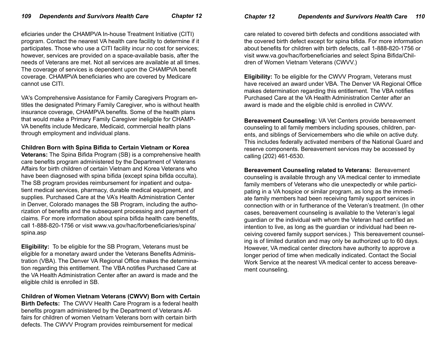eficiaries under the CHAMPVA In-house Treatment Initiative (CITI) program. Contact the nearest VA health care facility to determine if it participates. Those who use a CITI facility incur no cost for services; however, services are provided on a space-available basis, after the needs of Veterans are met. Not all services are available at all times. The coverage of services is dependent upon the CHAMPVA benefit coverage. CHAMPVA beneficiaries who are covered by Medicare cannot use CITI.

VA's Comprehensive Assistance for Family Caregivers Program entitles the designated Primary Family Caregiver, who is without health insurance coverage, CHAMPVA benefits. Some of the health plans that would make a Primary Family Caregiver ineligible for CHAMP-VA benefits include Medicare, Medicaid, commercial health plans through employment and individual plans.

#### **Children Born with Spina Bifida to Certain Vietnam or Korea**

**Veterans:** The Spina Bifida Program (SB) is a comprehensive health care benefits program administered by the Department of Veterans Affairs for birth children of certain Vietnam and Korea Veterans who have been diagnosed with spina bifida (except spina bifida occulta). The SB program provides reimbursement for inpatient and outpatient medical services, pharmacy, durable medical equipment, and supplies. Purchased Care at the VA's Health Administration Center in Denver, Colorado manages the SB Program, including the authorization of benefits and the subsequent processing and payment of claims. For more information about spina bifida health care benefits, call 1-888-820-1756 or visit www.va.gov/hac/forbeneficiaries/spina/ spina.asp

**Eligibility:** To be eligible for the SB Program, Veterans must be eligible for a monetary award under the Veterans Benefits Administration (VBA). The Denver VA Regional Office makes the determination regarding this entitlement. The VBA notifies Purchased Care at the VA Health Administration Center after an award is made and the eligible child is enrolled in SB.

**Children of Women Vietnam Veterans (CWVV) Born with Certain Birth Defects:** The CWVV Health Care Program is a federal health benefits program administered by the Department of Veterans Affairs for children of women Vietnam Veterans born with certain birth defects. The CWVV Program provides reimbursement for medical

care related to covered birth defects and conditions associated with the covered birth defect except for spina bifida. For more information about benefits for children with birth defects, call 1-888-820-1756 or visit www.va.gov/hac/forbeneficiaries and select Spina Bifida/Children of Women Vietnam Veterans (CWVV.)

**Eligibility:** To be eligible for the CWVV Program, Veterans must have received an award under VBA. The Denver VA Regional Office makes determination regarding this entitlement. The VBA notifies Purchased Care at the VA Health Administration Center after an award is made and the eligible child is enrolled in CWVV.

**Bereavement Counseling:** VA Vet Centers provide bereavement counseling to all family members including spouses, children, parents, and siblings of Servicemembers who die while on active duty. This includes federally activated members of the National Guard and reserve components. Bereavement services may be accessed by calling (202) 461-6530.

**Bereavement Counseling related to Veterans:** Bereavement counseling is available through any VA medical center to immediate family members of Veterans who die unexpectedly or while participating in a VA hospice or similar program, as long as the immediate family members had been receiving family support services in connection with or in furtherance of the Veteran's treatment. (In other cases, bereavement counseling is available to the Veteran's legal guardian or the individual with whom the Veteran had certified an intention to live, as long as the guardian or individual had been receiving covered family support services.) This bereavement counseling is of limited duration and may only be authorized up to 60 days. However, VA medical center directors have authority to approve a longer period of time when medically indicated. Contact the Social Work Service at the nearest VA medical center to access bereavement counseling.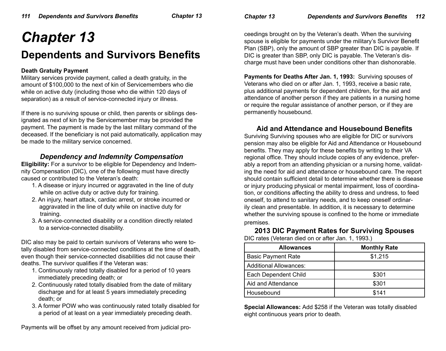# <span id="page-60-0"></span>*Chapter 13* **Dependents and Survivors Benefits**

### **Death Gratuity Payment**

Military services provide payment, called a death gratuity, in the amount of \$100,000 to the next of kin of Servicemembers who die while on active duty (including those who die within 120 days of separation) as a result of service-connected injury or illness.

If there is no surviving spouse or child, then parents or siblings designated as next of kin by the Servicemember may be provided the payment. The payment is made by the last military command of the deceased. If the beneficiary is not paid automatically, application may be made to the military service concerned.

# *Dependency and Indemnity Compensation*

**Eligibility:** For a survivor to be eligible for Dependency and Indemnity Compensation (DIC), one of the following must have directly caused or contributed to the Veteran's death:

- 1. A disease or injury incurred or aggravated in the line of duty while on active duty or active duty for training.
- 2. An injury, heart attack, cardiac arrest, or stroke incurred or aggravated in the line of duty while on inactive duty for training.
- 3. A service-connected disability or a condition directly related to a service-connected disability.

DIC also may be paid to certain survivors of Veterans who were totally disabled from service-connected conditions at the time of death, even though their service-connected disabilities did not cause their deaths. The survivor qualifies if the Veteran was:

- 1. Continuously rated totally disabled for a period of 10 years immediately preceding death; or
- 2. Continuously rated totally disabled from the date of military discharge and for at least 5 years immediately preceding death; or
- 3. A former POW who was continuously rated totally disabled for a period of at least on a year immediately preceding death.

Payments will be offset by any amount received from judicial pro-

ceedings brought on by the Veteran's death. When the surviving spouse is eligible for payments under the military's Survivor Benefit Plan (SBP), only the amount of SBP greater than DIC is payable. If DIC is greater than SBP, only DIC is payable. The Veteran's discharge must have been under conditions other than dishonorable.

**Payments for Deaths After Jan. 1, 1993:** Surviving spouses of Veterans who died on or after Jan. 1, 1993, receive a basic rate, plus additional payments for dependent children, for the aid and attendance of another person if they are patients in a nursing home or require the regular assistance of another person, or if they are permanently housebound.

# **Aid and Attendance and Housebound Benefits**

Surviving Surviving spouses who are eligible for DIC or survivors pension may also be eligible for Aid and Attendance or Housebound benefits. They may apply for these benefits by writing to their VA regional office. They should include copies of any evidence, preferably a report from an attending physician or a nursing home, validating the need for aid and attendance or housebound care. The report should contain sufficient detail to determine whether there is disease or injury producing physical or mental impairment, loss of coordination, or conditions affecting the ability to dress and undress, to feed oneself, to attend to sanitary needs, and to keep oneself ordinarily clean and presentable. In addition, it is necessary to determine whether the surviving spouse is confined to the home or immediate premises.

# **2013 DIC Payment Rates for Surviving Spouses**

DIC rates (Veteran died on or after Jan. 1, 1993.)

| <b>Allowances</b>             | <b>Monthly Rate</b> |
|-------------------------------|---------------------|
| <b>Basic Payment Rate</b>     | \$1,215             |
| <b>Additional Allowances:</b> |                     |
| Each Dependent Child          | \$301               |
| Aid and Attendance            | \$301               |
| Housebound                    | \$141               |

**Special Allowances:** Add \$258 if the Veteran was totally disabled eight continuous years prior to death.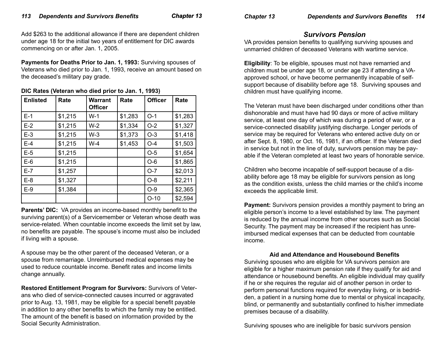Add \$263 to the additional allowance if there are dependent children under age 18 for the initial two years of entitlement for DIC awards commencing on or after Jan. 1, 2005.

**Payments for Deaths Prior to Jan. 1, 1993:** Surviving spouses of Veterans who died prior to Jan. 1, 1993, receive an amount based on the deceased's military pay grade.

| <b>Enlisted</b> | Rate    | <b>Warrant</b><br><b>Officer</b> | Rate    | <b>Officer</b> | Rate    |
|-----------------|---------|----------------------------------|---------|----------------|---------|
| $E-1$           | \$1,215 | W-1                              | \$1,283 | $O-1$          | \$1,283 |
| $E-2$           | \$1,215 | W-2                              | \$1,334 | $O-2$          | \$1,327 |
| $E-3$           | \$1,215 | W-3                              | \$1,373 | $O-3$          | \$1,418 |
| $E-4$           | \$1,215 | $W-4$                            | \$1,453 | $O-4$          | \$1,503 |
| $E-5$           | \$1,215 |                                  |         | $O-5$          | \$1,654 |
| $E-6$           | \$1,215 |                                  |         | $O-6$          | \$1,865 |
| $E-7$           | \$1,257 |                                  |         | $O-7$          | \$2,013 |
| $E-8$           | \$1,327 |                                  |         | $O-8$          | \$2,211 |
| $E-9$           | \$1,384 |                                  |         | $O-9$          | \$2,365 |
|                 |         |                                  |         | $O-10$         | \$2,594 |

**DIC Rates (Veteran who died prior to Jan. 1, 1993)**

**Parents' DIC:** VA provides an income-based monthly benefit to the surviving parent(s) of a Servicemember or Veteran whose death was service-related. When countable income exceeds the limit set by law, no benefits are payable. The spouse's income must also be included if living with a spouse.

A spouse may be the other parent of the deceased Veteran, or a spouse from remarriage. Unreimbursed medical expenses may be used to reduce countable income. Benefit rates and income limits change annually.

**Restored Entitlement Program for Survivors:** Survivors of Veterans who died of service-connected causes incurred or aggravated prior to Aug. 13, 1981, may be eligible for a special benefit payable in addition to any other benefits to which the family may be entitled. The amount of the benefit is based on information provided by the Social Security Administration.

### *Survivors Pension*

VA provides pension benefits to qualifying surviving spouses and unmarried children of deceased Veterans with wartime service.

**Eligibility**: To be eligible, spouses must not have remarried and children must be under age 18, or under age 23 if attending a VAapproved school, or have become permanently incapable of selfsupport because of disability before age 18. Surviving spouses and children must have qualifying income.

The Veteran must have been discharged under conditions other than dishonorable and must have had 90 days or more of active military service, at least one day of which was during a period of war, or a service-connected disability justifying discharge. Longer periods of service may be required for Veterans who entered active duty on or after Sept. 8, 1980, or Oct. 16, 1981, if an officer. If the Veteran died in service but not in the line of duty, survivors pension may be payable if the Veteran completed at least two years of honorable service.

Children who become incapable of self-support because of a disability before age 18 may be eligible for survivors pension as long as the condition exists, unless the child marries or the child's income exceeds the applicable limit.

**Payment:** Survivors pension provides a monthly payment to bring an eligible person's income to a level established by law. The payment is reduced by the annual income from other sources such as Social Security. The payment may be increased if the recipient has unreimbursed medical expenses that can be deducted from countable income.

#### **Aid and Attendance and Housebound Benefits**

Surviving spouses who are eligible for VA survivors pension are eligible for a higher maximum pension rate if they qualify for aid and attendance or housebound benefits. An eligible individual may qualify if he or she requires the regular aid of another person in order to perform personal functions required for everyday living, or is bedridden, a patient in a nursing home due to mental or physical incapacity, blind, or permanently and substantially confined to his/her immediate premises because of a disability.

Surviving spouses who are ineligible for basic survivors pension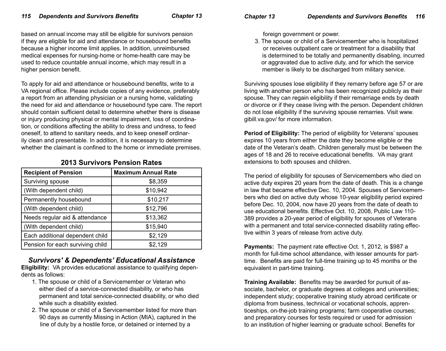based on annual income may still be eligible for survivors pension if they are eligible for aid and attendance or housebound benefits because a higher income limit applies. In addition, unreimbursed medical expenses for nursing-home or home-health care may be used to reduce countable annual income, which may result in a higher pension benefit.

To apply for aid and attendance or housebound benefits, write to a VA regional office. Please include copies of any evidence, preferably a report from an attending physician or a nursing home, validating the need for aid and attendance or housebound type care. The report should contain sufficient detail to determine whether there is disease or injury producing physical or mental impairment, loss of coordination, or conditions affecting the ability to dress and undress, to feed oneself, to attend to sanitary needs, and to keep oneself ordinarily clean and presentable. In addition, it is necessary to determine whether the claimant is confined to the home or immediate premises.

### **2013 Survivors Pension Rates**

| <b>Recipient of Pension</b>      | <b>Maximum Annual Rate</b> |  |
|----------------------------------|----------------------------|--|
| Surviving spouse                 | \$8,359                    |  |
| (With dependent child)           | \$10,942                   |  |
| Permanently housebound           | \$10,217                   |  |
| (With dependent child)           | \$12,796                   |  |
| Needs regular aid & attendance   | \$13,362                   |  |
| (With dependent child)           | \$15,940                   |  |
| Each additional dependent child  | \$2,129                    |  |
| Pension for each surviving child | \$2,129                    |  |

#### *Survivors' & Dependents' Educational Assistance*

**Eligibility:** VA provides educational assistance to qualifying dependents as follows:

- 1. The spouse or child of a Servicemember or Veteran who either died of a service-connected disability, or who has permanent and total service-connected disability, or who died while such a disability existed.
- 2. The spouse or child of a Servicemember listed for more than 90 days as currently Missing in Action (MIA), captured in the line of duty by a hostile force, or detained or interned by a

foreign government or power.

3. The spouse or child of a Servicemember who is hospitalized or receives outpatient care or treatment for a disability that is determined to be totally and permanently disabling, incurred or aggravated due to active duty, and for which the service member is likely to be discharged from military service.

Surviving spouses lose eligibility if they remarry before age 57 or are living with another person who has been recognized publicly as their spouse. They can regain eligibility if their remarriage ends by death or divorce or if they cease living with the person. Dependent children do not lose eligibility if the surviving spouse remarries. Visit www. gibill.va.gov/ for more information.

**Period of Eligibility:** The period of eligibility for Veterans' spouses expires 10 years from either the date they become eligible or the date of the Veteran's death. Children generally must be between the ages of 18 and 26 to receive educational benefits. VA may grant extensions to both spouses and children.

The period of eligibility for spouses of Servicemembers who died on active duty expires 20 years from the date of death. This is a change in law that became effective Dec. 10, 2004. Spouses of Servicemembers who died on active duty whose 10-year eligibility period expired before Dec. 10, 2004, now have 20 years from the date of death to use educational benefits. Effective Oct. 10, 2008, Public Law 110- 389 provides a 20-year period of eligibility for spouses of Veterans with a permanent and total service-connected disability rating effective within 3 years of release from active duty.

**Payments:** The payment rate effective Oct. 1, 2012, is \$987 a month for full-time school attendance, with lesser amounts for parttime. Benefits are paid for full-time training up to 45 months or the equivalent in part-time training.

**Training Available:** Benefits may be awarded for pursuit of associate, bachelor, or graduate degrees at colleges and universities; independent study; cooperative training study abroad certificate or diploma from business, technical or vocational schools, apprenticeships, on-the-job training programs; farm cooperative courses; and preparatory courses for tests required or used for admission to an institution of higher learning or graduate school. Benefits for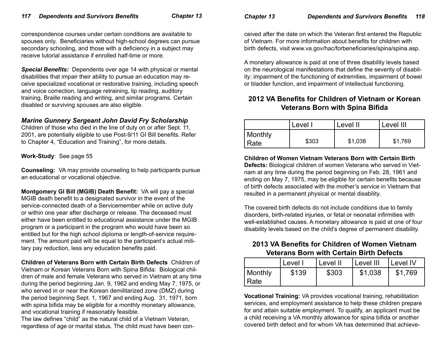correspondence courses under certain conditions are available to spouses only. Beneficiaries without high-school degrees can pursue secondary schooling, and those with a deficiency in a subject may receive tutorial assistance if enrolled half-time or more.

*Special Benefits:* Dependents over age 14 with physical or mental disabilities that impair their ability to pursue an education may receive specialized vocational or restorative training, including speech and voice correction, language retraining, lip reading, auditory training, Braille reading and writing, and similar programs. Certain disabled or surviving spouses are also eligible.

#### *Marine Gunnery Sergeant John David Fry Scholarship*

Children of those who died in the line of duty on or after Sept. 11, 2001, are potentially eligible to use Post-9/11 GI Bill benefits. Refer to Chapter 4, "Education and Training", for more details.

#### **Work-Study**: See page 55

**Counseling:** VA may provide counseling to help participants pursue an educational or vocational objective.

**Montgomery GI Bill (MGIB) Death Benefit:** VA will pay a special MGIB death benefit to a designated survivor in the event of the service-connected death of a Servicemember while on active duty or within one year after discharge or release. The deceased must either have been entitled to educational assistance under the MGIB program or a participant in the program who would have been so entitled but for the high school diploma or length-of-service requirement. The amount paid will be equal to the participant's actual military pay reduction, less any education benefits paid.

**Children of Veterans Born with Certain Birth Defects** Children of Vietnam or Korean Veterans Born with Spina Bifida: Biological children of male and female Veterans who served in Vietnam at any time during the period beginning Jan. 9, 1962 and ending May 7, 1975, or who served in or near the Korean demilitarized zone (DMZ) during the period beginning Sept. 1, 1967 and ending Aug. 31, 1971, born with spina bifida may be eligible for a monthly monetary allowance, and vocational training if reasonably feasible.

The law defines "child" as the natural child of a Vietnam Veteran, regardless of age or marital status. The child must have been con-

ceived after the date on which the Veteran first entered the Republic of Vietnam. For more information about benefits for children with birth defects, visit www.va.gov/hac/forbeneficiaries/spina/spina.asp.

A monetary allowance is paid at one of three disability levels based on the neurological manifestations that define the severity of disability: impairment of the functioning of extremities, impairment of bowel or bladder function, and impairment of intellectual functioning.

# **2012 VA Benefits for Children of Vietnam or Korean Veterans Born with Spina Bifida**

|                              | Level I | Level II | Level III |
|------------------------------|---------|----------|-----------|
| Monthly<br><sup>I</sup> Rate | \$303   | \$1,038  | \$1,769   |

**Children of Women Vietnam Veterans Born with Certain Birth Defects:** Biological children of women Veterans who served in Vietnam at any time during the period beginning on Feb. 28, 1961 and ending on May 7, 1975, may be eligible for certain benefits because of birth defects associated with the mother's service in Vietnam that resulted in a permanent physical or mental disability.

The covered birth defects do not include conditions due to family disorders, birth-related injuries, or fetal or neonatal infirmities with well-established causes. A monetary allowance is paid at one of four disability levels based on the child's degree of permanent disability.

# **2013 VA Benefits for Children of Women Vietnam Veterans Born with Certain Birth Defects**

|                 | 'Level i | Level II | Level III | Level IV |
|-----------------|----------|----------|-----------|----------|
| Monthly<br>Rate | \$139    | \$303    | \$1,038   | \$1,769  |

**Vocational Training:** VA provides vocational training, rehabilitation services, and employment assistance to help these children prepare for and attain suitable employment. To qualify, an applicant must be a child receiving a VA monthly allowance for spina bifida or another covered birth defect and for whom VA has determined that achieve-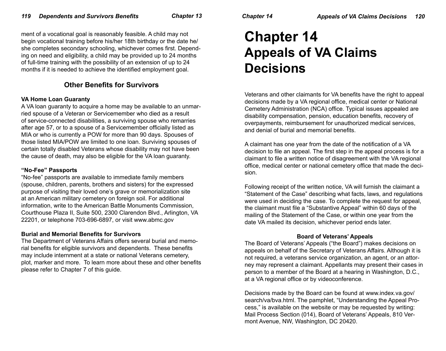ment of a vocational goal is reasonably feasible. A child may not begin vocational training before his/her 18th birthday or the date he/ she completes secondary schooling, whichever comes first. Depending on need and eligibility, a child may be provided up to 24 months of full-time training with the possibility of an extension of up to 24 months if it is needed to achieve the identified employment goal.

## **Other Benefits for Survivors**

#### **VA Home Loan Guaranty**

A VA loan guaranty to acquire a home may be available to an unmarried spouse of a Veteran or Servicemember who died as a result of service-connected disabilities, a surviving spouse who remarries after age 57, or to a spouse of a Servicemember officially listed as MIA or who is currently a POW for more than 90 days. Spouses of those listed MIA/POW are limited to one loan. Surviving spouses of certain totally disabled Veterans whose disability may not have been the cause of death, may also be eligible for the VA loan guaranty.

#### **"No-Fee" Passports**

"No-fee" passports are available to immediate family members (spouse, children, parents, brothers and sisters) for the expressed purpose of visiting their loved one's grave or memorialization site at an American military cemetery on foreign soil. For additional information, write to the American Battle Monuments Commission, Courthouse Plaza II, Suite 500, 2300 Clarendon Blvd., Arlington, VA 22201, or telephone 703-696-6897, or visit www.abmc.gov

#### **Burial and Memorial Benefits for Survivors**

The Department of Veterans Affairs offers several burial and memorial benefits for eligible survivors and dependents. These benefits may include internment at a state or national Veterans cemetery, plot, marker and more. To learn more about these and other benefits please refer to Chapter 7 of this guide.

# **Chapter 14 Appeals of VA Claims Decisions**

Veterans and other claimants for VA benefits have the right to appeal decisions made by a VA regional office, medical center or National Cemetery Administration (NCA) office. Typical issues appealed are disability compensation, pension, education benefits, recovery of overpayments, reimbursement for unauthorized medical services, and denial of burial and memorial benefits.

A claimant has one year from the date of the notification of a VA decision to file an appeal. The first step in the appeal process is for a claimant to file a written notice of disagreement with the VA regional office, medical center or national cemetery office that made the decision.

Following receipt of the written notice, VA will furnish the claimant a "Statement of the Case" describing what facts, laws, and regulations were used in deciding the case. To complete the request for appeal, the claimant must file a "Substantive Appeal" within 60 days of the mailing of the Statement of the Case, or within one year from the date VA mailed its decision, whichever period ends later.

#### **Board of Veterans' Appeals**

The Board of Veterans' Appeals ("the Board") makes decisions on appeals on behalf of the Secretary of Veterans Affairs. Although it is not required, a veterans service organization, an agent, or an attorney may represent a claimant. Appellants may present their cases in person to a member of the Board at a hearing in Washington, D.C., at a VA regional office or by videoconference.

Decisions made by the Board can be found at www.index.va.gov/ search/va/bva.html. The pamphlet, "Understanding the Appeal Process," is available on the website or may be requested by writing: Mail Process Section (014), Board of Veterans' Appeals, 810 Vermont Avenue, NW, Washington, DC 20420.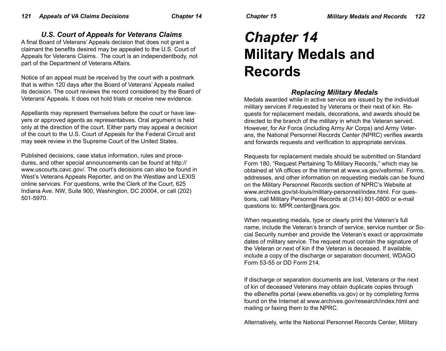# *U.S. Court of Appeals for Veterans Claims*

A final Board of Veterans' Appeals decision that does not grant a claimant the benefits desired may be appealed to the U.S. Court of Appeals for Veterans Claims. The court is an independentbody, not part of the Department of Veterans Affairs.

Notice of an appeal must be received by the court with a postmark that is within 120 days after the Board of Veterans' Appeals mailed its decision. The court reviews the record considered by the Board of Veterans' Appeals. It does not hold trials or receive new evidence.

Appellants may represent themselves before the court or have lawyers or approved agents as representatives. Oral argument is held only at the direction of the court. Either party may appeal a decision of the court to the U.S. Court of Appeals for the Federal Circuit and may seek review in the Supreme Court of the United States.

Published decisions, case status information, rules and procedures, and other special announcements can be found at http:// www.uscourts.cavc.gov/. The court's decisions can also be found in West's Veterans Appeals Reporter, and on the Westlaw and LEXIS online services. For questions, write the Clerk of the Court, 625 Indiana Ave. NW, Suite 900, Washington, DC 20004, or call (202) 501-5970.

# *Chapter 14* **Military Medals and Records**

# *Replacing Military Medals*

Medals awarded while in active service are issued by the individual military services if requested by Veterans or their next of kin. Requests for replacement medals, decorations, and awards should be directed to the branch of the military in which the Veteran served. However, for Air Force (including Army Air Corps) and Army Veterans, the National Personnel Records Center (NPRC) verifies awards and forwards requests and verification to appropriate services.

Requests for replacement medals should be submitted on Standard Form 180, "Request Pertaining To Military Records," which may be obtained at VA offices or the Internet at www.va.gov/vaforms/. Forms, addresses, and other information on requesting medals can be found on the Military Personnel Records section of NPRC's Website at www.archives.gov/st-louis/military-personnel/index.html. For questions, call Military Personnel Records at (314) 801-0800 or e-mail questions to: MPR.center@nara.gov.

When requesting medals, type or clearly print the Veteran's full name, include the Veteran's branch of service, service number or Social Security number and provide the Veteran's exact or approximate dates of military service. The request must contain the signature of the Veteran or next of kin if the Veteran is deceased. If available, include a copy of the discharge or separation document, WDAGO Form 53-55 or DD Form 214.

If discharge or separation documents are lost, Veterans or the next of kin of deceased Veterans may obtain duplicate copies through the eBenefits portal (www.ebenefits.va.gov) or by completing forms found on the Internet at www.archives.gov/research/index.html and mailing or faxing them to the NPRC.

Alternatively, write the National Personnel Records Center, Military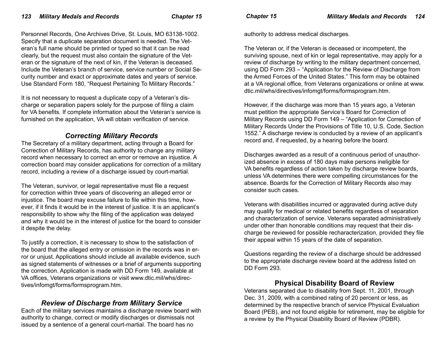Personnel Records, One Archives Drive, St. Louis, MO 63138-1002. Specify that a duplicate separation document is needed. The Veteran's full name should be printed or typed so that it can be read clearly, but the request must also contain the signature of the Veteran or the signature of the next of kin, if the Veteran is deceased. Include the Veteran's branch of service, service number or Social Security number and exact or approximate dates and years of service. Use Standard Form 180, "Request Pertaining To Military Records."

It is not necessary to request a duplicate copy of a Veteran's discharge or separation papers solely for the purpose of filing a claim for VA benefits. If complete information about the Veteran's service is furnished on the application, VA will obtain verification of service.

### *Correcting Military Records*

The Secretary of a military department, acting through a Board for Correction of Military Records, has authority to change any military record when necessary to correct an error or remove an injustice. A correction board may consider applications for correction of a military record, including a review of a discharge issued by court-martial.

The Veteran, survivor, or legal representative must file a request for correction within three years of discovering an alleged error or injustice. The board may excuse failure to file within this time, however, if it finds it would be in the interest of justice. It is an applicant's responsibility to show why the filing of the application was delayed and why it would be in the interest of justice for the board to consider it despite the delay.

To justify a correction, it is necessary to show to the satisfaction of the board that the alleged entry or omission in the records was in error or unjust. Applications should include all available evidence, such as signed statements of witnesses or a brief of arguments supporting the correction. Application is made with DD Form 149, available at VA offices, Veterans organizations or visit www.dtic.mil/whs/directives/infomgt/forms/formsprogram.htm.

## *Review of Discharge from Military Service*

Each of the military services maintains a discharge review board with authority to change, correct or modify discharges or dismissals not issued by a sentence of a general court-martial. The board has no

authority to address medical discharges.

The Veteran or, if the Veteran is deceased or incompetent, the surviving spouse, next of kin or legal representative, may apply for a review of discharge by writing to the military department concerned, using DD Form 293 – "Application for the Review of Discharge from the Armed Forces of the United States." This form may be obtained at a VA regional office, from Veterans organizations or online at www. dtic.mil/whs/directives/infomgt/forms/formsprogram.htm.

However, if the discharge was more than 15 years ago, a Veteran must petition the appropriate Service's Board for Correction of Military Records using DD Form 149 – "Application for Correction of Military Records Under the Provisions of Title 10, U.S. Code, Section 1552." A discharge review is conducted by a review of an applicant's record and, if requested, by a hearing before the board.

Discharges awarded as a result of a continuous period of unauthorized absence in excess of 180 days make persons ineligible for VA benefits regardless of action taken by discharge review boards, unless VA determines there were compelling circumstances for the absence. Boards for the Correction of Military Records also may consider such cases.

Veterans with disabilities incurred or aggravated during active duty may qualify for medical or related benefits regardless of separation and characterization of service. Veterans separated administratively under other than honorable conditions may request that their discharge be reviewed for possible recharacterization, provided they file their appeal within 15 years of the date of separation.

Questions regarding the review of a discharge should be addressed to the appropriate discharge review board at the address listed on DD Form 293.

## **Physical Disability Board of Review**

Veterans separated due to disability from Sept. 11, 2001, through Dec. 31, 2009, with a combined rating of 20 percent or less, as determined by the respective branch of service Physical Evaluation Board (PEB), and not found eligible for retirement, may be eligible for a review by the Physical Disability Board of Review (PDBR).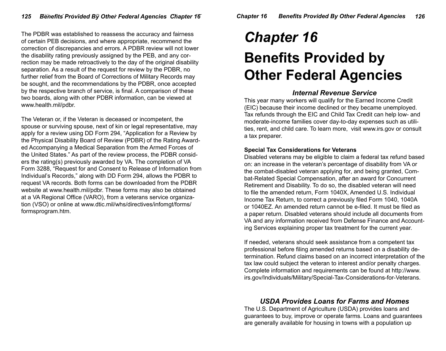The PDBR was established to reassess the accuracy and fairness of certain PEB decisions, and where appropriate, recommend the correction of discrepancies and errors. A PDBR review will not lower the disability rating previously assigned by the PEB, and any correction may be made retroactively to the day of the original disability separation. As a result of the request for review by the PDBR, no further relief from the Board of Corrections of Military Records may be sought, and the recommendations by the PDBR, once accepted by the respective branch of service, is final. A comparison of these two boards, along with other PDBR information, can be viewed at www.health.mil/pdbr.

The Veteran or, if the Veteran is deceased or incompetent, the spouse or surviving spouse, next of kin or legal representative, may apply for a review using DD Form 294, "Application for a Review by the Physical Disability Board of Review (PDBR) of the Rating Awarded Accompanying a Medical Separation from the Armed Forces of the United States." As part of the review process, the PDBR considers the rating(s) previously awarded by VA. The completion of VA Form 3288, "Request for and Consent to Release of Information from Individual's Records," along with DD Form 294, allows the PDBR to request VA records. Both forms can be downloaded from the PDBR website at www.health.mil/pdbr. These forms may also be obtained at a VA Regional Office (VARO), from a veterans service organization (VSO) or online at www.dtic.mil/whs/directives/infomgt/forms/ formsprogram.htm.

# *Chapter 16* **Benefits Provided by Other Federal Agencies**

## *Internal Revenue Service*

This year many workers will qualify for the Earned Income Credit (EIC) because their income declined or they became unemployed. Tax refunds through the EIC and Child Tax Credit can help low- and moderate-income families cover day-to-day expenses such as utilities, rent, and child care. To learn more, visit www.irs.gov or consult a tax preparer.

#### **Special Tax Considerations for Veterans**

Disabled veterans may be eligible to claim a federal tax refund based on: an increase in the veteran's percentage of disability from VA or the combat-disabled veteran applying for, and being granted, Combat-Related Special Compensation, after an award for Concurrent Retirement and Disability. To do so, the disabled veteran will need to file the amended return, Form 1040X, Amended U.S. Individual Income Tax Return, to correct a previously filed Form 1040, 1040A or 1040EZ. An amended return cannot be e-filed. It must be filed as a paper return. Disabled veterans should include all documents from VA and any information received from Defense Finance and Accounting Services explaining proper tax treatment for the current year.

If needed, veterans should seek assistance from a competent tax professional before filing amended returns based on a disability determination. Refund claims based on an incorrect interpretation of the tax law could subject the veteran to interest and/or penalty charges. Complete information and requirements can be found at http://www. irs.gov/Individuals/Military/Special-Tax-Considerations-for-Veterans.

# *USDA Provides Loans for Farms and Homes*

The U.S. Department of Agriculture (USDA) provides loans and guarantees to buy, improve or operate farms. Loans and guarantees are generally available for housing in towns with a population up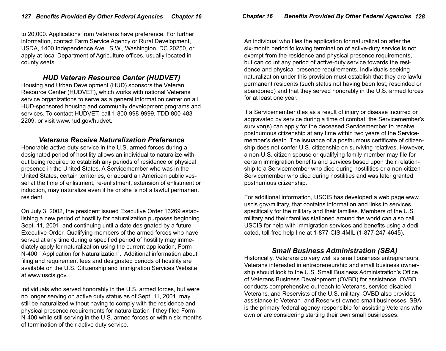to 20,000. Applications from Veterans have preference. For further information, contact Farm Service Agency or Rural Development, USDA, 1400 Independence Ave., S.W., Washington, DC 20250, or apply at local Department of Agriculture offices, usually located in county seats.

# *HUD Veteran Resource Center (HUDVET)*

Housing and Urban Development (HUD) sponsors the Veteran Resource Center (HUDVET), which works with national Veterans service organizations to serve as a general information center on all HUD-sponsored housing and community development programs and services. To contact HUDVET, call 1-800-998-9999, TDD 800-483- 2209, or visit www.hud.gov/hudvet.

#### *Veterans Receive Naturalization Preference*

Honorable active-duty service in the U.S. armed forces during a designated period of hostility allows an individual to naturalize without being required to establish any periods of residence or physical presence in the United States. A Servicemember who was in the United States, certain territories, or aboard an American public vessel at the time of enlistment, re-enlistment, extension of enlistment or induction, may naturalize even if he or she is not a lawful permanent resident.

On July 3, 2002, the president issued Executive Order 13269 establishing a new period of hostility for naturalization purposes beginning Sept. 11, 2001, and continuing until a date designated by a future Executive Order. Qualifying members of the armed forces who have served at any time during a specified period of hostility may immediately apply for naturalization using the current application, Form N-400, "Application for Naturalization". Additional information about filing and requirement fees and designated periods of hostility are available on the U.S. Citizenship and Immigration Services Website at www.uscis.gov.

Individuals who served honorably in the U.S. armed forces, but were no longer serving on active duty status as of Sept. 11, 2001, may still be naturalized without having to comply with the residence and physical presence requirements for naturalization if they filed Form N-400 while still serving in the U.S. armed forces or within six months of termination of their active duty service.

An individual who files the application for naturalization after the six-month period following termination of active-duty service is not exempt from the residence and physical presence requirements, but can count any period of active-duty service towards the residence and physical presence requirements. Individuals seeking naturalization under this provision must establish that they are lawful permanent residents (such status not having been lost, rescinded or abandoned) and that they served honorably in the U.S. armed forces for at least one year.

If a Servicemember dies as a result of injury or disease incurred or aggravated by service during a time of combat, the Servicemember's survivor(s) can apply for the deceased Servicemember to receive posthumous citizenship at any time within two years of the Servicemember's death. The issuance of a posthumous certificate of citizenship does not confer U.S. citizenship on surviving relatives. However, a non-U.S. citizen spouse or qualifying family member may file for certain immigration benefits and services based upon their relationship to a Servicemember who died during hostilities or a non-citizen Servicemember who died during hostilities and was later granted posthumous citizenship.

For additional information, USCIS has developed a web page,www. uscis.gov/military, that contains information and links to services specifically for the military and their families. Members of the U.S. military and their families stationed around the world can also call USCIS for help with immigration services and benefits using a dedicated, toll-free help line at 1-877-CIS-4MIL (1-877-247-4645).

# *Small Business Administration (SBA)*

Historically, Veterans do very well as small business entrepreneurs. Veterans interested in entrepreneurship and small business ownership should look to the U.S. Small Business Administration's Office of Veterans Business Development (OVBD) for assistance. OVBD conducts comprehensive outreach to Veterans, service-disabled Veterans, and Reservists of the U.S. military. OVBD also provides assistance to Veteran- and Reservist-owned small businesses. SBA is the primary federal agency responsible for assisting Veterans who own or are considering starting their own small businesses.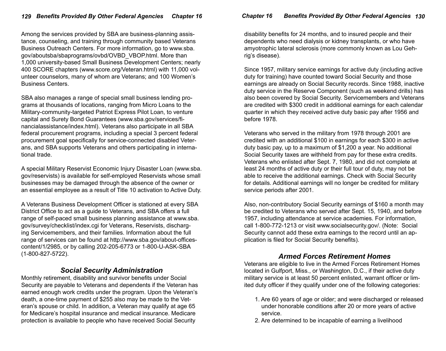Among the services provided by SBA are business-planning assistance, counseling, and training through community based Veterans Business Outreach Centers. For more information, go to www.sba. gov/aboutsba/sbaprograms/ovbd/OVBD\_VBOP.html. More than 1,000 university-based Small Business Development Centers; nearly 400 SCORE chapters (www.score.org/Veteran.html) with 11,000 volunteer counselors, many of whom are Veterans; and 100 Women's Business Centers.

SBA also manages a range of special small business lending programs at thousands of locations, ranging from Micro Loans to the Military-community-targeted Patriot Express Pilot Loan, to venture capital and Surety Bond Guarantees (www.sba.gov/services/financialassistance/index.html). Veterans also participate in all SBA federal procurement programs, including a special 3 percent federal procurement goal specifically for service-connected disabled Veterans, and SBA supports Veterans and others participating in international trade.

A special Military Reservist Economic Injury Disaster Loan (www.sba. gov/reservists) is available for self-employed Reservists whose small businesses may be damaged through the absence of the owner or an essential employee as a result of Title 10 activation to Active Duty.

A Veterans Business Development Officer is stationed at every SBA District Office to act as a guide to Veterans, and SBA offers a full range of self-paced small business planning assistance at www.sba. gov/survey/checklist/index.cgi for Veterans, Reservists, discharging Servicemembers, and their families. Information about the full range of services can be found at http://www.sba.gov/about-officescontent/1/2985, or by calling 202-205-6773 or 1-800-U-ASK-SBA (1-800-827-5722).

#### *Social Security Administration*

Monthly retirement, disability and survivor benefits under Social Security are payable to Veterans and dependents if the Veteran has earned enough work credits under the program. Upon the Veteran's death, a one-time payment of \$255 also may be made to the Veteran's spouse or child. In addition, a Veteran may qualify at age 65 for Medicare's hospital insurance and medical insurance. Medicare protection is available to people who have received Social Security

disability benefits for 24 months, and to insured people and their dependents who need dialysis or kidney transplants, or who have amyotrophic lateral sclerosis (more commonly known as Lou Gehrig's disease).

Since 1957, military service earnings for active duty (including active duty for training) have counted toward Social Security and those earnings are already on Social Security records. Since 1988, inactive duty service in the Reserve Component (such as weekend drills) has also been covered by Social Security. Servicemembers and Veterans are credited with \$300 credit in additional earnings for each calendar quarter in which they received active duty basic pay after 1956 and before 1978.

Veterans who served in the military from 1978 through 2001 are credited with an additional \$100 in earnings for each \$300 in active duty basic pay, up to a maximum of \$1,200 a year. No additional Social Security taxes are withheld from pay for these extra credits. Veterans who enlisted after Sept. 7, 1980, and did not complete at least 24 months of active duty or their full tour of duty, may not be able to receive the additional earnings. Check with Social Security for details. Additional earnings will no longer be credited for military service periods after 2001.

Also, non-contributory Social Security earnings of \$160 a month may be credited to Veterans who served after Sept. 15, 1940, and before 1957, including attendance at service academies. For information, call 1-800-772-1213 or visit www.socialsecurity.gov/. (Note: Social Security cannot add these extra earnings to the record until an application is filed for Social Security benefits).

#### *Armed Forces Retirement Homes*

Veterans are eligible to live in the Armed Forces Retirement Homes located in Gulfport, Miss., or Washington, D.C., if their active duty military service is at least 50 percent enlisted, warrant officer or limited duty officer if they qualify under one of the following categories:

- 1. Are 60 years of age or older; and were discharged or released under honorable conditions after 20 or more years of active service.
- 2. Are determined to be incapable of earning a livelihood